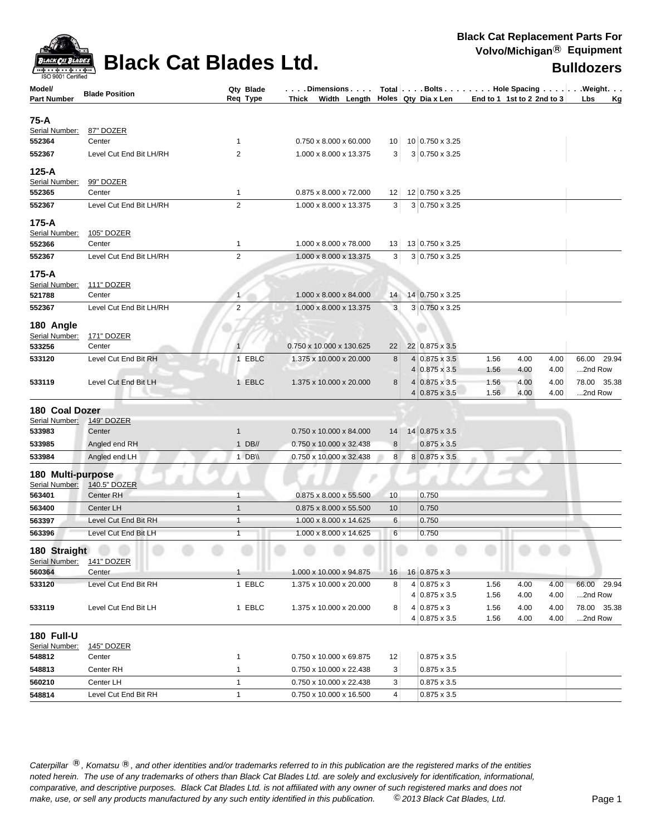

| ISO 9001 Certified       |                         |                |                                                |    |   |                                        |                            |      |      |             |    |
|--------------------------|-------------------------|----------------|------------------------------------------------|----|---|----------------------------------------|----------------------------|------|------|-------------|----|
| Model/                   | <b>Blade Position</b>   | Qty Blade      | $\ldots$ . Dimensions $\ldots$ .               |    |   | Total   Bolts   Hole Spacing   Weight. |                            |      |      |             |    |
| Part Number              |                         | Req Type       | Thick Width Length $\vert$ Holes Qty Dia x Len |    |   |                                        | End to 1 1st to 2 2nd to 3 |      |      | Lbs         | Kg |
| 75-A                     |                         |                |                                                |    |   |                                        |                            |      |      |             |    |
| Serial Number:           | 87" DOZER               |                |                                                |    |   |                                        |                            |      |      |             |    |
| 552364                   | Center                  | $\mathbf{1}$   | $0.750 \times 8.000 \times 60.000$             | 10 |   | 10 0.750 x 3.25                        |                            |      |      |             |    |
| 552367                   | Level Cut End Bit LH/RH | 2              | 1.000 x 8.000 x 13.375                         | 3  |   | 3 0.750 x 3.25                         |                            |      |      |             |    |
|                          |                         |                |                                                |    |   |                                        |                            |      |      |             |    |
| 125-A<br>Serial Number:  | 99" DOZER               |                |                                                |    |   |                                        |                            |      |      |             |    |
| 552365                   | Center                  | $\mathbf{1}$   | 0.875 x 8.000 x 72.000                         | 12 |   | 12 0.750 x 3.25                        |                            |      |      |             |    |
| 552367                   | Level Cut End Bit LH/RH | 2              | 1.000 x 8.000 x 13.375                         | 3  |   | 3 0.750 x 3.25                         |                            |      |      |             |    |
|                          |                         |                |                                                |    |   |                                        |                            |      |      |             |    |
| 175-A                    |                         |                |                                                |    |   |                                        |                            |      |      |             |    |
| Serial Number:<br>552366 | 105" DOZER<br>Center    | 1              | 1.000 x 8.000 x 78.000                         | 13 |   | 13 0.750 x 3.25                        |                            |      |      |             |    |
| 552367                   | Level Cut End Bit LH/RH | 2              | 1.000 x 8.000 x 13.375                         | 3  |   | 3 0.750 x 3.25                         |                            |      |      |             |    |
|                          |                         |                |                                                |    |   |                                        |                            |      |      |             |    |
| 175-A                    |                         |                |                                                |    |   |                                        |                            |      |      |             |    |
| Serial Number:           | 111" DOZER              |                |                                                |    |   |                                        |                            |      |      |             |    |
| 521788                   | Center                  | $\mathbf{1}$   | 1.000 x 8.000 x 84.000                         | 14 |   | 14 0.750 x 3.25                        |                            |      |      |             |    |
| 552367                   | Level Cut End Bit LH/RH | 2              | 1.000 x 8.000 x 13.375                         | 3  |   | 3 0.750 x 3.25                         |                            |      |      |             |    |
| 180 Angle                |                         |                |                                                |    |   |                                        |                            |      |      |             |    |
| Serial Number:           | 171" DOZER              |                |                                                |    |   |                                        |                            |      |      |             |    |
| 533256                   | Center                  |                | 0.750 x 10.000 x 130.625                       | 22 |   | 22 0.875 x 3.5                         |                            |      |      |             |    |
| 533120                   | Level Cut End Bit RH    | 1 EBLC         | 1.375 x 10.000 x 20.000                        | 8  |   | $4 0.875 \times 3.5$                   | 1.56                       | 4.00 | 4.00 | 66.00 29.94 |    |
|                          |                         |                |                                                |    |   | $4 0.875 \times 3.5$                   | 1.56                       | 4.00 | 4.00 | 2nd Row     |    |
| 533119                   | Level Cut End Bit LH    | 1 EBLC         | 1.375 x 10.000 x 20.000                        | 8  |   | $4 0.875 \times 3.5$                   | 1.56                       | 4.00 | 4.00 | 78.00 35.38 |    |
|                          |                         |                |                                                |    | 4 | $0.875 \times 3.5$                     | 1.56                       | 4.00 | 4.00 | 2nd Row     |    |
| 180 Coal Dozer           |                         |                |                                                |    |   |                                        |                            |      |      |             |    |
| Serial Number:           | <b>149" DOZER</b>       |                |                                                |    |   |                                        |                            |      |      |             |    |
| 533983                   | Center                  | $\mathbf{1}$   | 0.750 x 10.000 x 84.000                        | 14 |   | $14 0.875 \times 3.5$                  |                            |      |      |             |    |
| 533985                   | Angled end RH           | $1$ DB//       | 0.750 x 10.000 x 32.438                        | 8  |   | $0.875 \times 3.5$                     |                            |      |      |             |    |
| 533984                   | Angled end LH           | 1 DB\\         | 0.750 x 10.000 x 32.438                        | 8  |   | 8 0.875 x 3.5                          |                            |      |      |             |    |
| 180 Multi-purpose        |                         |                |                                                |    |   |                                        |                            |      |      |             |    |
| Serial Number:           | 140.5" DOZER            |                |                                                |    |   |                                        |                            |      |      |             |    |
| 563401                   | <b>Center RH</b>        | 1              | 0.875 x 8.000 x 55.500                         | 10 |   | 0.750                                  |                            |      |      |             |    |
| 563400                   | Center LH               | $\mathbf{1}$   | 0.875 x 8.000 x 55.500                         | 10 |   | 0.750                                  |                            |      |      |             |    |
| 563397                   | Level Cut End Bit RH    | $\mathbf{1}$   | 1.000 x 8.000 x 14.625                         | 6  |   | 0.750                                  |                            |      |      |             |    |
| 563396                   | Level Cut End Bit LH    | $\overline{1}$ | 1.000 x 8.000 x 14.625                         | 6  |   | 0.750                                  |                            |      |      |             |    |
| 180 Straight             |                         |                |                                                |    |   |                                        |                            |      |      |             |    |
| Serial Number:           | <b>141" DOZER</b>       |                |                                                |    |   |                                        |                            |      |      |             |    |
| 560364                   | Center                  | 1              | 1.000 x 10.000 x 94.875                        | 16 |   | $16 0.875 \times 3$                    |                            |      |      |             |    |
| 533120                   | Level Cut End Bit RH    | 1 EBLC         | 1.375 x 10.000 x 20.000                        | 8  |   | $4 0.875 \times 3$                     | 1.56                       | 4.00 | 4.00 | 66.00 29.94 |    |
|                          |                         |                |                                                |    |   | 4 0.875 x 3.5                          | 1.56                       | 4.00 | 4.00 | 2nd Row     |    |
| 533119                   | Level Cut End Bit LH    | 1 EBLC         | 1.375 x 10.000 x 20.000                        | 8  |   | $4 0.875 \times 3$                     | 1.56                       | 4.00 | 4.00 | 78.00 35.38 |    |
|                          |                         |                |                                                |    |   | 4 0.875 x 3.5                          | 1.56                       | 4.00 | 4.00 | 2nd Row     |    |
| <b>180 Full-U</b>        |                         |                |                                                |    |   |                                        |                            |      |      |             |    |
| Serial Number:           | 145" DOZER              |                |                                                |    |   |                                        |                            |      |      |             |    |
| 548812                   | Center                  | $\mathbf{1}$   | 0.750 x 10.000 x 69.875                        | 12 |   | $0.875 \times 3.5$                     |                            |      |      |             |    |
| 548813                   | Center RH               | $\mathbf{1}$   | 0.750 x 10.000 x 22.438                        | 3  |   | $0.875 \times 3.5$                     |                            |      |      |             |    |
| 560210                   | Center LH               | $\mathbf{1}$   | 0.750 x 10.000 x 22.438                        | 3  |   | $0.875 \times 3.5$                     |                            |      |      |             |    |
|                          |                         |                |                                                |    |   |                                        |                            |      |      |             |    |

Caterpillar ®, Komatsu ®, and other identities and/or trademarks referred to in this publication are the registered marks of the entities *noted herein. The use of any trademarks of others than Black Cat Blades Ltd. are solely and exclusively for identification, informational, make, use, or sell any products manufactured by any such entity identified in this publication. comparative, and descriptive purposes. Black Cat Blades Ltd. is not affiliated with any owner of such registered marks and does not* ©*2013 Black Cat Blades, Ltd.* Page 1

**548814** Level Cut End Bit RH 1 0.750 x 10.000 x 16.500 4 0.875 x 3.5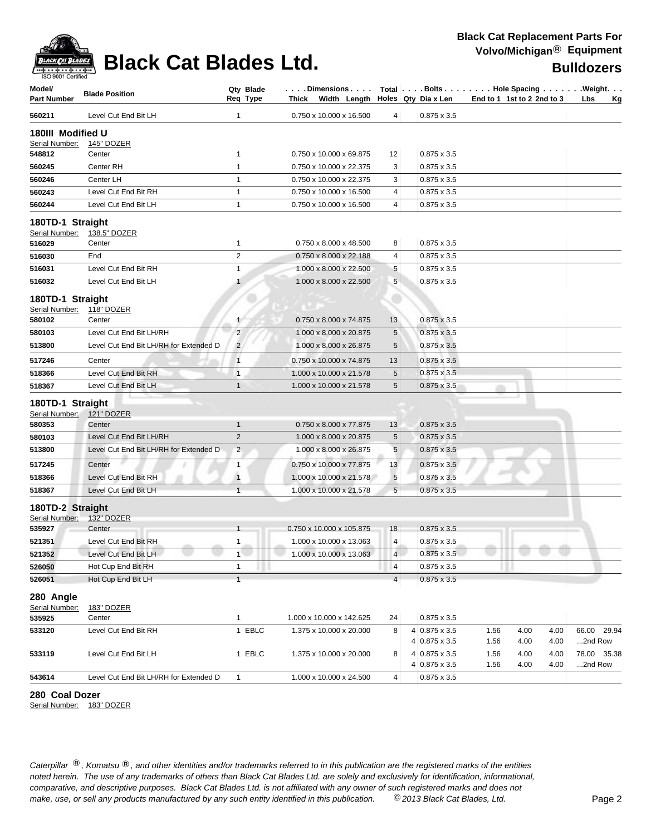

| Model/<br><b>Part Number</b>       | <b>Blade Position</b>                        | Qty Blade<br>Req Type          | $\ldots$ . Dimensions $\ldots$ .<br>Thick Width Length |                 | Holes Qty Dia x Len                          |              | Total   Bolts   Hole Spacing   Weight.<br>End to 1 1st to 2 2nd to 3 | Lbs<br><u>Kg</u>       |
|------------------------------------|----------------------------------------------|--------------------------------|--------------------------------------------------------|-----------------|----------------------------------------------|--------------|----------------------------------------------------------------------|------------------------|
| 560211                             | Level Cut End Bit LH                         | 1                              | 0.750 x 10.000 x 16.500                                | 4               | $0.875 \times 3.5$                           |              |                                                                      |                        |
| 180III Modified U                  |                                              |                                |                                                        |                 |                                              |              |                                                                      |                        |
| Serial Number:                     | <b>145" DOZER</b>                            |                                |                                                        |                 |                                              |              |                                                                      |                        |
| 548812                             | Center                                       | 1                              | 0.750 x 10.000 x 69.875                                | 12              | $0.875 \times 3.5$                           |              |                                                                      |                        |
| 560245                             | Center RH                                    | $\mathbf{1}$                   | 0.750 x 10.000 x 22.375                                | 3               | $0.875 \times 3.5$                           |              |                                                                      |                        |
| 560246                             | Center LH                                    | $\mathbf{1}$                   | 0.750 x 10.000 x 22.375                                | 3               | $0.875 \times 3.5$                           |              |                                                                      |                        |
| 560243                             | Level Cut End Bit RH                         | $\mathbf{1}$                   | 0.750 x 10.000 x 16.500                                | 4               | $0.875 \times 3.5$                           |              |                                                                      |                        |
| 560244                             | Level Cut End Bit LH                         | $\mathbf{1}$                   | 0.750 x 10.000 x 16.500                                | 4               | $0.875 \times 3.5$                           |              |                                                                      |                        |
| 180TD-1 Straight<br>Serial Number: | 138.5" DOZER                                 |                                |                                                        |                 |                                              |              |                                                                      |                        |
| 516029                             | Center                                       | 1                              | 0.750 x 8.000 x 48.500                                 | 8               | $0.875 \times 3.5$                           |              |                                                                      |                        |
| 516030                             | End                                          | $\overline{c}$                 | 0.750 x 8.000 x 22.188                                 | 4               | $0.875 \times 3.5$                           |              |                                                                      |                        |
| 516031                             | Level Cut End Bit RH                         | 1                              | 1.000 x 8.000 x 22.500                                 | 5               | $0.875 \times 3.5$                           |              |                                                                      |                        |
| 516032                             | Level Cut End Bit LH                         | $\mathbf{1}$                   | 1.000 x 8.000 x 22.500                                 | 5               | $0.875 \times 3.5$                           |              |                                                                      |                        |
| 180TD-1 Straight<br>Serial Number: | 118" DOZER                                   |                                |                                                        |                 |                                              |              |                                                                      |                        |
| 580102                             | Center                                       | $\mathbf{1}$                   | 0.750 x 8.000 x 74.875                                 | 13              | $0.875 \times 3.5$                           |              |                                                                      |                        |
| 580103                             | Level Cut End Bit LH/RH                      | $\overline{c}$                 | 1.000 x 8.000 x 20.875                                 | 5               | $0.875 \times 3.5$                           |              |                                                                      |                        |
| 513800                             | Level Cut End Bit LH/RH for Extended D       | $\overline{2}$                 | 1.000 x 8.000 x 26.875                                 | 5               | $0.875 \times 3.5$                           |              |                                                                      |                        |
| 517246                             | Center                                       | $\mathbf{1}$                   | 0.750 x 10.000 x 74.875                                | 13              | $0.875 \times 3.5$                           |              |                                                                      |                        |
| 518366                             | Level Cut End Bit RH                         | $\overline{1}$                 | 1.000 x 10.000 x 21.578                                | $\sqrt{5}$      | $0.875 \times 3.5$                           |              |                                                                      |                        |
| 518367                             | Level Cut End Bit LH                         | $\mathbf{1}$                   | 1.000 x 10.000 x 21.578                                | 5               | $0.875 \times 3.5$                           |              |                                                                      |                        |
|                                    |                                              |                                |                                                        |                 |                                              |              |                                                                      |                        |
| 180TD-1 Straight                   |                                              |                                |                                                        |                 |                                              |              |                                                                      |                        |
| Serial Number:<br>580353           | 121" DOZER<br>Center                         | $\mathbf{1}$                   | 0.750 x 8.000 x 77.875                                 | 13              | $0.875 \times 3.5$                           |              |                                                                      |                        |
| 580103                             | Level Cut End Bit LH/RH                      | $\overline{2}$                 | 1.000 x 8.000 x 20.875                                 | 5               | $0.875 \times 3.5$                           |              |                                                                      |                        |
| 513800                             | Level Cut End Bit LH/RH for Extended D       | $\overline{2}$                 | 1.000 x 8.000 x 26.875                                 | 5               | $0.875 \times 3.5$                           |              |                                                                      |                        |
|                                    |                                              |                                |                                                        |                 |                                              |              |                                                                      |                        |
| 517245                             | Center                                       | $\mathbf{1}$                   | 0.750 x 10.000 x 77.875                                | 13              | $0.875 \times 3.5$                           |              |                                                                      |                        |
| 518366                             | Level Cut End Bit RH<br>Level Cut End Bit LH | $\mathbf{1}$<br>$\overline{1}$ | 1.000 x 10.000 x 21.578                                | $\sqrt{5}$<br>5 | $0.875 \times 3.5$                           |              |                                                                      |                        |
| 518367                             |                                              |                                | 1.000 x 10.000 x 21.578                                |                 | $0.875 \times 3.5$                           |              |                                                                      |                        |
| 180TD-2 Straight                   |                                              |                                |                                                        |                 |                                              |              |                                                                      |                        |
| Serial Number:                     | 132" DOZER                                   |                                |                                                        |                 |                                              |              |                                                                      |                        |
| 535927                             | Center                                       | $\mathbf{1}$                   | 0.750 x 10.000 x 105.875                               | 18              | $0.875 \times 3.5$                           |              |                                                                      |                        |
| 521351                             | Level Cut End Bit RH                         | 1                              | 1.000 x 10.000 x 13.063                                | 4               | $0.875 \times 3.5$                           |              |                                                                      |                        |
| 521352                             | Level Cut End Bit LH                         | 1                              | 1.000 x 10.000 x 13.063                                | 4               | $0.875 \times 3.5$                           |              |                                                                      |                        |
| 526050                             | Hot Cup End Bit RH                           | $\mathbf{1}$<br>$\mathbf{1}$   |                                                        | 4               | $0.875 \times 3.5$                           |              |                                                                      |                        |
| 526051                             | Hot Cup End Bit LH                           |                                |                                                        | 4 <sup>1</sup>  | $0.875 \times 3.5$                           |              |                                                                      |                        |
| 280 Angle<br>Serial Number:        | 183" DOZER                                   |                                |                                                        |                 |                                              |              |                                                                      |                        |
| 535925                             | Center                                       | $\mathbf{1}$                   | 1.000 x 10.000 x 142.625                               | 24              | $0.875 \times 3.5$                           |              |                                                                      |                        |
| 533120                             | Level Cut End Bit RH                         | 1 EBLC                         | 1.375 x 10.000 x 20.000                                | 8               | 4 0.875 x 3.5<br>$4 0.875 \times 3.5$        | 1.56<br>1.56 | 4.00<br>4.00<br>4.00<br>4.00                                         | 66.00 29.94<br>2nd Row |
| 533119                             | Level Cut End Bit LH                         | 1 EBLC                         | 1.375 x 10.000 x 20.000                                | 8               | $4 0.875 \times 3.5$<br>$4 0.875 \times 3.5$ | 1.56<br>1.56 | 4.00<br>4.00<br>4.00<br>4.00                                         | 78.00 35.38<br>2nd Row |
| 543614                             | Level Cut End Bit LH/RH for Extended D       | $\mathbf{1}$                   | 1.000 x 10.000 x 24.500                                | 4               | $0.875 \times 3.5$                           |              |                                                                      |                        |
|                                    |                                              |                                |                                                        |                 |                                              |              |                                                                      |                        |

**280 Coal Dozer**

Serial Number: 183" DOZER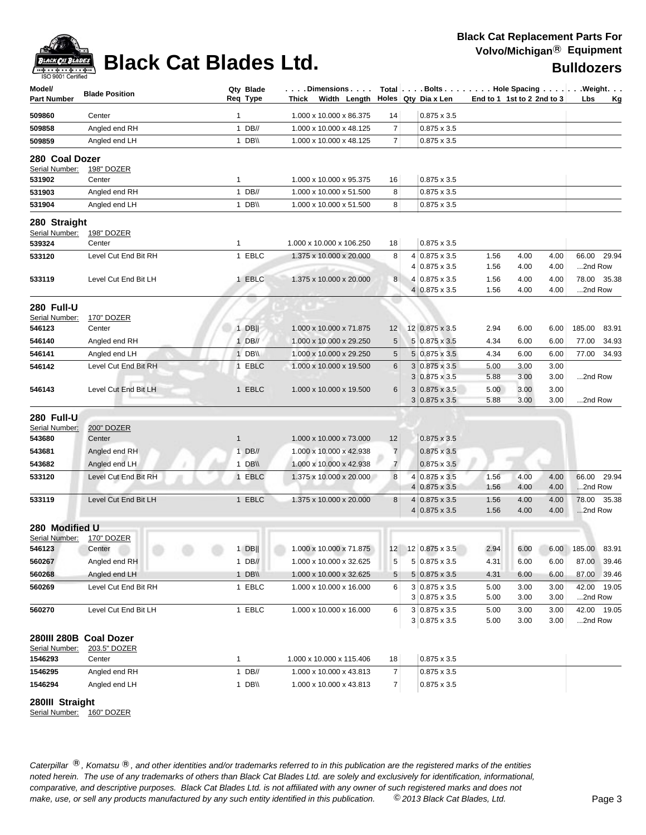

| Model/<br>Part Number          | <b>Blade Position</b>  |              | Qty Blade<br>Req Type | . Dimensions<br>Width Length<br>Thick |                | Total $\left[\ldots\right]$ Bolts $\ldots$ $\left[\ldots\right]$ Hole Spacing $\ldots\left[\ldots\right]$ . Weight. $\ldots$<br>Holes Qty Dia x Len | End to 1 1st to 2 2nd to 3 |              |              | Lbs               | Kg          |
|--------------------------------|------------------------|--------------|-----------------------|---------------------------------------|----------------|-----------------------------------------------------------------------------------------------------------------------------------------------------|----------------------------|--------------|--------------|-------------------|-------------|
| 509860                         | Center                 | 1            |                       | 1.000 x 10.000 x 86.375               | 14             | $0.875 \times 3.5$                                                                                                                                  |                            |              |              |                   |             |
| 509858                         | Angled end RH          |              | $1$ DB//              | 1.000 x 10.000 x 48.125               | 7              | $0.875 \times 3.5$                                                                                                                                  |                            |              |              |                   |             |
| 509859                         | Angled end LH          |              | 1 DB\\                | 1.000 x 10.000 x 48.125               | $\overline{7}$ | $0.875 \times 3.5$                                                                                                                                  |                            |              |              |                   |             |
| 280 Coal Dozer                 |                        |              |                       |                                       |                |                                                                                                                                                     |                            |              |              |                   |             |
| Serial Number:                 | 198" DOZER             |              |                       |                                       |                | $0.875 \times 3.5$                                                                                                                                  |                            |              |              |                   |             |
| 531902                         | Center                 | $\mathbf{1}$ |                       | 1.000 x 10.000 x 95.375               | 16             |                                                                                                                                                     |                            |              |              |                   |             |
| 531903                         | Angled end RH          |              | $1$ DB//              | 1.000 x 10.000 x 51.500               | 8              | $0.875 \times 3.5$                                                                                                                                  |                            |              |              |                   |             |
| 531904                         | Angled end LH          |              | 1 DB\\                | 1.000 x 10.000 x 51.500               | 8              | $0.875 \times 3.5$                                                                                                                                  |                            |              |              |                   |             |
| 280 Straight<br>Serial Number: | 198" DOZER             |              |                       |                                       |                |                                                                                                                                                     |                            |              |              |                   |             |
| 539324                         | Center                 | $\mathbf{1}$ |                       | 1.000 x 10.000 x 106.250              | 18             | $0.875 \times 3.5$                                                                                                                                  |                            |              |              |                   |             |
| 533120                         | Level Cut End Bit RH   |              | 1 EBLC                | 1.375 x 10.000 x 20.000               | 8              | 4 0.875 x 3.5                                                                                                                                       | 1.56                       | 4.00         | 4.00         |                   | 66.00 29.94 |
|                                |                        |              |                       |                                       |                | 4 0.875 x 3.5                                                                                                                                       | 1.56                       | 4.00         | 4.00         | 2nd Row           |             |
| 533119                         | Level Cut End Bit LH   |              | 1 EBLC                | 1.375 x 10.000 x 20.000               | 8              | 4 0.875 x 3.5                                                                                                                                       | 1.56                       | 4.00         | 4.00         | 78.00             | 35.38       |
|                                |                        |              |                       |                                       |                | $4 0.875 \times 3.5$                                                                                                                                | 1.56                       | 4.00         | 4.00         | 2nd Row           |             |
| 280 Full-U                     |                        |              |                       |                                       |                |                                                                                                                                                     |                            |              |              |                   |             |
| Serial Number:                 | 170" DOZER             |              |                       |                                       |                |                                                                                                                                                     |                            |              |              |                   |             |
| 546123                         | Center                 |              | $1$ DB                | 1.000 x 10.000 x 71.875               | 12             | 12 0.875 x 3.5                                                                                                                                      | 2.94                       | 6.00         | 6.00         | 185.00            | 83.91       |
| 546140                         | Angled end RH          |              | 1 DB//                | 1.000 x 10.000 x 29.250               | 5              | 5 0.875 x 3.5                                                                                                                                       | 4.34                       | 6.00         | 6.00         | 77.00             | 34.93       |
| 546141                         | Angled end LH          |              | 1 DB\\                | 1.000 x 10.000 x 29.250               | 5              | $5 0.875 \times 3.5$                                                                                                                                | 4.34                       | 6.00         | 6.00         | 77.00             | 34.93       |
| 546142                         | Level Cut End Bit RH   |              | 1 EBLC                | 1.000 x 10.000 x 19.500               | 6              | $3 0.875 \times 3.5$                                                                                                                                | 5.00                       | 3.00         | 3.00         |                   |             |
|                                |                        |              |                       |                                       |                | $3 0.875 \times 3.5$                                                                                                                                | 5.88                       | 3.00         | 3.00         | 2nd Row           |             |
| 546143                         | Level Cut End Bit LH   |              | 1 EBLC                | 1.000 x 10.000 x 19.500               | 6              | $3 0.875 \times 3.5$                                                                                                                                | 5.00                       | 3.00         | 3.00         |                   |             |
|                                |                        |              |                       |                                       |                | $3 0.875 \times 3.5$                                                                                                                                | 5.88                       | 3.00         | 3.00         | 2nd Row           |             |
| <b>280 Full-U</b>              |                        |              |                       |                                       |                |                                                                                                                                                     |                            |              |              |                   |             |
| Serial Number:                 | 200" DOZER             |              |                       |                                       |                |                                                                                                                                                     |                            |              |              |                   |             |
| 543680                         | Center                 | $\mathbf{1}$ |                       | 1.000 x 10.000 x 73.000               | 12             | $0.875 \times 3.5$                                                                                                                                  |                            |              |              |                   |             |
| 543681                         | Angled end RH          |              | 1 $DB/$               | 1.000 x 10.000 x 42.938               | $\overline{7}$ | $0.875 \times 3.5$                                                                                                                                  |                            |              |              |                   |             |
| 543682                         | Angled end LH          |              | 1 DB\\                | 1.000 x 10.000 x 42.938               | $\overline{7}$ | $0.875 \times 3.5$                                                                                                                                  |                            |              |              |                   |             |
| 533120                         | Level Cut End Bit RH   |              | 1 EBLC                | 1.375 x 10.000 x 20.000               | 8              | $4 0.875 \times 3.5$                                                                                                                                | 1.56                       | 4.00         | 4.00         | 66.00             | 29.94       |
|                                |                        |              |                       |                                       |                | $4 0.875 \times 3.5$                                                                                                                                | 1.56                       | 4.00         | 4.00         | 2nd Row           |             |
| 533119                         | Level Cut End Bit LH   |              | 1 EBLC                | 1.375 x 10.000 x 20.000               | 8              | $4 0.875 \times 3.5$                                                                                                                                | 1.56                       | 4.00         | 4.00         |                   | 78.00 35.38 |
|                                |                        |              |                       |                                       |                | $4 0.875 \times 3.5$                                                                                                                                | 1.56                       | 4.00         | 4.00         | 2nd Row           |             |
| 280 Modified U                 |                        |              |                       |                                       |                |                                                                                                                                                     |                            |              |              |                   |             |
| Serial Number:                 | 170" DOZER             |              |                       |                                       |                |                                                                                                                                                     |                            |              |              |                   |             |
| 546123                         | Center                 |              | $1$ DB                | 1.000 x 10.000 x 71.875               |                | 12 12 0.875 x 3.5                                                                                                                                   | 2.94                       | 6.00         |              | 6.00 185.00 83.91 |             |
| 560267                         | Angled end RH          |              | $1$ DB//              | 1.000 x 10.000 x 32.625               | 5              | 5 0.875 x 3.5                                                                                                                                       | 4.31                       | 6.00         | 6.00         |                   | 87.00 39.46 |
| 560268                         | Angled end LH          |              | 1 $DB$                | 1.000 x 10.000 x 32.625               | 5              | $5 0.875 \times 3.5$                                                                                                                                | 4.31                       | 6.00         | 6.00         | 87.00             | 39.46       |
| 560269                         | Level Cut End Bit RH   |              | 1 EBLC                | 1.000 x 10.000 x 16.000               | 6              | $3 0.875 \times 3.5$                                                                                                                                | 5.00                       | 3.00         | 3.00         |                   | 42.00 19.05 |
|                                |                        |              |                       |                                       |                | $3 0.875 \times 3.5$                                                                                                                                | 5.00                       | 3.00         | 3.00         | 2nd Row           |             |
| 560270                         | Level Cut End Bit LH   |              | 1 EBLC                | 1.000 x 10.000 x 16.000               | 6              | $3 0.875 \times 3.5$<br>$3 0.875 \times 3.5$                                                                                                        | 5.00<br>5.00               | 3.00<br>3.00 | 3.00<br>3.00 | 2nd Row           | 42.00 19.05 |
|                                |                        |              |                       |                                       |                |                                                                                                                                                     |                            |              |              |                   |             |
|                                | 280III 280B Coal Dozer |              |                       |                                       |                |                                                                                                                                                     |                            |              |              |                   |             |
| Serial Number:<br>1546293      | 203.5" DOZER<br>Center | $\mathbf{1}$ |                       | 1.000 x 10.000 x 115.406              | 18             | $0.875 \times 3.5$                                                                                                                                  |                            |              |              |                   |             |
| 1546295                        | Angled end RH          |              | $1$ DB//              | 1.000 x 10.000 x 43.813               | $\overline{7}$ | $0.875 \times 3.5$                                                                                                                                  |                            |              |              |                   |             |
| 1546294                        | Angled end LH          |              |                       | 1.000 x 10.000 x 43.813               | $\overline{7}$ |                                                                                                                                                     |                            |              |              |                   |             |
|                                |                        |              | 1 DB $\mathcal{N}$    |                                       |                | $0.875 \times 3.5$                                                                                                                                  |                            |              |              |                   |             |

**280III Straight**

Serial Number: 160" DOZER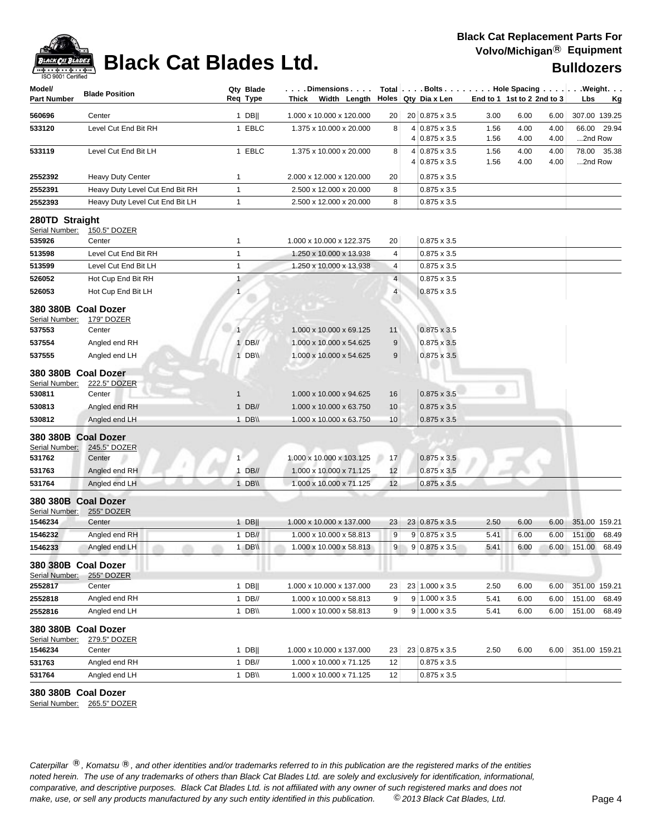

## **Black Cat Replacement Parts For Volvo/Michigan**® **Equipment**

| Model/<br><b>Part Number</b>                              | <b>Blade Position</b>                   | Qty Blade<br>Req Type    | . Dimensions<br>Width Length<br>Thick              |                | Total Bolts Hole Spacing Weight.<br>Holes $Qty$ Dia x Len |      | End to 1 1st to 2 2nd to 3 | Lbs<br><u>Kg</u> |
|-----------------------------------------------------------|-----------------------------------------|--------------------------|----------------------------------------------------|----------------|-----------------------------------------------------------|------|----------------------------|------------------|
| 560696                                                    | Center                                  | 1 DB                     | 1.000 x 10.000 x 120.000                           | 20             | 20 0.875 x 3.5                                            | 3.00 | 6.00<br>6.00               | 307.00 139.25    |
| 533120                                                    | Level Cut End Bit RH                    | 1 EBLC                   | 1.375 x 10.000 x 20.000                            | 8              | 4 0.875 x 3.5                                             | 1.56 | 4.00<br>4.00               | 66.00<br>29.94   |
|                                                           |                                         |                          |                                                    |                | 4 0.875 x 3.5                                             | 1.56 | 4.00<br>4.00               | 2nd Row          |
| 533119                                                    | Level Cut End Bit LH                    | 1 EBLC                   | 1.375 x 10.000 x 20.000                            | 8              | 4 0.875 x 3.5                                             | 1.56 | 4.00<br>4.00               | 78.00 35.38      |
|                                                           |                                         |                          |                                                    |                | 4 0.875 x 3.5                                             | 1.56 | 4.00<br>4.00               | 2nd Row          |
| 2552392                                                   | <b>Heavy Duty Center</b>                | 1                        | 2.000 x 12.000 x 120.000                           | 20             | $0.875 \times 3.5$                                        |      |                            |                  |
| 2552391                                                   | Heavy Duty Level Cut End Bit RH         | 1                        | 2.500 x 12.000 x 20.000                            | 8              | $0.875 \times 3.5$                                        |      |                            |                  |
| 2552393                                                   | Heavy Duty Level Cut End Bit LH         | 1                        | 2.500 x 12.000 x 20.000                            | 8              | $0.875 \times 3.5$                                        |      |                            |                  |
| 280TD Straight<br>Serial Number:                          | 150.5" DOZER                            |                          |                                                    |                |                                                           |      |                            |                  |
| 535926                                                    | Center                                  | 1                        | 1.000 x 10.000 x 122.375                           | 20             | $0.875 \times 3.5$                                        |      |                            |                  |
| 513598                                                    | Level Cut End Bit RH                    | $\mathbf{1}$             | 1.250 x 10.000 x 13.938                            | 4              | $0.875 \times 3.5$                                        |      |                            |                  |
| 513599                                                    | Level Cut End Bit LH                    | 1                        | 1.250 x 10.000 x 13.938                            | 4              | $0.875 \times 3.5$                                        |      |                            |                  |
| 526052                                                    | Hot Cup End Bit RH                      | 1                        |                                                    | $\overline{4}$ | $0.875 \times 3.5$                                        |      |                            |                  |
| 526053                                                    | Hot Cup End Bit LH                      | $\mathbf{1}$             |                                                    | $\overline{4}$ | $0.875 \times 3.5$                                        |      |                            |                  |
| 380 380B Coal Dozer<br>Serial Number:                     | 179" DOZER                              |                          |                                                    |                |                                                           |      |                            |                  |
| 537553                                                    | Center                                  | $\overline{1}$           | 1.000 x 10.000 x 69.125                            | 11             | $0.875 \times 3.5$                                        |      |                            |                  |
| 537554                                                    | Angled end RH                           | $1$ DB//                 | 1.000 x 10.000 x 54.625                            | 9              | $0.875 \times 3.5$                                        |      |                            |                  |
| 537555                                                    | Angled end LH                           | 1 DB\\                   | 1.000 x 10.000 x 54.625                            | 9              | $0.875 \times 3.5$                                        |      |                            |                  |
| 380 380B Coal Dozer<br>Serial Number:<br>530811<br>530813 | 222.5" DOZER<br>Center<br>Angled end RH | $\mathbf{1}$<br>$1$ DB// | 1.000 x 10.000 x 94.625<br>1.000 x 10.000 x 63.750 | 16<br>10       | $0.875 \times 3.5$<br>$0.875 \times 3.5$                  |      |                            |                  |
| 530812                                                    | Angled end LH                           | 1 DB\\                   | 1.000 x 10.000 x 63.750                            | 10             | $0.875 \times 3.5$                                        |      |                            |                  |
| 380 380B Coal Dozer<br>Serial Number:<br>531762           | 245.5" DOZER<br>Center                  | 1                        | 1.000 x 10.000 x 103.125                           | 17             | $0.875 \times 3.5$                                        |      |                            |                  |
| 531763                                                    | Angled end RH                           | $1$ DB//                 | 1.000 x 10.000 x 71.125                            | 12             | $0.875 \times 3.5$                                        |      |                            |                  |
| 531764                                                    | Angled end LH                           | 1 DB\\                   | 1.000 x 10.000 x 71.125                            | 12             | $0.875 \times 3.5$                                        |      |                            |                  |
| 380 380B Coal Dozer<br>Serial Number:<br>1546234          | 255" DOZER<br>Center                    | $1$ DB                   | 1.000 x 10.000 x 137.000                           | 23             | 23 0.875 x 3.5                                            | 2.50 | 6.00<br>6.00               | 351.00 159.21    |
| 1546232                                                   | Angled end RH                           | $1$ DB//                 | 1.000 x 10.000 x 58.813                            | 9              | $9 0.875 \times 3.5$                                      | 5.41 | 6.00<br>6.00               | 151.00<br>68.49  |
| 1546233                                                   | Angled end LH                           | 1 DB\\                   | 1.000 x 10.000 x 58.813                            | 9              | $9 0.875 \times 3.5$                                      | 5.41 | 6.00<br>6.00               | 151.00<br>68.49  |
| 380 380B Coal Dozer<br>Serial Number:                     | 255" DOZER                              |                          |                                                    |                |                                                           |      |                            |                  |
| 2552817                                                   | Center                                  | $1$ DB                   | 1.000 x 10.000 x 137.000                           | 23             | 23 1.000 x 3.5                                            | 2.50 | 6.00<br>6.00               | 351.00 159.21    |
| 2552818                                                   | Angled end RH                           | $1$ DB//                 | 1.000 x 10.000 x 58.813                            | 9              | $9 1.000 \times 3.5$                                      | 5.41 | 6.00<br>6.00               | 151.00<br>68.49  |
| 2552816                                                   | Angled end LH                           | 1 DB\\                   | 1.000 x 10.000 x 58.813                            | 9 <sup>°</sup> | $9 1.000 \times 3.5$                                      | 5.41 | 6.00<br>6.00               | 151.00<br>68.49  |
| 380 380B Coal Dozer<br>Serial Number:<br>1546234          | 279.5" DOZER<br>Center                  | $1$ DB                   | 1.000 x 10.000 x 137.000                           | 23             | 23 0.875 x 3.5                                            | 2.50 | 6.00<br>6.00               | 351.00 159.21    |
| 531763                                                    | Angled end RH                           | $1$ DB//                 | 1.000 x 10.000 x 71.125                            | 12             | $0.875 \times 3.5$                                        |      |                            |                  |
| 531764                                                    | Angled end LH                           | 1 DB\\                   | 1.000 x 10.000 x 71.125                            | 12             | $0.875 \times 3.5$                                        |      |                            |                  |
|                                                           |                                         |                          |                                                    |                |                                                           |      |                            |                  |

### **380 380B Coal Dozer**

Serial Number: 265.5" DOZER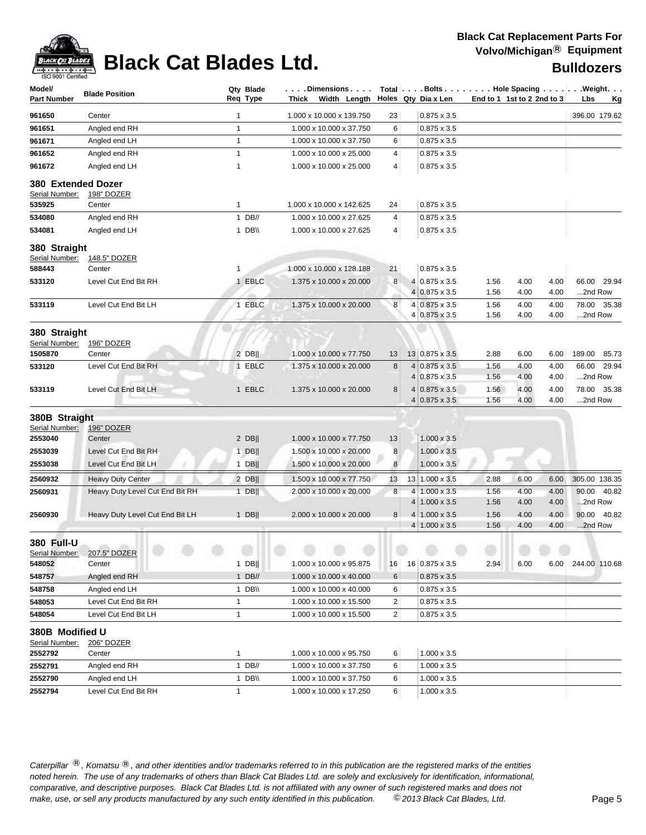

| Model/<br><b>Part Number</b>         | <b>Blade Position</b>           | Qty Blade<br>Req Type | .Dimensions<br>Width Length<br>Thick |        | Holes Qty Dia x Len                   | End to 1 1st to 2 2nd to 3 |              |              | Total Bolts Hole Spacing Weight.<br>Lbs<br>Кg |
|--------------------------------------|---------------------------------|-----------------------|--------------------------------------|--------|---------------------------------------|----------------------------|--------------|--------------|-----------------------------------------------|
| 961650                               | Center                          | 1                     | 1.000 x 10.000 x 139.750             | 23     | $0.875 \times 3.5$                    |                            |              |              | 396.00 179.62                                 |
| 961651                               | Angled end RH                   | $\mathbf{1}$          | 1.000 x 10.000 x 37.750              | 6      | $0.875 \times 3.5$                    |                            |              |              |                                               |
| 961671                               | Angled end LH                   | $\mathbf{1}$          | 1.000 x 10.000 x 37.750              | 6      | $0.875 \times 3.5$                    |                            |              |              |                                               |
| 961652                               | Angled end RH                   | $\mathbf{1}$          | 1.000 x 10.000 x 25.000              | 4      | $0.875 \times 3.5$                    |                            |              |              |                                               |
| 961672                               | Angled end LH                   | $\mathbf{1}$          | 1.000 x 10.000 x 25.000              | 4      | $0.875 \times 3.5$                    |                            |              |              |                                               |
| 380 Extended Dozer<br>Serial Number: | 198" DOZER                      |                       |                                      |        |                                       |                            |              |              |                                               |
| 535925                               | Center                          | 1                     | 1.000 x 10.000 x 142.625             | 24     | $0.875 \times 3.5$                    |                            |              |              |                                               |
| 534080                               | Angled end RH                   | $1$ DB//              | 1.000 x 10.000 x 27.625              | 4      | $0.875 \times 3.5$                    |                            |              |              |                                               |
| 534081                               | Angled end LH                   | 1 $DB \vee$           | 1.000 x 10.000 x 27.625              | 4      | $0.875 \times 3.5$                    |                            |              |              |                                               |
| 380 Straight<br>Serial Number:       | 148.5" DOZER                    |                       |                                      |        |                                       |                            |              |              |                                               |
| 588443                               | Center                          | $\mathbf{1}$          | 1.000 x 10.000 x 128.188             | 21     | $0.875 \times 3.5$                    |                            |              |              |                                               |
| 533120                               | Level Cut End Bit RH            | 1 EBLC                | 1.375 x 10.000 x 20.000              | 8      | 4 0.875 x 3.5                         | 1.56                       | 4.00         | 4.00         | 66.00<br>29.94                                |
|                                      |                                 |                       |                                      |        | 4 0.875 x 3.5                         | 1.56                       | 4.00         | 4.00         | 2nd Row                                       |
| 533119                               | Level Cut End Bit LH            | 1 EBLC                | 1.375 x 10.000 x 20.000              | $\bf8$ | 4 0.875 x 3.5                         | 1.56                       | 4.00         | 4.00         | 78.00<br>35.38                                |
|                                      |                                 |                       |                                      |        | 4 0.875 x 3.5                         | 1.56                       | 4.00         | 4.00         | 2nd Row                                       |
| 380 Straight                         |                                 |                       |                                      |        |                                       |                            |              |              |                                               |
| Serial Number:                       | 196" DOZER                      |                       |                                      |        |                                       |                            |              |              |                                               |
| 1505870                              | Center                          | $2$ DB                | 1.000 x 10.000 x 77.750              | 13     | 13 0.875 x 3.5                        | 2.88                       | 6.00         | 6.00         | 189.00<br>85.73                               |
| 533120                               | Level Cut End Bit RH            | 1 EBLC                | 1.375 x 10.000 x 20.000              | 8      | $4 0.875 \times 3.5$<br>4 0.875 x 3.5 | 1.56<br>1.56               | 4.00<br>4.00 | 4.00<br>4.00 | 66.00<br>29.94<br>2nd Row                     |
| 533119                               | Level Cut End Bit LH            | 1 EBLC                | 1.375 x 10.000 x 20.000              | 8      | $4 0.875 \times 3.5 $                 | 1.56                       | 4.00         | 4.00         | 78.00<br>35.38                                |
|                                      |                                 |                       |                                      |        | $0.875 \times 3.5$                    | 1.56                       | 4.00         | 4.00         | 2nd Row                                       |
| 380B Straight                        |                                 |                       |                                      |        |                                       |                            |              |              |                                               |
| Serial Number:                       | 196" DOZER                      |                       |                                      |        |                                       |                            |              |              |                                               |
| 2553040                              | Center                          | $2$ DB                | 1.000 x 10.000 x 77.750              | 13     | $1.000 \times 3.5$                    |                            |              |              |                                               |
| 2553039                              | Level Cut End Bit RH            | $1$ DB                | 1.500 x 10.000 x 20.000              | 8      | $1.000 \times 3.5$                    |                            |              |              |                                               |
| 2553038                              | Level Cut End Bit LH            | $1$ DB                | 1.500 x 10.000 x 20.000              | 8      | $1.000 \times 3.5$                    |                            |              |              |                                               |
| 2560932                              | <b>Heavy Duty Center</b>        | $2$ DB                | 1.500 x 10.000 x 77.750              | 13     | 13 1.000 x 3.5                        | 2.88                       | 6.00         | 6.00         | 305.00 138.35                                 |
| 2560931                              | Heavy Duty Level Cut End Bit RH | $1$ DB                | 2.000 x 10.000 x 20.000              | 8      | $4 1.000 \times 3.5$                  | 1.56                       | 4.00         | 4.00         | 90.00<br>40.82                                |
|                                      |                                 |                       |                                      |        | $4 1.000 \times 3.5$                  | 1.56                       | 4.00         | 4.00         | 2nd Row                                       |
| 2560930                              | Heavy Duty Level Cut End Bit LH | $1$ DB                | 2.000 x 10.000 x 20.000              | 8      | $4 1.000 \times 3.5$                  | 1.56                       | 4.00         | 4.00         | 90.00<br>40.82                                |
|                                      |                                 |                       |                                      |        | $4 1.000 \times 3.5$                  | 1.56                       | 4.00         | 4.00         | 2nd Row                                       |
| 380 Full-U                           | 207.5" DOZER                    |                       |                                      |        |                                       |                            |              |              |                                               |
| Serial Number:<br>548052             | Center                          | 1 DB $\parallel$      | 1.000 x 10.000 x 95.875              | 16     | 16 0.875 x 3.5                        | 2.94                       | 6.00         | 6.00         | 244.00 110.68                                 |
| 548757                               | Angled end RH                   | $1$ DB//              | 1.000 x 10.000 x 40.000              | 6      | $0.875 \times 3.5$                    |                            |              |              |                                               |
| 548758                               | Angled end LH                   | 1 DB\\                | 1.000 x 10.000 x 40.000              | 6      | $0.875 \times 3.5$                    |                            |              |              |                                               |
| 548053                               | Level Cut End Bit RH            | $\mathbf{1}$          | 1.000 x 10.000 x 15.500              | 2      | $0.875 \times 3.5$                    |                            |              |              |                                               |
| 548054                               | Level Cut End Bit LH            | $\mathbf{1}$          | 1.000 x 10.000 x 15.500              | 2      | $0.875 \times 3.5$                    |                            |              |              |                                               |
|                                      |                                 |                       |                                      |        |                                       |                            |              |              |                                               |
| 380B Modified U<br>Serial Number:    | 206" DOZER                      |                       |                                      |        |                                       |                            |              |              |                                               |
| 2552792                              | Center                          | $\mathbf{1}$          | 1.000 x 10.000 x 95.750              | 6      | 1.000 x 3.5                           |                            |              |              |                                               |
| 2552791                              | Angled end RH                   | $1$ DB//              | 1.000 x 10.000 x 37.750              | 6      | $1.000 \times 3.5$                    |                            |              |              |                                               |
| 2552790                              | Angled end LH                   | 1 DB\\                | 1.000 x 10.000 x 37.750              | 6      | $1.000 \times 3.5$                    |                            |              |              |                                               |
| 2552794                              | Level Cut End Bit RH            | $\mathbf{1}$          | 1.000 x 10.000 x 17.250              | 6      | $1.000 \times 3.5$                    |                            |              |              |                                               |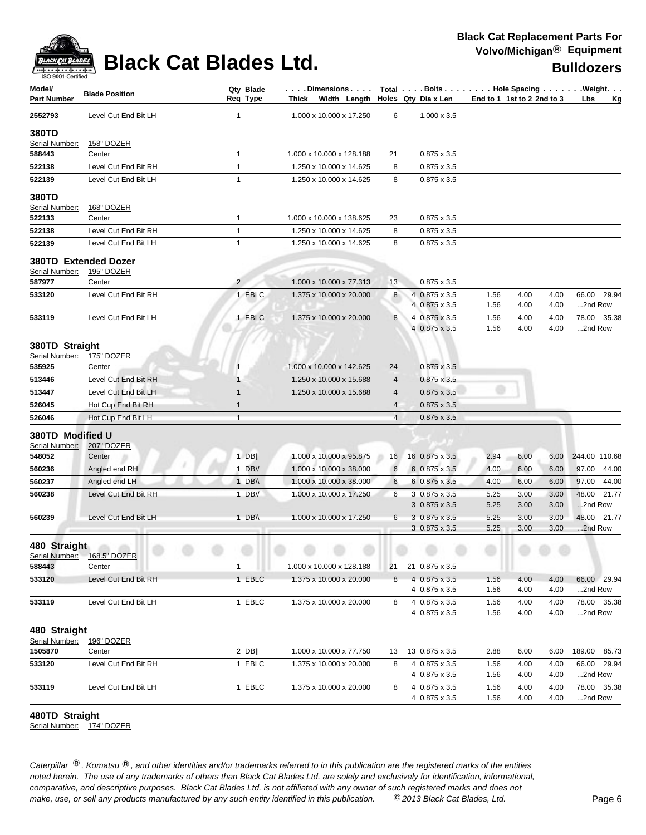

| Model/<br><b>Part Number</b>       | <b>Blade Position</b>              |                                | Qty Blade<br>Req Type | $\ldots$ . Dimensions $\ldots$ .<br>Thick Width Length |        | Total Bolts Hole Spacing Weight.<br>Holes Qty Dia x Len | End to 1 1st to 2 2nd to 3 |              |              | Lbs              | Kg            |
|------------------------------------|------------------------------------|--------------------------------|-----------------------|--------------------------------------------------------|--------|---------------------------------------------------------|----------------------------|--------------|--------------|------------------|---------------|
| 2552793                            | Level Cut End Bit LH               | 1                              |                       | 1.000 x 10.000 x 17.250                                | 6      | $1.000 \times 3.5$                                      |                            |              |              |                  |               |
| 380TD<br>Serial Number:            | <b>158" DOZER</b>                  |                                |                       |                                                        |        |                                                         |                            |              |              |                  |               |
| 588443                             | Center                             | 1                              |                       | 1.000 x 10.000 x 128.188                               | 21     | $0.875 \times 3.5$                                      |                            |              |              |                  |               |
| 522138                             | Level Cut End Bit RH               | $\mathbf{1}$                   |                       | 1.250 x 10.000 x 14.625                                | 8      | $0.875 \times 3.5$                                      |                            |              |              |                  |               |
| 522139                             | Level Cut End Bit LH               | $\mathbf{1}$                   |                       | 1.250 x 10.000 x 14.625                                | 8      | $0.875 \times 3.5$                                      |                            |              |              |                  |               |
| 380TD<br>Serial Number:<br>522133  | 168" DOZER                         |                                |                       | 1.000 x 10.000 x 138.625                               |        | $0.875 \times 3.5$                                      |                            |              |              |                  |               |
|                                    | Center<br>Level Cut End Bit RH     | 1                              |                       | 1.250 x 10.000 x 14.625                                | 23     |                                                         |                            |              |              |                  |               |
| 522138                             | Level Cut End Bit LH               | $\mathbf{1}$<br>$\mathbf{1}$   |                       | 1.250 x 10.000 x 14.625                                | 8<br>8 | $0.875 \times 3.5$<br>$0.875 \times 3.5$                |                            |              |              |                  |               |
| 522139                             |                                    |                                |                       |                                                        |        |                                                         |                            |              |              |                  |               |
| Serial Number:                     | 380TD Extended Dozer<br>195" DOZER |                                |                       |                                                        |        |                                                         |                            |              |              |                  |               |
| 587977                             | Center                             | $\overline{2}$                 |                       | 1.000 x 10.000 x 77.313                                | 13     | $0.875 \times 3.5$                                      |                            |              |              |                  |               |
| 533120                             | Level Cut End Bit RH               |                                | 1 EBLC                | 1.375 x 10.000 x 20.000                                | 8      | $4 0.875 \times 3.5$<br>4 0.875 x 3.5                   | 1.56<br>1.56               | 4.00<br>4.00 | 4.00<br>4.00 | 66.00<br>2nd Row | 29.94         |
| 533119                             | Level Cut End Bit LH               |                                | 1 EBLC                | 1.375 x 10.000 x 20.000                                | 8      | 4 0.875 x 3.5                                           | 1.56                       | 4.00         | 4.00         |                  | 78.00 35.38   |
|                                    |                                    |                                |                       |                                                        |        | 4 0.875 x 3.5                                           | 1.56                       | 4.00         | 4.00         | 2nd Row          |               |
| 380TD Straight                     |                                    |                                |                       |                                                        |        |                                                         |                            |              |              |                  |               |
| Serial Number:                     | 175" DOZER                         |                                |                       |                                                        |        |                                                         |                            |              |              |                  |               |
| 535925                             | Center                             | $\mathbf{1}$                   |                       | 1.000 x 10.000 x 142.625                               | 24     | $0.875 \times 3.5$                                      |                            |              |              |                  |               |
| 513446                             | Level Cut End Bit RH               | $\mathbf{1}$                   |                       | 1.250 x 10.000 x 15.688                                | 4      | $0.875 \times 3.5$                                      |                            |              |              |                  |               |
| 513447                             | Level Cut End Bit LH               | $\mathbf{1}$                   |                       | 1.250 x 10.000 x 15.688                                | 4      | $0.875 \times 3.5$                                      |                            |              |              |                  |               |
| 526045<br>526046                   | Hot Cup End Bit RH                 | $\mathbf{1}$<br>$\overline{1}$ |                       |                                                        | 4<br>4 | $0.875 \times 3.5$                                      |                            |              |              |                  |               |
|                                    | Hot Cup End Bit LH                 |                                |                       |                                                        |        | $0.875 \times 3.5$                                      |                            |              |              |                  |               |
| 380TD Modified U<br>Serial Number: | 207" DOZER                         |                                |                       |                                                        |        |                                                         |                            |              |              |                  |               |
| 548052                             | Center                             |                                | $1$ DB                | 1.000 x 10.000 x 95.875                                | 16     | 16 0.875 x 3.5                                          | 2.94                       | 6.00         | 6.00         |                  | 244.00 110.68 |
| 560236                             | Angled end RH                      |                                | $1$ DB//              | 1.000 x 10.000 x 38.000                                | 6      | $6 0.875 \times 3.5$                                    | 4.00                       | 6.00         | 6.00         | 97.00            | 44.00         |
| 560237                             | Angled end LH                      |                                | 1 DB\\                | 1.000 x 10.000 x 38.000                                | 6      | $6 0.875 \times 3.5$                                    | 4.00                       | 6.00         | 6.00         | 97.00            | 44.00         |
| 560238                             | Level Cut End Bit RH               |                                | $1$ DB//              | 1.000 x 10.000 x 17.250                                | 6      | 3 0.875 x 3.5                                           | 5.25                       | 3.00         | 3.00         | 48.00            | 21.77         |
|                                    |                                    |                                | 1 DB\\                |                                                        |        | $3 0.875 \times 3.5$                                    | 5.25                       | 3.00         | 3.00         | 2nd Row          | 48.00 21.77   |
| 560239                             | Level Cut End Bit LH               |                                |                       | 1.000 x 10.000 x 17.250                                | 6      | $3 0.875 \times 3.5$<br>$3 0.875 \times 3.5$            | 5.25<br>5.25               | 3.00<br>3.00 | 3.00<br>3.00 | 2nd Row          |               |
| 480 Straight                       |                                    |                                |                       |                                                        |        |                                                         |                            |              |              |                  |               |
| Serial Number:<br>588443           | 168.5" DOZER<br>Center             | 1                              |                       | 1.000 x 10.000 x 128.188                               | 21     | 21 0.875 x 3.5                                          |                            |              |              |                  |               |
| 533120                             | Level Cut End Bit RH               |                                | 1 EBLC                | 1.375 x 10.000 x 20.000                                | $\bf8$ | $4 0.875 \times 3.5 $                                   | 1.56                       | 4.00         | 4.00         |                  | 66.00 29.94   |
|                                    |                                    |                                |                       |                                                        |        | $4 0.875 \times 3.5$                                    | 1.56                       | 4.00         | 4.00         | 2nd Row          |               |
| 533119                             | Level Cut End Bit LH               |                                | 1 EBLC                | 1.375 x 10.000 x 20.000                                | 8      | $4 0.875 \times 3.5$<br>$4 0.875 \times 3.5$            | 1.56<br>1.56               | 4.00<br>4.00 | 4.00<br>4.00 | 2nd Row          | 78.00 35.38   |
| 480 Straight                       |                                    |                                |                       |                                                        |        |                                                         |                            |              |              |                  |               |
| Serial Number:<br>1505870          | 196" DOZER<br>Center               |                                | $2$ DB                | 1.000 x 10.000 x 77.750                                | 13     | 13 0.875 x 3.5                                          | 2.88                       | 6.00         | 6.00         | 189.00           | 85.73         |
| 533120                             | Level Cut End Bit RH               |                                | 1 EBLC                | 1.375 x 10.000 x 20.000                                | 8      | $4 0.875 \times 3.5$                                    | 1.56                       | 4.00         | 4.00         | 66.00            | 29.94         |
|                                    |                                    |                                |                       |                                                        |        | $4 0.875 \times 3.5$                                    | 1.56                       | 4.00         | 4.00         | 2nd Row          |               |
| 533119                             | Level Cut End Bit LH               |                                | 1 EBLC                | 1.375 x 10.000 x 20.000                                | 8      | $4 0.875 \times 3.5$                                    | 1.56                       | 4.00         | 4.00         |                  | 78.00 35.38   |
|                                    |                                    |                                |                       |                                                        |        | $4 0.875 \times 3.5$                                    | 1.56                       | 4.00         | 4.00         | 2nd Row          |               |

### **480TD Straight**

Serial Number: 174" DOZER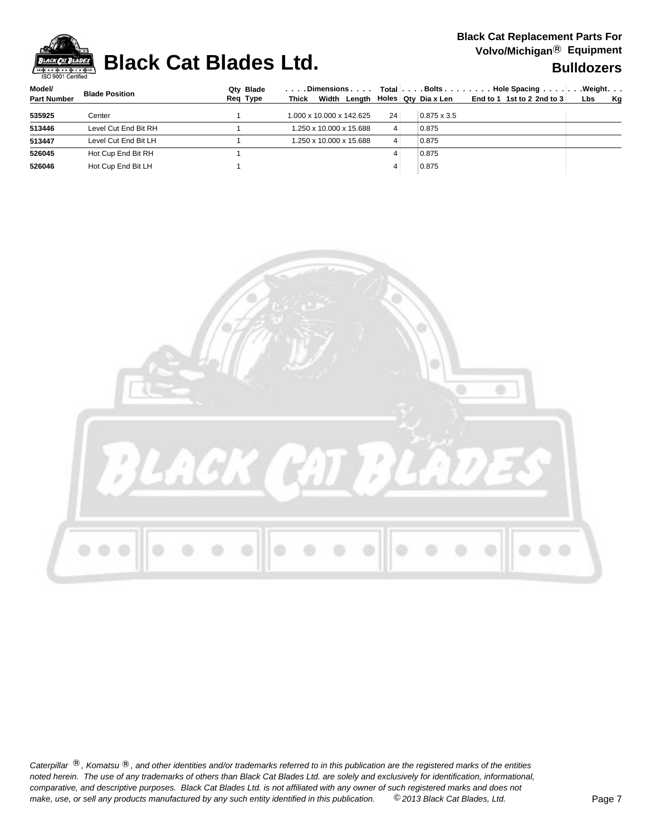

## **Black Cat Blades Ltd. Black Cat Blades Ltd. Black Cat Blades Ltd. Bulldozers**

| Model/             | <b>Blade Position</b> | Qtv Blade | . Dimensions                                   |    |                    | Total Bolts Hole Spacing     | $\ldots$ . Weight. $\ldots$ |
|--------------------|-----------------------|-----------|------------------------------------------------|----|--------------------|------------------------------|-----------------------------|
| <b>Part Number</b> |                       | Reg Type  | Thick Width Length $\vert$ Holes Qty Dia x Len |    |                    | End to 1 1st to 2 2nd to $3$ | <b>Kg</b><br>Lbs            |
| 535925             | Center                |           | 1.000 x 10.000 x 142.625                       | 24 | $0.875 \times 3.5$ |                              |                             |
| 513446             | Level Cut End Bit RH  |           | 1.250 x 10.000 x 15.688                        | 4  | 0.875              |                              |                             |
| 513447             | Level Cut End Bit LH  |           | 1.250 x 10.000 x 15.688                        | 4  | 0.875              |                              |                             |
| 526045             | Hot Cup End Bit RH    |           |                                                |    | 0.875              |                              |                             |
| 526046             | Hot Cup End Bit LH    |           |                                                |    | 0.875              |                              |                             |
|                    |                       |           |                                                |    |                    |                              |                             |

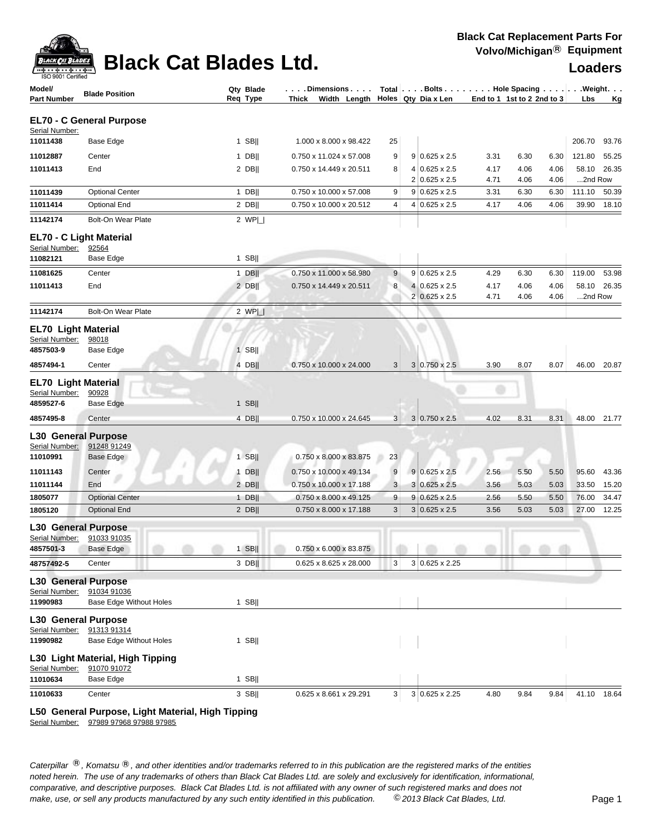

## **Black Cat Blades Ltd. Loaders**

| Model/<br><b>Part Number</b>              | <b>Blade Position</b>            | Qty Blade<br>Req Type | $\ldots$ . Dimensions $\ldots$ .<br>Thick Width Length $\vert$ Holes Qty Dia x Len |    |                | Total Bolts Hole Spacing Weight. | End to 1 1st to 2 2nd to 3 |      |      | Lbs     | <u>Kg</u>   |
|-------------------------------------------|----------------------------------|-----------------------|------------------------------------------------------------------------------------|----|----------------|----------------------------------|----------------------------|------|------|---------|-------------|
|                                           | <b>EL70 - C General Purpose</b>  |                       |                                                                                    |    |                |                                  |                            |      |      |         |             |
| Serial Number:<br>11011438                | Base Edge                        | $1$ SB                | 1.000 x 8.000 x 98.422                                                             | 25 |                |                                  |                            |      |      | 206.70  | 93.76       |
| 11012887                                  | Center                           | $1$ DB                | 0.750 x 11.024 x 57.008                                                            | 9  |                | $9 0.625 \times 2.5$             | 3.31                       | 6.30 | 6.30 | 121.80  | 55.25       |
| 11011413                                  | End                              | $2$ DB                | 0.750 x 14.449 x 20.511                                                            | 8  |                | 4 0.625 x 2.5                    | 4.17                       | 4.06 | 4.06 | 58.10   | 26.35       |
|                                           |                                  |                       |                                                                                    |    |                | $2 0.625 \times 2.5$             | 4.71                       | 4.06 | 4.06 | 2nd Row |             |
| 11011439                                  | <b>Optional Center</b>           | $1$ DB                | 0.750 x 10.000 x 57.008                                                            | 9  |                | $9 0.625 \times 2.5$             | 3.31                       | 6.30 | 6.30 | 111.10  | 50.39       |
| 11011414                                  | <b>Optional End</b>              | $2$ DB                | 0.750 x 10.000 x 20.512                                                            | 4  |                | $4 0.625 \times 2.5$             | 4.17                       | 4.06 | 4.06 | 39.90   | 18.10       |
| 11142174                                  | Bolt-On Wear Plate               | 2 $WP $               |                                                                                    |    |                |                                  |                            |      |      |         |             |
| EL70 - C Light Material<br>Serial Number: | 92564                            |                       |                                                                                    |    |                |                                  |                            |      |      |         |             |
| 11082121                                  | Base Edge                        | $1$ SB                |                                                                                    |    |                |                                  |                            |      |      |         |             |
| 11081625                                  | Center                           | $1$ DB                | 0.750 x 11.000 x 58.980                                                            | 9  |                | $9 0.625 \times 2.5$             | 4.29                       | 6.30 | 6.30 | 119.00  | 53.98       |
| 11011413                                  | End                              | $2$ DB                | 0.750 x 14.449 x 20.511                                                            | 8  |                | 4 0.625 x 2.5                    | 4.17                       | 4.06 | 4.06 | 58.10   | 26.35       |
|                                           |                                  |                       |                                                                                    |    |                | $2 0.625 \times 2.5$             | 4.71                       | 4.06 | 4.06 | 2nd Row |             |
| 11142174                                  | <b>Bolt-On Wear Plate</b>        | 2 $WP$                |                                                                                    |    |                |                                  |                            |      |      |         |             |
| <b>EL70 Light Material</b>                |                                  |                       |                                                                                    |    |                |                                  |                            |      |      |         |             |
| Serial Number:                            | 98018                            |                       |                                                                                    |    |                |                                  |                            |      |      |         |             |
| 4857503-9                                 | Base Edge                        | $1$ SB                |                                                                                    |    |                |                                  |                            |      |      |         |             |
| 4857494-1                                 | Center                           | 4 DB                  | 0.750 x 10.000 x 24.000                                                            | 3  |                | $3 0.750 \times 2.5$             | 3.90                       | 8.07 | 8.07 | 46.00   | 20.87       |
| <b>EL70 Light Material</b>                |                                  |                       |                                                                                    |    |                |                                  |                            |      |      |         |             |
| Serial Number:<br>4859527-6               | 90928<br>Base Edge               | 1 SB                  |                                                                                    |    |                |                                  |                            |      |      |         |             |
|                                           |                                  |                       |                                                                                    |    |                |                                  |                            |      |      |         |             |
| 4857495-8                                 | Center                           | 4 DB                  | 0.750 x 10.000 x 24.645                                                            | 3  |                | $3 0.750 \times 2.5$             | 4.02                       | 8.31 | 8.31 | 48.00   | 21.77       |
| <b>L30 General Purpose</b>                |                                  |                       |                                                                                    |    |                |                                  |                            |      |      |         |             |
| Serial Number:<br>11010991                | 91248 91249<br>Base Edge         | $1$ SB                | 0.750 x 8.000 x 83.875                                                             | 23 |                |                                  |                            |      |      |         |             |
| 11011143                                  | Center                           | 1 DB                  | 0.750 x 10.000 x 49.134                                                            | 9  |                | $9 0.625 \times 2.5$             | 2.56                       | 5.50 | 5.50 | 95.60   | 43.36       |
| 11011144                                  | End                              | $2$ DB                | 0.750 x 10.000 x 17.188                                                            | 3  |                | $3 0.625 \times 2.5$             | 3.56                       | 5.03 | 5.03 | 33.50   | 15.20       |
| 1805077                                   | <b>Optional Center</b>           | 1 DB                  | 0.750 x 8.000 x 49.125                                                             | 9  |                | $9 0.625 \times 2.5$             | 2.56                       | 5.50 | 5.50 | 76.00   | 34.47       |
| 1805120                                   | <b>Optional End</b>              | $2$ DB                | 0.750 x 8.000 x 17.188                                                             | 3  |                | $3 0.625 \times 2.5$             | 3.56                       | 5.03 | 5.03 | 27.00   | 12.25       |
| <b>L30 General Purpose</b>                |                                  |                       |                                                                                    |    |                |                                  |                            |      |      |         |             |
| Serial Number:                            | 91033 91035                      |                       |                                                                                    |    |                |                                  |                            |      |      |         |             |
| 4857501-3                                 | Base Edge                        | $1$ SB $  $           | $0.750 \times 6.000 \times 83.875$                                                 |    | $\blacksquare$ |                                  |                            |      |      |         |             |
| 48757492-5                                | Center                           | $3$ DB                | 0.625 x 8.625 x 28.000                                                             | 3  |                | 3 0.625 x 2.25                   |                            |      |      |         |             |
| <b>L30 General Purpose</b>                |                                  |                       |                                                                                    |    |                |                                  |                            |      |      |         |             |
| Serial Number:                            | 91034 91036                      |                       |                                                                                    |    |                |                                  |                            |      |      |         |             |
| 11990983                                  | Base Edge Without Holes          | $1$ SB                |                                                                                    |    |                |                                  |                            |      |      |         |             |
| <b>L30 General Purpose</b>                |                                  |                       |                                                                                    |    |                |                                  |                            |      |      |         |             |
| Serial Number:                            | 91313 91314                      |                       |                                                                                    |    |                |                                  |                            |      |      |         |             |
| 11990982                                  | Base Edge Without Holes          | 1 SB $  $             |                                                                                    |    |                |                                  |                            |      |      |         |             |
|                                           | L30 Light Material, High Tipping |                       |                                                                                    |    |                |                                  |                            |      |      |         |             |
| Serial Number:<br>11010634                | 91070 91072<br>Base Edge         | $1$ SB                |                                                                                    |    |                |                                  |                            |      |      |         |             |
|                                           |                                  |                       |                                                                                    |    |                | 3 0.625 x 2.25                   | 4.80                       |      | 9.84 |         |             |
| 11010633                                  | Center                           | 3 SB                  | 0.625 x 8.661 x 29.291                                                             | 3  |                |                                  |                            | 9.84 |      |         | 41.10 18.64 |

**L50 General Purpose, Light Material, High Tipping**

Serial Number: 97989 97968 97988 97985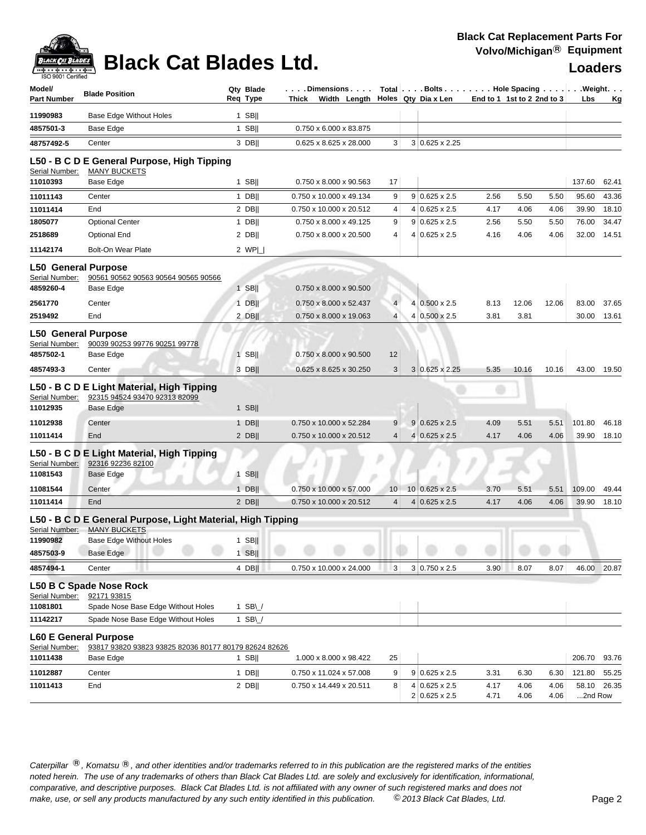| Model/<br>Part Number                                                  | <b>Blade Position</b>                                                                                                                    | Qty Blade<br>Req Type      | . Dimensions<br>Thick Width Length               |                          | Total $\vert \ldots$ Bolts $\ldots \vert \ldots$ Hole Spacing $\ldots \vert \ldots$ Weight. $\ldots$<br>Holes Qty Dia x Len | End to 1 1st to 2 2nd to 3 |       |       | Lbs    | Κg    |
|------------------------------------------------------------------------|------------------------------------------------------------------------------------------------------------------------------------------|----------------------------|--------------------------------------------------|--------------------------|-----------------------------------------------------------------------------------------------------------------------------|----------------------------|-------|-------|--------|-------|
| 11990983                                                               | <b>Base Edge Without Holes</b>                                                                                                           | $1$ SB                     |                                                  |                          |                                                                                                                             |                            |       |       |        |       |
| 4857501-3                                                              | Base Edge                                                                                                                                | $1$ SB                     | 0.750 x 6.000 x 83.875                           |                          |                                                                                                                             |                            |       |       |        |       |
| 48757492-5                                                             | Center                                                                                                                                   | $3$ DB                     | 0.625 x 8.625 x 28.000                           | 3                        | $3 0.625 \times 2.25$                                                                                                       |                            |       |       |        |       |
| Serial Number:<br>11010393                                             | L50 - B C D E General Purpose, High Tipping<br><b>MANY BUCKETS</b><br>Base Edge                                                          | $1$ SB                     | 0.750 x 8.000 x 90.563                           | 17                       |                                                                                                                             |                            |       |       | 137.60 | 62.41 |
| 11011143                                                               | Center                                                                                                                                   | $1$ DB                     | 0.750 x 10.000 x 49.134                          | 9                        | $9 0.625 \times 2.5$                                                                                                        | 2.56                       | 5.50  | 5.50  | 95.60  | 43.36 |
| 11011414                                                               | End                                                                                                                                      | $2$ DB                     | 0.750 x 10.000 x 20.512                          | 4                        | $4 0.625 \times 2.5$                                                                                                        | 4.17                       | 4.06  | 4.06  | 39.90  | 18.10 |
| 1805077                                                                | <b>Optional Center</b>                                                                                                                   | $1$ DB                     | 0.750 x 8.000 x 49.125                           | 9                        | $9 0.625 \times 2.5$                                                                                                        | 2.56                       | 5.50  | 5.50  | 76.00  | 34.47 |
| 2518689                                                                | <b>Optional End</b>                                                                                                                      | $2$ DB                     | 0.750 x 8.000 x 20.500                           | 4                        | $4 0.625 \times 2.5$                                                                                                        | 4.16                       | 4.06  | 4.06  | 32.00  | 14.51 |
| 11142174                                                               | <b>Bolt-On Wear Plate</b>                                                                                                                | 2 $WP $                    |                                                  |                          |                                                                                                                             |                            |       |       |        |       |
| <b>L50 General Purpose</b><br>Serial Number:<br>4859260-4              | 90561 90562 90563 90564 90565 90566<br>Base Edge                                                                                         | $1$ SB                     | 0.750 x 8.000 x 90.500                           |                          |                                                                                                                             |                            |       |       |        |       |
| 2561770                                                                | Center                                                                                                                                   | $1$ DB                     | 0.750 x 8.000 x 52.437                           | $\overline{\mathcal{L}}$ | 4 0.500 x 2.5                                                                                                               | 8.13                       | 12.06 | 12.06 | 83.00  | 37.65 |
| 2519492                                                                | End                                                                                                                                      | $2$ DB                     | 0.750 x 8.000 x 19.063                           | $\overline{4}$           | 4 0.500 x 2.5                                                                                                               | 3.81                       | 3.81  |       | 30.00  | 13.61 |
| <b>L50 General Purpose</b><br>Serial Number:<br>4857502-1<br>4857493-3 | 90039 90253 99776 90251 99778<br>Base Edge<br>Center                                                                                     | $1$ SB  <br>3 DB           | 0.750 x 8.000 x 90.500<br>0.625 x 8.625 x 30.250 | 12<br>3                  | $3 0.625 \times 2.25$                                                                                                       | 5.35                       | 10.16 | 10.16 | 43.00  | 19.50 |
| Serial Number:<br>11012935                                             | L50 - B C D E Light Material, High Tipping<br>92315 94524 93470 92313 82099<br>Base Edge                                                 | 1 SB                       |                                                  |                          |                                                                                                                             |                            |       |       |        |       |
| 11012938                                                               | Center                                                                                                                                   | $1$ DB                     | 0.750 x 10.000 x 52.284                          | 9                        | $9 0.625 \times 2.5$                                                                                                        | 4.09                       | 5.51  | 5.51  | 101.80 | 46.18 |
| 11011414<br>Serial Number:<br>11081543                                 | End<br>L50 - B C D E Light Material, High Tipping<br>92316 92236 82100<br>Base Edge                                                      | $2$ DB  <br>$1$ SB         | 0.750 x 10.000 x 20.512                          | $\overline{4}$           | $4 0.625 \times 2.5$                                                                                                        | 4.17                       | 4.06  | 4.06  | 39.90  | 18.10 |
| 11081544                                                               | Center                                                                                                                                   | $1$ DB                     | 0.750 x 10.000 x 57.000                          | 10                       | $10 0.625 \times 2.5$                                                                                                       | 3.70                       | 5.51  | 5.51  | 109.00 | 49.44 |
| 11011414                                                               | End                                                                                                                                      | $2$ DB                     | 0.750 x 10.000 x 20.512                          | 4                        | $4 0.625 \times 2.5 $                                                                                                       | 4.17                       | 4.06  | 4.06  | 39.90  | 18.10 |
| Serial Number:<br>11990982                                             | L50 - B C D E General Purpose, Light Material, High Tipping<br><b>MANY BUCKETS</b><br><b>Base Edge Without Holes</b><br><b>Base Edge</b> | 1 SB<br>$1$ SB             |                                                  |                          |                                                                                                                             |                            |       |       |        |       |
| 4857503-9                                                              |                                                                                                                                          |                            |                                                  |                          |                                                                                                                             |                            |       |       |        |       |
| 4857494-1                                                              | Center                                                                                                                                   | 4 DB                       | 0.750 x 10.000 x 24.000                          | 3                        | 3 0.750 x 2.5                                                                                                               | 3.90                       | 8.07  | 8.07  | 46.00  | 20.87 |
| Serial Number:<br>11081801<br>11142217                                 | L50 B C Spade Nose Rock<br>92171 93815<br>Spade Nose Base Edge Without Holes<br>Spade Nose Base Edge Without Holes                       | 1 SB $\cup$<br>1 SB $\cup$ |                                                  |                          |                                                                                                                             |                            |       |       |        |       |
| Serial Number:                                                         | <b>L60 E General Purpose</b><br>93817 93820 93823 93825 82036 80177 80179 82624 82626                                                    |                            |                                                  |                          |                                                                                                                             |                            |       |       |        |       |
| 11011438                                                               | Base Edge                                                                                                                                | 1 SB                       | 1.000 x 8.000 x 98.422                           | 25                       |                                                                                                                             |                            |       |       | 206.70 | 93.76 |
| 11012887                                                               | Center                                                                                                                                   | 1 $DB$                     | 0.750 x 11.024 x 57.008                          | 9                        | $9 0.625 \times 2.5$                                                                                                        | 3.31                       | 6.30  | 6.30  | 121.80 | 55.25 |
| 11011413                                                               | End                                                                                                                                      | $2$ DB                     | 0.750 x 14.449 x 20.511                          | 8                        | $4 0.625 \times 2.5$                                                                                                        | 4.17                       | 4.06  | 4.06  | 58.10  | 26.35 |

Caterpillar ®, Komatsu ®, and other identities and/or trademarks referred to in this publication are the registered marks of the entities *noted herein. The use of any trademarks of others than Black Cat Blades Ltd. are solely and exclusively for identification, informational, make, use, or sell any products manufactured by any such entity identified in this publication. comparative, and descriptive purposes. Black Cat Blades Ltd. is not affiliated with any owner of such registered marks and does not* ©*2013 Black Cat Blades, Ltd.* Page 2

2 0.625 x 2.5 4.71 4.06 4.06 ...2nd Row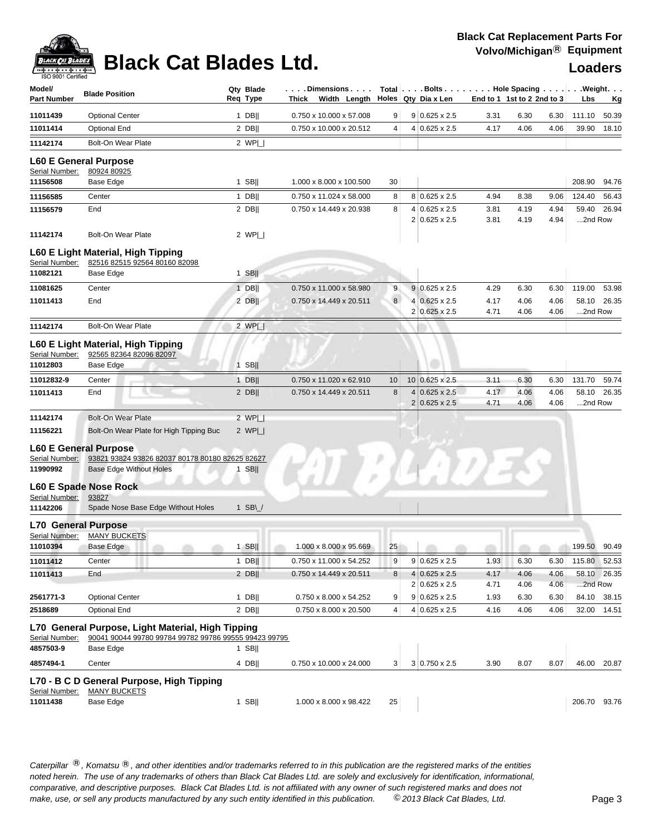| Model/                       | <b>Blade Position</b>                                         | Qty Blade                      | . Dimensions            |                | Total Bolts Hole Spacing Weight. |      |                            |      |              |             |
|------------------------------|---------------------------------------------------------------|--------------------------------|-------------------------|----------------|----------------------------------|------|----------------------------|------|--------------|-------------|
| <b>Part Number</b>           |                                                               | Reg Type                       | Thick Width Length      |                | Holes Qty Dia x Len              |      | End to 1 1st to 2 2nd to 3 |      | Lbs          | <u>Kg</u>   |
| 11011439                     | <b>Optional Center</b>                                        | $1$ DB                         | 0.750 x 10.000 x 57.008 | 9 <sup>°</sup> | $9 0.625 \times 2.5$             | 3.31 | 6.30                       | 6.30 | 111.10       | 50.39       |
| 11011414                     | <b>Optional End</b>                                           | $2$ DB                         | 0.750 x 10.000 x 20.512 | 4              | $4 0.625 \times 2.5$             | 4.17 | 4.06                       | 4.06 | 39.90        | 18.10       |
| 11142174                     | <b>Bolt-On Wear Plate</b>                                     | 2 $WP $                        |                         |                |                                  |      |                            |      |              |             |
| <b>L60 E General Purpose</b> |                                                               |                                |                         |                |                                  |      |                            |      |              |             |
| Serial Number:               | 80924 80925                                                   |                                |                         |                |                                  |      |                            |      |              |             |
| 11156508                     | Base Edge                                                     | $1$ SB                         | 1.000 x 8.000 x 100.500 | 30             |                                  |      |                            |      | 208.90       | 94.76       |
| 11156585                     | Center                                                        | $1$ DB                         | 0.750 x 11.024 x 58.000 | 8              | 8 0.625 x 2.5                    | 4.94 | 8.38                       | 9.06 | 124.40       | 56.43       |
| 11156579                     | End                                                           | $2$ DB                         | 0.750 x 14.449 x 20.938 | 8              | $4 0.625 \times 2.5$             | 3.81 | 4.19                       | 4.94 | 59.40        | 26.94       |
| 11142174                     | <b>Bolt-On Wear Plate</b>                                     | 2 $WPI$                        |                         |                | 2 0.625 x 2.5                    | 3.81 | 4.19                       | 4.94 | 2nd Row      |             |
|                              | L60 E Light Material, High Tipping                            |                                |                         |                |                                  |      |                            |      |              |             |
| Serial Number:               | 82516 82515 92564 80160 82098                                 |                                |                         |                |                                  |      |                            |      |              |             |
| 11082121                     | Base Edge                                                     | $1$ SB                         |                         |                |                                  |      |                            |      |              |             |
| 11081625                     | Center                                                        | $1$ DB                         | 0.750 x 11.000 x 58.980 | 9              | $9 0.625 \times 2.5$             | 4.29 | 6.30                       | 6.30 | 119.00       | 53.98       |
| 11011413                     | End                                                           | $2$ DB                         | 0.750 x 14.449 x 20.511 | 8              | 4 0.625 x 2.5                    | 4.17 | 4.06                       | 4.06 | 58.10        | 26.35       |
|                              |                                                               |                                |                         |                | 2 0.625 x 2.5                    | 4.71 | 4.06                       | 4.06 | 2nd Row      |             |
| 11142174                     | Bolt-On Wear Plate                                            | 2 $WP $                        |                         |                |                                  |      |                            |      |              |             |
| Serial Number:               | L60 E Light Material, High Tipping<br>92565 82364 82096 82097 |                                |                         |                |                                  |      |                            |      |              |             |
| 11012803                     | Base Edge                                                     | $1$ SB                         |                         |                |                                  |      |                            |      |              |             |
| 11012832-9                   | Center                                                        | $1$ DB                         | 0.750 x 11.020 x 62.910 | 10             | 10 0.625 x 2.5                   | 3.11 | 6.30                       | 6.30 | 131.70       | 59.74       |
| 11011413                     | End                                                           | $2$ DB                         | 0.750 x 14.449 x 20.511 | 8              | $4 0.625 \times 2.5$             | 4.17 | 4.06                       | 4.06 | 58.10        | 26.35       |
|                              |                                                               |                                |                         |                | $2 0.625 \times 2.5$             | 4.71 | 4.06                       | 4.06 | 2nd Row      |             |
| 11142174                     | <b>Bolt-On Wear Plate</b>                                     | 2 $WP$                         |                         |                |                                  |      |                            |      |              |             |
| 11156221                     | Bolt-On Wear Plate for High Tipping Buc                       | 2 $WPI_{-}$                    |                         |                |                                  |      |                            |      |              |             |
| <b>L60 E General Purpose</b> |                                                               |                                |                         |                |                                  |      |                            |      |              |             |
| Serial Number:               | 93821 93824 93826 82037 80178 80180 82625 82627               |                                |                         |                |                                  |      |                            |      |              |             |
| 11990992                     | <b>Base Edge Without Holes</b>                                | SB  <br>$\mathbf{1}$           |                         |                |                                  |      |                            |      |              |             |
|                              | <b>L60 E Spade Nose Rock</b>                                  |                                |                         |                |                                  |      |                            |      |              |             |
| Serial Number:               | 93827                                                         |                                |                         |                |                                  |      |                            |      |              |             |
| 11142206                     | Spade Nose Base Edge Without Holes                            | 1 SB\ $\overline{\phantom{a}}$ |                         |                |                                  |      |                            |      |              |             |
| <b>L70 General Purpose</b>   |                                                               |                                |                         |                |                                  |      |                            |      |              |             |
| Serial Number:               | <b>MANY BUCKETS</b>                                           |                                |                         |                |                                  |      |                            |      |              |             |
| 11010394                     | Base Edge                                                     | $1$ SB                         | 1.000 x 8.000 x 95.669  | 25             |                                  |      |                            |      | 199.50       | 90.49       |
| 11011412                     | Center                                                        | $1$ DB                         | 0.750 x 11.000 x 54.252 | 9              | $9 0.625 \times 2.5$             | 1.93 | 6.30                       | 6.30 | 115.80 52.53 |             |
| 11011413                     | End                                                           | 2 DB                           | 0.750 x 14.449 x 20.511 | 8              | $4 0.625 \times 2.5$             | 4.17 | 4.06                       | 4.06 |              | 58.10 26.35 |
|                              |                                                               |                                |                         |                | 2 0.625 x 2.5                    | 4.71 | 4.06                       | 4.06 | 2nd Row      |             |
| 2561771-3                    | <b>Optional Center</b>                                        | 1 $DB$                         | 0.750 x 8.000 x 54.252  | 9              | $9$ 0.625 x 2.5                  | 1.93 | 6.30                       | 6.30 | 84.10        | 38.15       |
| 2518689                      | <b>Optional End</b>                                           | $2$ DB                         | 0.750 x 8.000 x 20.500  | 4              | 4 0.625 x 2.5                    | 4.16 | 4.06                       | 4.06 | 32.00        | 14.51       |
|                              | L70 General Purpose, Light Material, High Tipping             |                                |                         |                |                                  |      |                            |      |              |             |
| Serial Number:               | 90041 90044 99780 99784 99782 99786 99555 99423 99795         |                                |                         |                |                                  |      |                            |      |              |             |
| 4857503-9                    | Base Edge                                                     | 1 SB                           |                         |                |                                  |      |                            |      |              |             |
| 4857494-1                    | Center                                                        | 4 DB                           | 0.750 x 10.000 x 24.000 | 3 <sup>2</sup> | $3 0.750 \times 2.5$             | 3.90 | 8.07                       | 8.07 | 46.00        | 20.87       |
|                              | L70 - B C D General Purpose, High Tipping                     |                                |                         |                |                                  |      |                            |      |              |             |
| Serial Number:               | <b>MANY BUCKETS</b>                                           |                                |                         |                |                                  |      |                            |      |              |             |
| 11011438                     | Base Edge                                                     | $1$ SB                         | 1.000 x 8.000 x 98.422  | 25             |                                  |      |                            |      | 206.70 93.76 |             |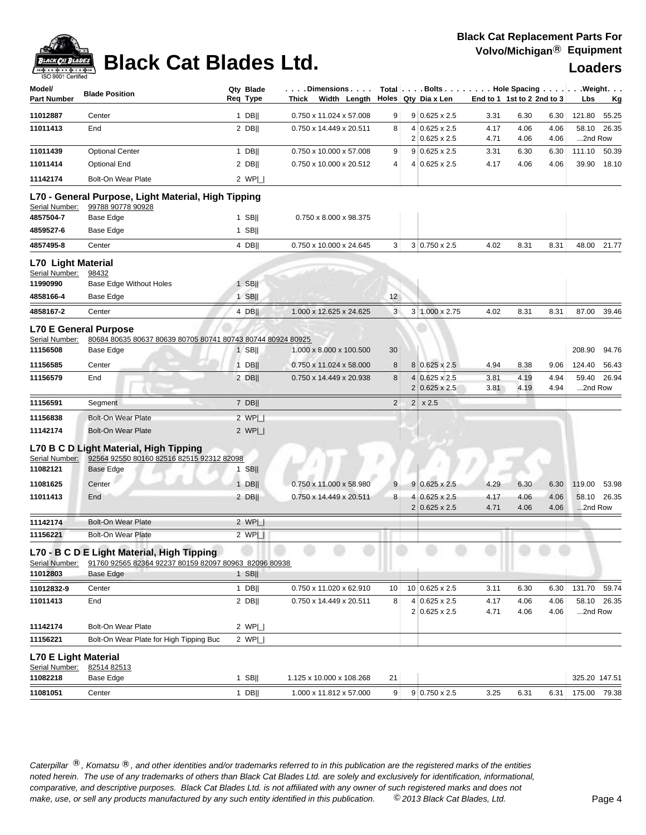

| Model/<br><b>Part Number</b>                              | <b>Blade Position</b>                                                                                    | Qty Blade<br>Req Type | $\ldots$ . Dimensions $\ldots$ .<br>Thick Width Length |                |                | Total   Bolts   Hole Spacing   Weight.<br>Holes Qty Dia x Len | End to 1 1st to 2 2nd to 3 |              |              | Lbs              | <u>Kg</u>   |
|-----------------------------------------------------------|----------------------------------------------------------------------------------------------------------|-----------------------|--------------------------------------------------------|----------------|----------------|---------------------------------------------------------------|----------------------------|--------------|--------------|------------------|-------------|
| 11012887                                                  | Center                                                                                                   | 1 DB                  | 0.750 x 11.024 x 57.008                                | 9              |                | $9 0.625 \times 2.5$                                          | 3.31                       | 6.30         | 6.30         | 121.80           | 55.25       |
| 11011413                                                  | End                                                                                                      | 2 DB                  | 0.750 x 14.449 x 20.511                                | 8              |                | $4 0.625 \times 2.5$<br>$2 0.625 \times 2.5$                  | 4.17<br>4.71               | 4.06<br>4.06 | 4.06<br>4.06 | 58.10<br>2nd Row | 26.35       |
| 11011439                                                  | <b>Optional Center</b>                                                                                   | $1$ DB                | 0.750 x 10.000 x 57.008                                | 9              |                | $9 0.625 \times 2.5$                                          | 3.31                       | 6.30         | 6.30         | 111.10           | 50.39       |
| 11011414                                                  | <b>Optional End</b>                                                                                      | 2 DB                  | 0.750 x 10.000 x 20.512                                | 4              | 4              | $0.625 \times 2.5$                                            | 4.17                       | 4.06         | 4.06         | 39.90            | 18.10       |
| 11142174                                                  | Bolt-On Wear Plate                                                                                       | 2 WPL                 |                                                        |                |                |                                                               |                            |              |              |                  |             |
|                                                           | L70 - General Purpose, Light Material, High Tipping                                                      |                       |                                                        |                |                |                                                               |                            |              |              |                  |             |
| Serial Number:                                            | 99788 90778 90928                                                                                        |                       |                                                        |                |                |                                                               |                            |              |              |                  |             |
| 4857504-7                                                 | <b>Base Edge</b>                                                                                         | $1$ SB                | 0.750 x 8.000 x 98.375                                 |                |                |                                                               |                            |              |              |                  |             |
| 4859527-6                                                 | <b>Base Edge</b>                                                                                         | $1$ SB                |                                                        |                |                |                                                               |                            |              |              |                  |             |
| 4857495-8                                                 | Center                                                                                                   | 4 DB                  | 0.750 x 10.000 x 24.645                                | 3              |                | $3 0.750 \times 2.5$                                          | 4.02                       | 8.31         | 8.31         | 48.00            | 21.77       |
| <b>L70 Light Material</b><br>Serial Number:               | 98432                                                                                                    |                       |                                                        |                |                |                                                               |                            |              |              |                  |             |
| 11990990                                                  | <b>Base Edge Without Holes</b>                                                                           | $1$ SB                |                                                        |                |                |                                                               |                            |              |              |                  |             |
| 4858166-4                                                 | Base Edge                                                                                                | $1$ SB                |                                                        | 12             |                |                                                               |                            |              |              |                  |             |
| 4858167-2                                                 | Center                                                                                                   | 4 DBII                | 1.000 x 12.625 x 24.625                                | 3              |                | 3 1.000 x 2.75                                                | 4.02                       | 8.31         | 8.31         | 87.00            | 39.46       |
| Serial Number:<br>11156508                                | <b>L70 E General Purpose</b><br>80684 80635 80637 80639 80705 80741 80743 80744 80924 80925<br>Base Edge | $1$ SB                | 1.000 x 8.000 x 100.500                                | 30             |                |                                                               |                            |              |              | 208.90           | 94.76       |
| 11156585                                                  | Center                                                                                                   | $1$ DB                | 0.750 x 11.024 x 58.000                                | 8              |                | 8 0.625 x 2.5                                                 | 4.94                       | 8.38         | 9.06         | 124.40           | 56.43       |
| 11156579                                                  | End                                                                                                      | 2 DB                  | 0.750 x 14.449 x 20.938                                | 8              | $\overline{2}$ | $4 0.625 \times 2.5$<br>$0.625 \times 2.5$                    | 3.81<br>3.81               | 4.19<br>4.19 | 4.94<br>4.94 | 59.40<br>2nd Row | 26.94       |
| 11156591                                                  | Segment                                                                                                  | 7 DB                  |                                                        | $\overline{2}$ | $\overline{2}$ | x 2.5                                                         |                            |              |              |                  |             |
| 11156838                                                  | <b>Bolt-On Wear Plate</b>                                                                                | 2 WPL                 |                                                        |                |                |                                                               |                            |              |              |                  |             |
| 11142174                                                  | <b>Bolt-On Wear Plate</b>                                                                                | 2 $WPI_{-}$           |                                                        |                |                |                                                               |                            |              |              |                  |             |
| Serial Number:<br>11082121                                | L70 B C D Light Material, High Tipping<br>92564 92550 80160 82516 82515 92312 82098<br>Base Edge         | $1$ SB                |                                                        |                |                |                                                               |                            |              |              |                  |             |
| 11081625                                                  | Center                                                                                                   |                       | 0.750 x 11.000 x 58.980                                | 9              |                | $9 0.625 \times 2.5$                                          | 4.29                       | 6.30         |              |                  |             |
|                                                           |                                                                                                          | $1$ DB                |                                                        |                |                |                                                               |                            |              | 6.30         | 119.00           | 53.98       |
|                                                           | End                                                                                                      | $2$ DB                | 0.750 x 14.449 x 20.511                                | 8              | 4              | $0.625 \times 2.5$<br>$2 0.625 \times 2.5$                    | 4.17<br>4.71               | 4.06<br>4.06 | 4.06<br>4.06 | 2nd Row          | 58.10 26.35 |
|                                                           | <b>Bolt-On Wear Plate</b>                                                                                | 2 $WPI_{-}$           |                                                        |                |                |                                                               |                            |              |              |                  |             |
| 11011413<br>11142174<br>11156221                          | <b>Bolt-On Wear Plate</b>                                                                                | 2 WPI                 |                                                        |                |                |                                                               |                            |              |              |                  |             |
| Serial Number:                                            | L70 - B C D E Light Material, High Tipping<br>91760 92565 82364 92237 80159 82097 80963 82096 80938      |                       |                                                        |                |                |                                                               |                            |              |              |                  |             |
|                                                           | Base Edge                                                                                                | 1 SB                  |                                                        |                |                |                                                               |                            |              |              |                  |             |
| 11012832-9                                                | Center                                                                                                   | $1$ DB                | 0.750 x 11.020 x 62.910                                | 10             |                | 10 0.625 x 2.5                                                | 3.11                       | 6.30         | 6.30         | 131.70           | 59.74       |
|                                                           | End                                                                                                      | $2$ DB                | 0.750 x 14.449 x 20.511                                | 8              | 4              | $0.625 \times 2.5$<br>2 0.625 x 2.5                           | 4.17<br>4.71               | 4.06<br>4.06 | 4.06<br>4.06 | 2nd Row          |             |
|                                                           | Bolt-On Wear Plate                                                                                       | 2 WPI                 |                                                        |                |                |                                                               |                            |              |              |                  | 58.10 26.35 |
| 11012803<br>11011413<br>11142174<br>11156221              | Bolt-On Wear Plate for High Tipping Buc                                                                  | 2 WPI                 |                                                        |                |                |                                                               |                            |              |              |                  |             |
|                                                           |                                                                                                          |                       |                                                        |                |                |                                                               |                            |              |              |                  |             |
| <b>L70 E Light Material</b><br>Serial Number:<br>11082218 | 82514 82513<br>Base Edge                                                                                 | $1$ SB                | 1.125 x 10.000 x 108.268                               | 21             |                |                                                               |                            |              |              | 325.20 147.51    |             |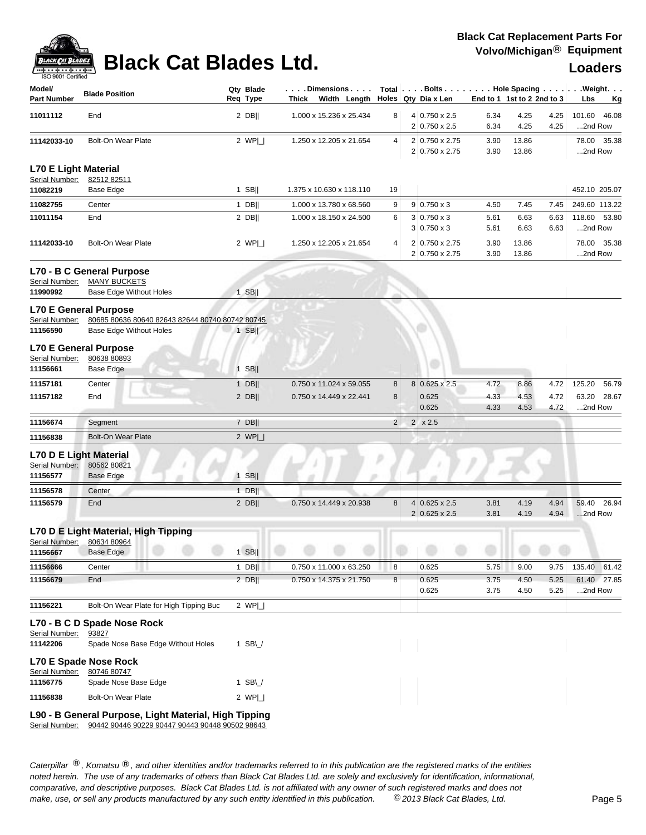| Model/<br><b>Part Number</b>                  | <b>Blade Position</b>                                     | Qty Blade<br>Req Type | $\dots$ . Dimensions $\dots$ .<br>Thick Width Length |                |                | Total   Bolts   Hole Spacing   Weight.<br>Holes Qty Dia x Len |              | End to 1 1st to 2 2nd to 3 |              | Lbs                     | Kg    |
|-----------------------------------------------|-----------------------------------------------------------|-----------------------|------------------------------------------------------|----------------|----------------|---------------------------------------------------------------|--------------|----------------------------|--------------|-------------------------|-------|
| 11011112                                      | End                                                       | $2$ DB                | 1.000 x 15.236 x 25.434                              | 8              |                | 4 0.750 x 2.5<br>$2 0.750 \times 2.5$                         | 6.34<br>6.34 | 4.25<br>4.25               | 4.25<br>4.25 | 101.60<br>2nd Row       | 46.08 |
| 11142033-10                                   | <b>Bolt-On Wear Plate</b>                                 | 2 $WPI$               | 1.250 x 12.205 x 21.654                              | 4              |                | 2 0.750 x 2.75<br>2 0.750 x 2.75                              | 3.90<br>3.90 | 13.86<br>13.86             |              | 78.00 35.38<br>2nd Row  |       |
| <b>L70 E Light Material</b><br>Serial Number: | 82512 82511                                               |                       |                                                      |                |                |                                                               |              |                            |              |                         |       |
| 11082219                                      | Base Edge                                                 | $1$ SB                | 1.375 x 10.630 x 118.110                             | 19             |                |                                                               |              |                            |              | 452.10 205.07           |       |
| 11082755                                      | Center                                                    | $1$ DB                | 1.000 x 13.780 x 68.560                              | 9              |                | $9 0.750 \times 3$                                            | 4.50         | 7.45                       | 7.45         | 249.60 113.22           |       |
| 11011154                                      | End                                                       | $2$ DB                | 1.000 x 18.150 x 24.500                              | 6              |                | $3 0.750 \times 3$<br>$3 0.750 \times 3$                      | 5.61<br>5.61 | 6.63<br>6.63               | 6.63<br>6.63 | 118.60 53.80<br>2nd Row |       |
| 11142033-10                                   | <b>Bolt-On Wear Plate</b>                                 | 2 $WPI$               | 1.250 x 12.205 x 21.654                              | 4              |                | 2 0.750 x 2.75<br>2 0.750 x 2.75                              | 3.90<br>3.90 | 13.86<br>13.86             |              | 78.00 35.38<br>2nd Row  |       |
|                                               | L70 - B C General Purpose                                 |                       |                                                      |                |                |                                                               |              |                            |              |                         |       |
| Serial Number:                                | <b>MANY BUCKETS</b>                                       |                       |                                                      |                |                |                                                               |              |                            |              |                         |       |
| 11990992                                      | Base Edge Without Holes                                   | $1$ SB                |                                                      |                |                |                                                               |              |                            |              |                         |       |
|                                               | <b>L70 E General Purpose</b>                              |                       |                                                      |                |                |                                                               |              |                            |              |                         |       |
| Serial Number:                                | 80685 80636 80640 82643 82644 80740 80742 80745           |                       |                                                      |                |                |                                                               |              |                            |              |                         |       |
| 11156590                                      | Base Edge Without Holes                                   | $1$ SB                |                                                      |                |                |                                                               |              |                            |              |                         |       |
|                                               | <b>L70 E General Purpose</b>                              |                       |                                                      |                |                |                                                               |              |                            |              |                         |       |
| Serial Number:<br>11156661                    | 80638 80893<br>Base Edge                                  | $1$ SB                |                                                      |                |                |                                                               |              |                            |              |                         |       |
|                                               |                                                           |                       |                                                      |                |                |                                                               |              |                            |              |                         |       |
| 11157181<br>11157182                          | Center<br>End                                             | $1$ DB                | 0.750 x 11.024 x 59.055<br>0.750 x 14.449 x 22.441   | 8<br>8         |                | 8 0.625 x 2.5<br>0.625                                        | 4.72<br>4.33 | 8.86<br>4.53               | 4.72<br>4.72 | 125.20<br>63.20 28.67   | 56.79 |
|                                               |                                                           | $2$ DB                |                                                      |                |                | 0.625                                                         | 4.33         | 4.53                       | 4.72         | 2nd Row                 |       |
| 11156674                                      | Segment                                                   | $7$ DB                |                                                      | $\overline{2}$ | 2 <sup>1</sup> | x 2.5                                                         |              |                            |              |                         |       |
| 11156838                                      | <b>Bolt-On Wear Plate</b>                                 | 2 $WPI_{-}$           |                                                      |                |                |                                                               |              |                            |              |                         |       |
| Serial Number:<br>11156577                    | L70 D E Light Material<br>80562 80821<br><b>Base Edge</b> | $1$ SB                |                                                      |                |                |                                                               |              |                            |              |                         |       |
| 11156578                                      | Center                                                    | $1$ DB                |                                                      |                |                |                                                               |              |                            |              |                         |       |
| 11156579                                      | End                                                       | $2$ DB                | 0.750 x 14.449 x 20.938                              | 8              |                | $4 0.625 \times 2.5$<br>$2 0.625 \times 2.5$                  | 3.81<br>3.81 | 4.19<br>4.19               | 4.94<br>4.94 | 59.40 26.94<br>2nd Row  |       |
|                                               | L70 D E Light Material, High Tipping                      |                       |                                                      |                |                |                                                               |              |                            |              |                         |       |
| 11156667                                      | Serial Number: 80634 80964<br>Base Edge                   | $1$ SB                |                                                      |                |                | $(1 - 1)$ $(1 - 1)$ $(1 - 1)$ $(1 - 1)$                       |              |                            |              |                         |       |
| 11156666                                      | Center                                                    | $1$ DB                | 0.750 x 11.000 x 63.250                              | 8              |                | 0.625                                                         | 5.75         | 9.00                       | 9.75         | 135.40 61.42            |       |
| 11156679                                      | End                                                       | $2$ DB                | 0.750 x 14.375 x 21.750                              | 8              |                | 0.625                                                         | 3.75         | 4.50                       | 5.25         | 61.40 27.85             |       |
|                                               |                                                           |                       |                                                      |                |                | 0.625                                                         | 3.75         | 4.50                       | 5.25         | 2nd Row                 |       |
| 11156221                                      | Bolt-On Wear Plate for High Tipping Buc                   | 2 $WPI$               |                                                      |                |                |                                                               |              |                            |              |                         |       |
| Serial Number:                                | L70 - B C D Spade Nose Rock<br>93827                      |                       |                                                      |                |                |                                                               |              |                            |              |                         |       |
| 11142206                                      | Spade Nose Base Edge Without Holes                        | 1 SB $\cup$           |                                                      |                |                |                                                               |              |                            |              |                         |       |
| Serial Number:                                | L70 E Spade Nose Rock<br>80746 80747                      |                       |                                                      |                |                |                                                               |              |                            |              |                         |       |
| 11156775                                      | Spade Nose Base Edge                                      | 1 SB\ $/$             |                                                      |                |                |                                                               |              |                            |              |                         |       |
| 11156838                                      | Bolt-On Wear Plate                                        | 2 WP _                |                                                      |                |                |                                                               |              |                            |              |                         |       |

### **L90 - B General Purpose, Light Material, High Tipping**

Serial Number: 90442 90446 90229 90447 90443 90448 90502 98643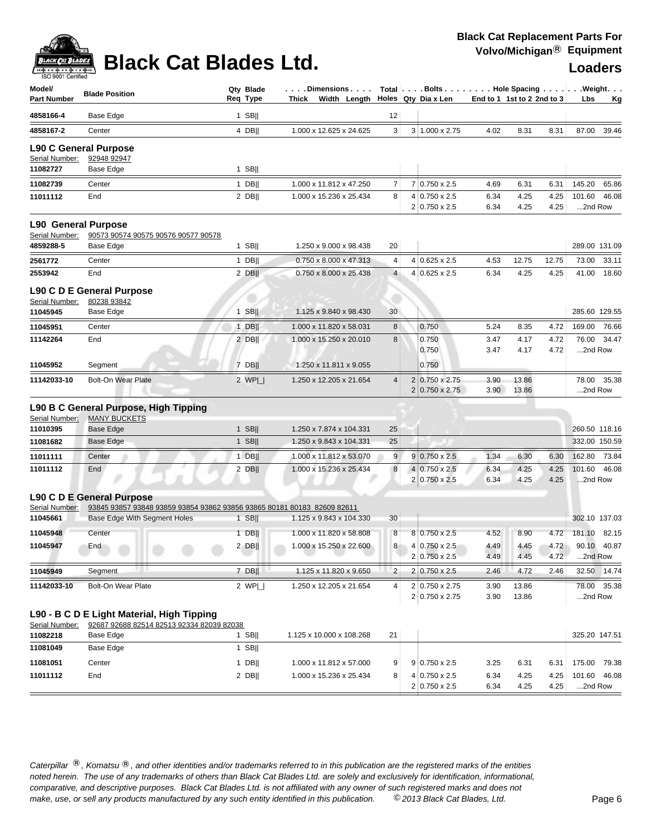# **Black Cat Blades Ltd. Loaders Lighter Cat Blades Ltd. Loaders**

| ISO 9001 Certified<br>Model/<br><b>Part Number</b> | <b>Blade Position</b>                                                                   | Qty Blade<br>Req Type | . Dimensions<br>Thick<br>Width Length |                  | Total $\vert \ldots$ Bolts $\ldots \vert \ldots$ . Hole Spacing $\ldots \vert \ldots$ Weight. $\ldots$<br>Holes Qty Dia x Len | End to 1 1st to 2 2nd to 3 |                |              | Lbs                    | <u>Kg</u>   |
|----------------------------------------------------|-----------------------------------------------------------------------------------------|-----------------------|---------------------------------------|------------------|-------------------------------------------------------------------------------------------------------------------------------|----------------------------|----------------|--------------|------------------------|-------------|
| 4858166-4                                          | Base Edge                                                                               | $1$ SB                |                                       | 12               |                                                                                                                               |                            |                |              |                        |             |
| 4858167-2                                          | Center                                                                                  | 4 DBII                | 1.000 x 12.625 x 24.625               | 3                | 3 1.000 x 2.75                                                                                                                | 4.02                       | 8.31           | 8.31         | 87.00                  | 39.46       |
|                                                    | <b>L90 C General Purpose</b>                                                            |                       |                                       |                  |                                                                                                                               |                            |                |              |                        |             |
| Serial Number:                                     | 92948 92947                                                                             |                       |                                       |                  |                                                                                                                               |                            |                |              |                        |             |
| 11082727                                           | Base Edge                                                                               | $1$ SB                |                                       |                  |                                                                                                                               |                            |                |              |                        |             |
| 11082739                                           | Center                                                                                  | $1$ DB                | 1.000 x 11.812 x 47.250               | 7                | 7 0.750 x 2.5                                                                                                                 | 4.69                       | 6.31           | 6.31         | 145.20                 | 65.86       |
| 11011112                                           | End                                                                                     | $2$ DB                | 1.000 x 15.236 x 25.434               | 8                | 4 0.750 x 2.5<br>2 0.750 x 2.5                                                                                                | 6.34<br>6.34               | 4.25<br>4.25   | 4.25<br>4.25 | 101.60<br>2nd Row      | 46.08       |
| <b>L90 General Purpose</b>                         |                                                                                         |                       |                                       |                  |                                                                                                                               |                            |                |              |                        |             |
| Serial Number:                                     | 90573 90574 90575 90576 90577 90578                                                     |                       |                                       |                  |                                                                                                                               |                            |                |              |                        |             |
| 4859288-5                                          | Base Edge                                                                               | $1$ SB                | 1.250 x 9.000 x 98.438                | 20               |                                                                                                                               |                            |                |              | 289.00 131.09          |             |
| 2561772                                            | Center                                                                                  | $1$ DB                | 0.750 x 8.000 x 47.313                | 4                | $4 0.625 \times 2.5$                                                                                                          | 4.53                       | 12.75          | 12.75        | 73.00                  | 33.11       |
| 2553942                                            | End                                                                                     | $2$ DB                | 0.750 x 8.000 x 25.438                | $\overline{4}$   | $4 0.625 \times 2.5$                                                                                                          | 6.34                       | 4.25           | 4.25         | 41.00                  | 18.60       |
|                                                    | L90 C D E General Purpose                                                               |                       |                                       |                  |                                                                                                                               |                            |                |              |                        |             |
| Serial Number:<br>11045945                         | 80238 93842<br>Base Edge                                                                | $1$ SB                | 1.125 x 9.840 x 98.430                | 30               |                                                                                                                               |                            |                |              | 285.60 129.55          |             |
| 11045951                                           | Center                                                                                  | $1$ DB                | 1.000 x 11.820 x 58.031               | 8                | 0.750                                                                                                                         | 5.24                       | 8.35           | 4.72         | 169.00                 | 76.66       |
| 11142264                                           | End                                                                                     | $2$ DB                | 1.000 x 15.250 x 20.010               | 8                | 0.750                                                                                                                         | 3.47                       | 4.17           | 4.72         | 76.00                  | 34.47       |
|                                                    |                                                                                         |                       |                                       |                  | 0.750                                                                                                                         | 3.47                       | 4.17           | 4.72         | 2nd Row                |             |
| 11045952                                           | Segment                                                                                 | $7$ DB                | 1.250 x 11.811 x 9.055                |                  | 0.750                                                                                                                         |                            |                |              |                        |             |
| 11142033-10                                        | <b>Bolt-On Wear Plate</b>                                                               | $2$ WP $\Box$         | 1.250 x 12.205 x 21.654               | 4                | 2 0.750 x 2.75<br>$2 0.750 \times 2.75$                                                                                       | 3.90<br>3.90               | 13.86<br>13.86 |              | 78.00<br>2nd Row       | 35.38       |
|                                                    | L90 B C General Purpose, High Tipping                                                   |                       |                                       |                  |                                                                                                                               |                            |                |              |                        |             |
| Serial Number:                                     | <b>MANY BUCKETS</b>                                                                     |                       |                                       |                  |                                                                                                                               |                            |                |              |                        |             |
| 11010395                                           | Base Edge                                                                               | $1$ SB                | 1.250 x 7.874 x 104.331               | 25               |                                                                                                                               |                            |                |              | 260.50 118.16          |             |
| 11081682                                           | <b>Base Edge</b>                                                                        | $1$ SB                | 1.250 x 9.843 x 104.331               | 25               |                                                                                                                               |                            |                |              | 332.00 150.59          |             |
| 11011111                                           | Center                                                                                  | $1$ DB                | 1.000 x 11.812 x 53.070               | 9                | $9 0.750 \times 2.5$                                                                                                          | 1.34                       | 6.30           | 6.30         | 162.80                 | 73.84       |
| 11011112                                           | End                                                                                     | 2 DB                  | 1.000 x 15.236 x 25.434               | $\boldsymbol{8}$ | 4 0.750 x 2.5<br>2 0.750 x 2.5                                                                                                | 6.34<br>6.34               | 4.25<br>4.25   | 4.25<br>4.25 | 101.60<br>2nd Row      | 46.08       |
|                                                    | L90 C D E General Purpose                                                               |                       |                                       |                  |                                                                                                                               |                            |                |              |                        |             |
| Serial Number:                                     | 93845 93857 93848 93859 93854 93862 93856 93865 80181 80183 82609 82611                 | $1$ SB                | 1.125 x 9.843 x 104.330               | 30               |                                                                                                                               |                            |                |              | 302.10 137.03          |             |
| 11045661                                           | Base Edge With Segment Holes                                                            |                       |                                       |                  |                                                                                                                               |                            |                |              |                        |             |
| 11045948                                           | Center                                                                                  | $1$ DB                | 1.000 x 11.820 x 58.808               | 8                | 8 0.750 x 2.5                                                                                                                 | 4.52                       | 8.90           | 4.72         | 181.10 82.15           |             |
| 11045947                                           | End                                                                                     | $2$ DB                | 1.000 x 15.250 x 22.600               | 8 <sup>1</sup>   | $4 0.750 \times 2.5 $<br>2 0.750 x 2.5                                                                                        | 4.49<br>4.49               | 4.45<br>4.45   | 4.72<br>4.72 | 90.10 40.87<br>2nd Row |             |
| 11045949                                           | <br>Segment                                                                             | $7$ DB                | 1.125 x 11.820 x 9.650                | 2                | $2 0.750 \times 2.5$                                                                                                          | 2.46                       | 4.72           | 2.46         |                        | 32.50 14.74 |
| 11142033-10                                        | <b>Bolt-On Wear Plate</b>                                                               | 2 $WPI$               | 1.250 x 12.205 x 21.654               | 4                | 2 0.750 x 2.75                                                                                                                | 3.90                       | 13.86          |              |                        | 78.00 35.38 |
|                                                    |                                                                                         |                       |                                       |                  | 2 0.750 x 2.75                                                                                                                | 3.90                       | 13.86          |              | 2nd Row                |             |
|                                                    | L90 - B C D E Light Material, High Tipping<br>92687 92688 82514 82513 92334 82039 82038 |                       |                                       |                  |                                                                                                                               |                            |                |              |                        |             |
| Serial Number:<br>11082218                         | Base Edge                                                                               | 1 SB $  $             | 1.125 x 10.000 x 108.268              | 21               |                                                                                                                               |                            |                |              | 325.20 147.51          |             |
| 11081049                                           | Base Edge                                                                               | $1$ SB                |                                       |                  |                                                                                                                               |                            |                |              |                        |             |
| 11081051                                           | Center                                                                                  | 1 $DB$                | 1.000 x 11.812 x 57.000               | 9                | $9 0.750 \times 2.5$                                                                                                          | 3.25                       | 6.31           | 6.31         | 175.00                 | 79.38       |
| 11011112                                           | End                                                                                     | $2$ DB                | 1.000 x 15.236 x 25.434               | 8                | 4 0.750 x 2.5                                                                                                                 | 6.34                       | 4.25           | 4.25         | 101.60 46.08           |             |
|                                                    |                                                                                         |                       |                                       |                  | 2 0.750 x 2.5                                                                                                                 | 6.34                       | 4.25           | 4.25         | 2nd Row                |             |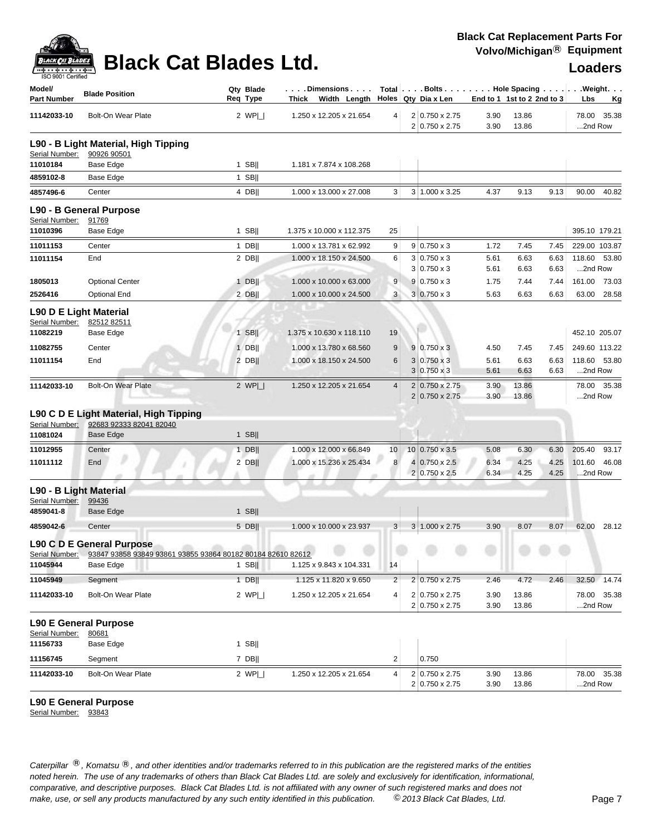

| Model/<br><b>Part Number</b>             | <b>Blade Position</b>                                                                           | Qty Blade<br>Reg Type |             | Dimensions<br>Thick Width Length |                  | Total Bolts Hole Spacing Weight.<br>Holes Qty Dia x Len | End to 1 1st to 2 2nd to 3 |                |      | Lbs              | <u>Kg</u>   |
|------------------------------------------|-------------------------------------------------------------------------------------------------|-----------------------|-------------|----------------------------------|------------------|---------------------------------------------------------|----------------------------|----------------|------|------------------|-------------|
| 11142033-10                              | <b>Bolt-On Wear Plate</b>                                                                       |                       | 2 $WPI_{-}$ | 1.250 x 12.205 x 21.654          | 4                | 2 0.750 x 2.75<br>2 0.750 x 2.75                        | 3.90<br>3.90               | 13.86<br>13.86 |      | 78.00<br>2nd Row | 35.38       |
| Serial Number:                           | L90 - B Light Material, High Tipping<br>90926 90501                                             |                       |             |                                  |                  |                                                         |                            |                |      |                  |             |
| 11010184                                 | Base Edge                                                                                       | $1$ SB                |             | 1.181 x 7.874 x 108.268          |                  |                                                         |                            |                |      |                  |             |
| 4859102-8                                | Base Edge                                                                                       | $1$ SB                |             |                                  |                  |                                                         |                            |                |      |                  |             |
| 4857496-6                                | Center                                                                                          |                       | 4 DB        | 1.000 x 13.000 x 27.008          | 3                | 3 1.000 x 3.25                                          | 4.37                       | 9.13           | 9.13 | 90.00            | 40.82       |
| Serial Number:                           | L90 - B General Purpose<br>91769                                                                |                       |             |                                  |                  |                                                         |                            |                |      |                  |             |
| 11010396                                 | Base Edge                                                                                       | $1$ SB                |             | 1.375 x 10.000 x 112.375         | 25               |                                                         |                            |                |      | 395.10 179.21    |             |
| 11011153                                 | Center                                                                                          | $1$ DB                |             | 1.000 x 13.781 x 62.992          | 9                | $9 0.750 \times 3$                                      | 1.72                       | 7.45           | 7.45 | 229.00 103.87    |             |
| 11011154                                 | End                                                                                             |                       | $2$ DB      | 1.000 x 18.150 x 24.500          | 6                | $3 0.750 \times 3$                                      | 5.61                       | 6.63           | 6.63 | 118.60           | 53.80       |
|                                          |                                                                                                 |                       |             |                                  |                  | $3 0.750 \times 3$                                      | 5.61                       | 6.63           | 6.63 | 2nd Row          |             |
| 1805013                                  | <b>Optional Center</b>                                                                          | $1$ DB                |             | 1.000 x 10.000 x 63.000          | 9                | $9 0.750 \times 3$                                      | 1.75                       | 7.44           | 7.44 | 161.00           | 73.03       |
| 2526416                                  | <b>Optional End</b>                                                                             |                       | 2 DB        | 1.000 x 10.000 x 24.500          | 3                | $3 0.750 \times 3$                                      | 5.63                       | 6.63           | 6.63 | 63.00            | 28.58       |
| L90 D E Light Material<br>Serial Number: | 82512 82511                                                                                     |                       |             |                                  |                  |                                                         |                            |                |      |                  |             |
| 11082219                                 | Base Edge                                                                                       | $1$ SB                |             | 1.375 x 10.630 x 118.110         | 19               |                                                         |                            |                |      | 452.10 205.07    |             |
| 11082755                                 | Center                                                                                          | $1$ DB                |             | 1.000 x 13.780 x 68.560          | $\boldsymbol{9}$ | $9 0.750 \times 3$                                      | 4.50                       | 7.45           | 7.45 | 249.60 113.22    |             |
| 11011154                                 | End                                                                                             |                       | 2 DBII      | 1.000 x 18.150 x 24.500          | 6                | $3 0.750 \times 3$                                      | 5.61                       | 6.63           | 6.63 | 118.60           | 53.80       |
|                                          |                                                                                                 |                       |             |                                  |                  | $3 0.750 \times 3$                                      | 5.61                       | 6.63           | 6.63 | 2nd Row          |             |
| 11142033-10                              | <b>Bolt-On Wear Plate</b>                                                                       |                       | 2 $WPI_{-}$ | 1.250 x 12.205 x 21.654          | $\overline{4}$   | 2 0.750 x 2.75<br>2 0.750 x 2.75                        | 3.90<br>3.90               | 13.86<br>13.86 |      | 2nd Row          | 78.00 35.38 |
|                                          | L90 C D E Light Material, High Tipping                                                          |                       |             |                                  |                  |                                                         |                            |                |      |                  |             |
| Serial Number:<br>11081024               | 92683 92333 82041 82040<br><b>Base Edge</b>                                                     | $1$ SB                |             |                                  |                  |                                                         |                            |                |      |                  |             |
| 11012955                                 | Center                                                                                          | $1$ DB                |             | 1.000 x 12.000 x 66.849          | 10               | $10 0.750 \times 3.5$                                   | 5.08                       | 6.30           | 6.30 | 205.40           | 93.17       |
| 11011112                                 | y<br>End                                                                                        | $2$ DB                |             | 1.000 x 15.236 x 25.434          | 8                | 4 0.750 x 2.5                                           | 6.34                       | 4.25           | 4.25 | 101.60           | 46.08       |
|                                          |                                                                                                 |                       |             |                                  |                  | $2 0.750 \times 2.5$                                    | 6.34                       | 4.25           | 4.25 | 2nd Row          |             |
| L90 - B Light Material                   |                                                                                                 |                       |             |                                  |                  |                                                         |                            |                |      |                  |             |
| Serial Number:                           | 99436                                                                                           |                       |             |                                  |                  |                                                         |                            |                |      |                  |             |
| 4859041-8                                | Base Edge                                                                                       |                       | $1$ SB      |                                  |                  |                                                         |                            |                |      |                  |             |
| 4859042-6                                | Center                                                                                          |                       | 5 DB        | 1.000 x 10.000 x 23.937          | 3                | $3 1.000 \times 2.75$                                   | 3.90                       | 8.07           | 8.07 | 62.00            | 28.12       |
| Serial Number:                           | <b>L90 C D E General Purpose</b><br>93847 93858 93849 93861 93855 93864 80182 80184 82610 82612 |                       |             |                                  |                  |                                                         |                            |                |      |                  |             |
| 11045944                                 | Base Edge                                                                                       |                       | 1 $SB$      | 1.125 x 9.843 x 104.331          | 14               |                                                         |                            |                |      |                  |             |
| 11045949                                 | Segment                                                                                         |                       | $1$ DB      | 1.125 x 11.820 x 9.650           | $\overline{c}$   | $2 0.750 \times 2.75$                                   | 2.46                       | 4.72           | 2.46 |                  | 32.50 14.74 |
| 11142033-10                              | Bolt-On Wear Plate                                                                              |                       | 2 $WPI$     | 1.250 x 12.205 x 21.654          | $\overline{4}$   | 2 0.750 x 2.75                                          | 3.90                       | 13.86          |      |                  | 78.00 35.38 |
|                                          |                                                                                                 |                       |             |                                  |                  | 2 0.750 x 2.75                                          | 3.90                       | 13.86          |      | 2nd Row          |             |
|                                          | <b>L90 E General Purpose</b>                                                                    |                       |             |                                  |                  |                                                         |                            |                |      |                  |             |
| Serial Number:                           | 80681                                                                                           |                       |             |                                  |                  |                                                         |                            |                |      |                  |             |
| 11156733                                 | Base Edge                                                                                       | $1$ SB                |             |                                  |                  |                                                         |                            |                |      |                  |             |
| 11156745                                 | Segment                                                                                         | 7 DB                  |             |                                  | $\overline{2}$   | 0.750                                                   |                            |                |      |                  |             |
| 11142033-10                              | Bolt-On Wear Plate                                                                              |                       | 2 $WPI_{-}$ | 1.250 x 12.205 x 21.654          | 4                | 2 0.750 x 2.75<br>2 0.750 x 2.75                        | 3.90<br>3.90               | 13.86<br>13.86 |      | 78.00<br>2nd Row | 35.38       |

### **L90 E General Purpose**

Serial Number: 93843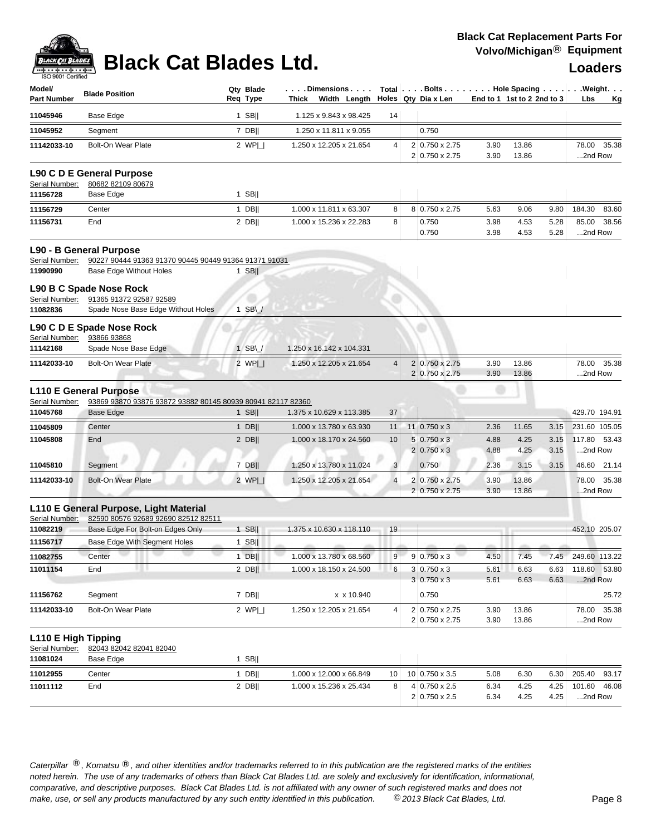| Model/<br><b>Part Number</b>          | <b>Blade Position</b>                                                         | Qty Blade<br>Req Type | Dimensions<br>Thick Width Length |                         | Holes Qty Dia x Len              | End to 1 1st to 2 2nd to 3 |                |              | Total   Bolts   Hole Spacing   Weight.<br>Lbs<br>Κg |
|---------------------------------------|-------------------------------------------------------------------------------|-----------------------|----------------------------------|-------------------------|----------------------------------|----------------------------|----------------|--------------|-----------------------------------------------------|
| 11045946                              | Base Edge                                                                     | $1$ SB                | 1.125 x 9.843 x 98.425           | 14                      |                                  |                            |                |              |                                                     |
| 11045952                              | Segment                                                                       | 7 DB                  | 1.250 x 11.811 x 9.055           |                         | 0.750                            |                            |                |              |                                                     |
| 11142033-10                           | <b>Bolt-On Wear Plate</b>                                                     | 2 WPI                 | 1.250 x 12.205 x 21.654          | 4                       | 2 0.750 x 2.75<br>2 0.750 x 2.75 | 3.90<br>3.90               | 13.86<br>13.86 |              | 78.00<br>35.38<br>2nd Row                           |
|                                       | L90 C D E General Purpose                                                     |                       |                                  |                         |                                  |                            |                |              |                                                     |
| Serial Number:                        | 80682 82109 80679                                                             |                       |                                  |                         |                                  |                            |                |              |                                                     |
| 11156728                              | Base Edge                                                                     | $1$ SB                |                                  |                         |                                  |                            |                |              |                                                     |
| 11156729                              | Center                                                                        | $1$ DB                | 1.000 x 11.811 x 63.307          | 8                       | 8 0.750 x 2.75                   | 5.63                       | 9.06           | 9.80         | 184.30<br>83.60                                     |
| 11156731                              | End                                                                           | $2$ DB                | 1.000 x 15.236 x 22.283          | 8                       | 0.750<br>0.750                   | 3.98<br>3.98               | 4.53<br>4.53   | 5.28<br>5.28 | 85.00<br>38.56<br>2nd Row                           |
|                                       | L90 - B General Purpose                                                       |                       |                                  |                         |                                  |                            |                |              |                                                     |
| Serial Number:                        | 90227 90444 91363 91370 90445 90449 91364 91371 91031                         |                       |                                  |                         |                                  |                            |                |              |                                                     |
| 11990990                              | Base Edge Without Holes                                                       | $1$ SB                |                                  |                         |                                  |                            |                |              |                                                     |
|                                       | L90 B C Spade Nose Rock                                                       |                       |                                  |                         |                                  |                            |                |              |                                                     |
| Serial Number:<br>11082836            | 91365 91372 92587 92589<br>Spade Nose Base Edge Without Holes                 | $1$ SB\               |                                  |                         |                                  |                            |                |              |                                                     |
|                                       |                                                                               |                       |                                  |                         |                                  |                            |                |              |                                                     |
| Serial Number:                        | L90 C D E Spade Nose Rock<br>93866 93868                                      |                       |                                  |                         |                                  |                            |                |              |                                                     |
| 11142168                              | Spade Nose Base Edge                                                          | $1$ SB\               | 1.250 x 16.142 x 104.331         |                         |                                  |                            |                |              |                                                     |
| 11142033-10                           | <b>Bolt-On Wear Plate</b>                                                     | 2 WPI                 | 1.250 x 12.205 x 21.654          | 4                       | 2 0.750 x 2.75                   | 3.90                       | 13.86          |              | 78.00<br>35.38                                      |
|                                       |                                                                               |                       |                                  |                         | 2 0.750 x 2.75                   | 3.90                       | 13.86          |              | 2nd Row                                             |
|                                       | <b>L110 E General Purpose</b>                                                 |                       |                                  |                         |                                  |                            |                |              |                                                     |
| Serial Number:<br>11045768            | 93869 93870 93876 93872 93882 80145 80939 80941 82117 82360<br>Base Edge      | $1$ SB                | 1.375 x 10.629 x 113.385         | 37                      |                                  |                            |                |              | 429.70 194.91                                       |
| 11045809                              | Center                                                                        | $1$ DB                | 1.000 x 13.780 x 63.930          | 11                      | $11 0.750 \times 3$              | 2.36                       | 11.65          | 3.15         | 231.60 105.05                                       |
| 11045808                              | End                                                                           | $2$ DB                | 1.000 x 18.170 x 24.560          | 10                      | $5 0.750 \times 3$               | 4.88                       | 4.25           | 3.15         | 117.80<br>53.43                                     |
|                                       |                                                                               |                       |                                  |                         | $2 0.750 \times 3$               | 4.88                       | 4.25           | 3.15         | 2nd Row                                             |
| 11045810                              | Segment                                                                       | $7$ DB                | 1.250 x 13.780 x 11.024          | 3                       | 0.750                            | 2.36                       | 3.15           | 3.15         | 46.60 21.14                                         |
| 11142033-10                           | <b>Bolt-On Wear Plate</b>                                                     | 2 $WP$                | 1.250 x 12.205 x 21.654          | $\overline{\mathbf{4}}$ | 2 0.750 x 2.75                   | 3.90                       | 13.86          |              | 78.00<br>35.38                                      |
|                                       |                                                                               |                       |                                  |                         | $2 0.750 \times 2.75$            | 3.90                       | 13.86          |              | 2nd Row                                             |
| Serial Number:                        | L110 E General Purpose, Light Material<br>82590 80576 92689 92690 82512 82511 |                       |                                  |                         |                                  |                            |                |              |                                                     |
| 11082219                              | Base Edge For Bolt-on Edges Only                                              | $1$ SB                | 1.375 x 10.630 x 118.110         | 19                      |                                  |                            |                |              | 452.10 205.07                                       |
| 11156717                              | Base Edge With Segment Holes                                                  | $1$ SB                |                                  |                         |                                  |                            |                |              |                                                     |
| 11082755                              | Center                                                                        | $1$ DB                | 1.000 x 13.780 x 68.560          | 9                       | $9 0.750 \times 3$               | 4.50                       | 7.45           | 7.45         | 249.60 113.22                                       |
| 11011154                              | <br>End                                                                       | $2$ DB                | 1.000 x 18.150 x 24.500          | 6                       | $3 0.750 \times 3$               | 5.61                       | 6.63           | 6.63         | 118.60 53.80                                        |
|                                       |                                                                               |                       |                                  |                         | $3 0.750 \times 3$               | 5.61                       | 6.63           | 6.63         | 2nd Row                                             |
| 11156762                              | Segment                                                                       | $7$ DB                | x x 10.940                       |                         | 0.750                            |                            |                |              | 25.72                                               |
| 11142033-10                           | Bolt-On Wear Plate                                                            | 2 $WPI$               | 1.250 x 12.205 x 21.654          | 4                       | 2 0.750 x 2.75                   | 3.90                       | 13.86          |              | 78.00<br>35.38                                      |
|                                       |                                                                               |                       |                                  |                         | 2 0.750 x 2.75                   | 3.90                       | 13.86          |              | 2nd Row                                             |
| L110 E High Tipping<br>Serial Number: | 82043 82042 82041 82040                                                       |                       |                                  |                         |                                  |                            |                |              |                                                     |
| 11081024                              | Base Edge                                                                     | $1$ SB                |                                  |                         |                                  |                            |                |              |                                                     |
| 11012955                              | Center                                                                        | $1$ DB                | 1.000 x 12.000 x 66.849          | 10                      | $10 0.750 \times 3.5$            | 5.08                       | 6.30           | 6.30         | 205.40<br>93.17                                     |
| 11011112                              | End                                                                           | $2$ DB                | 1.000 x 15.236 x 25.434          | 8                       | 4 0.750 x 2.5                    | 6.34                       | 4.25           | 4.25         | 101.60<br>46.08                                     |
|                                       |                                                                               |                       |                                  |                         | 2 0.750 x 2.5                    | 6.34                       | 4.25           | 4.25         | 2nd Row                                             |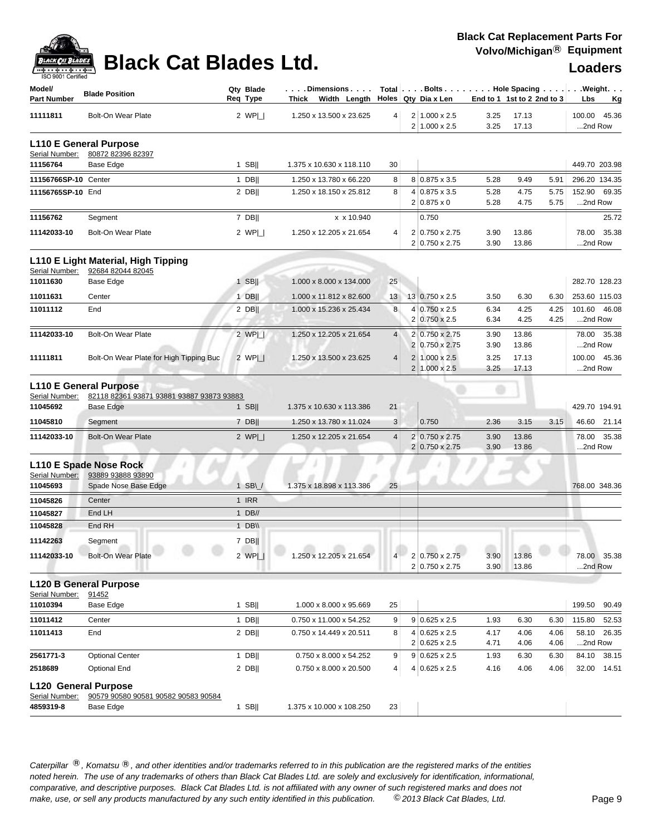

| ISO 9001 Certified<br>Model/                  |                                                                            |          | Qty Blade   | $\ldots$ Dimensions $\ldots$                   |                |                |                                               |                            |                |              | Total   Bolts   Hole Spacing   Weight. |
|-----------------------------------------------|----------------------------------------------------------------------------|----------|-------------|------------------------------------------------|----------------|----------------|-----------------------------------------------|----------------------------|----------------|--------------|----------------------------------------|
| <b>Part Number</b>                            | <b>Blade Position</b>                                                      | Req Type |             | Thick Width Length $\vert$ Holes Qty Dia x Len |                |                |                                               | End to 1 1st to 2 2nd to 3 |                |              | Lbs<br><u>Kg</u>                       |
| 11111811                                      | <b>Bolt-On Wear Plate</b>                                                  |          | 2 $WPI_{-}$ | 1.250 x 13.500 x 23.625                        | 4              |                | 2 1.000 x 2.5<br>$2 1.000 \times 2.5 $        | 3.25<br>3.25               | 17.13<br>17.13 |              | 100.00 45.36<br>2nd Row                |
| Serial Number:                                | <b>L110 E General Purpose</b><br>80872 82396 82397                         |          |             |                                                |                |                |                                               |                            |                |              |                                        |
| 11156764                                      | Base Edge                                                                  |          | $1$ SB      | 1.375 x 10.630 x 118.110                       | 30             |                |                                               |                            |                |              | 449.70 203.98                          |
| 11156766SP-10 Center                          |                                                                            |          | $1$ DB      | 1.250 x 13.780 x 66.220                        | 8              |                | 8 0.875 x 3.5                                 | 5.28                       | 9.49           | 5.91         | 296.20 134.35                          |
| 11156765SP-10 End                             |                                                                            |          | $2$ DB      | 1.250 x 18.150 x 25.812                        | 8              |                | 4 0.875 x 3.5<br>$2 0.875 \times 0$           | 5.28<br>5.28               | 4.75<br>4.75   | 5.75<br>5.75 | 152.90 69.35<br>2nd Row                |
| 11156762                                      | Segment                                                                    |          | 7 DB        | x x 10.940                                     |                |                | 0.750                                         |                            |                |              | 25.72                                  |
| 11142033-10                                   | <b>Bolt-On Wear Plate</b>                                                  |          | 2 $WP $     | 1.250 x 12.205 x 21.654                        | 4              |                | 2 0.750 x 2.75<br>2 0.750 x 2.75              | 3.90<br>3.90               | 13.86<br>13.86 |              | 78.00 35.38<br>2nd Row                 |
| Serial Number:                                | L110 E Light Material, High Tipping<br>92684 82044 82045                   |          |             |                                                |                |                |                                               |                            |                |              |                                        |
| 11011630                                      | Base Edge                                                                  |          | $1$ SB      | 1.000 x 8.000 x 134.000                        | 25             |                |                                               |                            |                |              | 282.70 128.23                          |
| 11011631                                      | Center                                                                     |          | 1 DBII      | 1.000 x 11.812 x 82.600                        | 13             |                | 13 0.750 x 2.5                                | 3.50                       | 6.30           | 6.30         | 253.60 115.03                          |
| 11011112                                      | End                                                                        |          | $2$ DB      | 1.000 x 15.236 x 25.434                        | 8              |                | 4 0.750 x 2.5<br>$2 0.750 \times 2.5$         | 6.34<br>6.34               | 4.25<br>4.25   | 4.25<br>4.25 | 101.60 46.08<br>2nd Row                |
| 11142033-10                                   | Bolt-On Wear Plate                                                         |          | 2 WPL       | 1.250 x 12.205 x 21.654                        | $\overline{4}$ |                | 2 0.750 x 2.75<br>2 0.750 x 2.75              | 3.90<br>3.90               | 13.86<br>13.86 |              | 78.00 35.38<br>2nd Row                 |
| 11111811                                      | Bolt-On Wear Plate for High Tipping Buc                                    |          | 2 WPI       | 1.250 x 13.500 x 23.625                        | $\overline{4}$ |                | $2 1.000 \times 2.5 $<br>$2 1.000 \times 2.5$ | 3.25<br>3.25               | 17.13<br>17.13 |              | 100.00 45.36<br>2nd Row                |
| Serial Number:                                | <b>L110 E General Purpose</b><br>82118 82361 93871 93881 93887 93873 93883 |          |             |                                                |                |                |                                               |                            |                |              |                                        |
| 11045692                                      | Base Edge                                                                  |          | $1$ SB      | 1.375 x 10.630 x 113.386                       | 21             |                |                                               |                            |                |              | 429.70 194.91                          |
| 11045810                                      | Segment                                                                    |          | $7$ DB      | 1.250 x 13.780 x 11.024                        | 3              |                | 0.750                                         | 2.36                       | 3.15           | 3.15         | 46.60 21.14                            |
| 11142033-10                                   | <b>Bolt-On Wear Plate</b>                                                  |          | 2 $WPI$     | 1.250 x 12.205 x 21.654                        | $\overline{4}$ | $\overline{2}$ | $0.750 \times 2.75$<br>2 0.750 x 2.75         | 3.90<br>3.90               | 13.86<br>13.86 |              | 78.00 35.38<br>2nd Row                 |
| Serial Number:                                | L110 E Spade Nose Rock<br>93889 93888 93890                                |          |             |                                                |                |                |                                               |                            |                |              |                                        |
| 11045693                                      | Spade Nose Base Edge                                                       |          | $1$ SB\     | 1.375 x 18.898 x 113.386                       | 25             |                |                                               |                            |                |              | 768.00 348.36                          |
| 11045826                                      | Center                                                                     |          | 1 IRR       |                                                |                |                |                                               |                            |                |              |                                        |
| 11045827                                      | End LH                                                                     |          | $1$ DB//    |                                                |                |                |                                               |                            |                |              |                                        |
| 11045828                                      | End RH                                                                     |          | 1 $DB \vee$ |                                                |                |                |                                               |                            |                |              |                                        |
| 11142263                                      | Segment                                                                    |          | $7$ DB      |                                                |                |                |                                               |                            |                |              |                                        |
| 11142033-10                                   | <b>Bolt-On Wear Plate</b>                                                  |          | 2 WPI       | 1.250 x 12.205 x 21.654                        | $\overline{4}$ |                | 2 0.750 x 2.75<br>2 0.750 x 2.75              | 3.90<br>3.90               | 13.86<br>13.86 |              | 78.00 35.38<br>2nd Row                 |
| Serial Number:                                | <b>L120 B General Purpose</b><br>91452                                     |          |             |                                                |                |                |                                               |                            |                |              |                                        |
| 11010394                                      | Base Edge                                                                  |          | $1$ SB      | 1.000 x 8.000 x 95.669                         | 25             |                |                                               |                            |                |              | 199.50<br>90.49                        |
| 11011412                                      | Center                                                                     |          | $1$ DB      | 0.750 x 11.000 x 54.252                        | 9              |                | $9 0.625 \times 2.5$                          | 1.93                       | 6.30           | 6.30         | 52.53<br>115.80                        |
| 11011413                                      | End                                                                        |          | $2$ DB      | 0.750 x 14.449 x 20.511                        | 8              |                | 4 0.625 x 2.5<br>$2 0.625 \times 2.5$         | 4.17<br>4.71               | 4.06<br>4.06   | 4.06<br>4.06 | 58.10 26.35<br>2nd Row                 |
| 2561771-3                                     | <b>Optional Center</b>                                                     |          | $1$ DB      | 0.750 x 8.000 x 54.252                         | 9              |                | $9 0.625 \times 2.5$                          | 1.93                       | 6.30           | 6.30         | 84.10 38.15                            |
| 2518689                                       | Optional End                                                               |          | $2$ DB      | 0.750 x 8.000 x 20.500                         | 4              |                | 4 0.625 x 2.5                                 | 4.16                       | 4.06           | 4.06         | 32.00 14.51                            |
| <b>L120 General Purpose</b><br>Serial Number: | 90579 90580 90581 90582 90583 90584                                        |          |             |                                                |                |                |                                               |                            |                |              |                                        |
| 4859319-8                                     | Base Edge                                                                  |          | $1$ SB      | 1.375 x 10.000 x 108.250                       | 23             |                |                                               |                            |                |              |                                        |
|                                               |                                                                            |          |             |                                                |                |                |                                               |                            |                |              |                                        |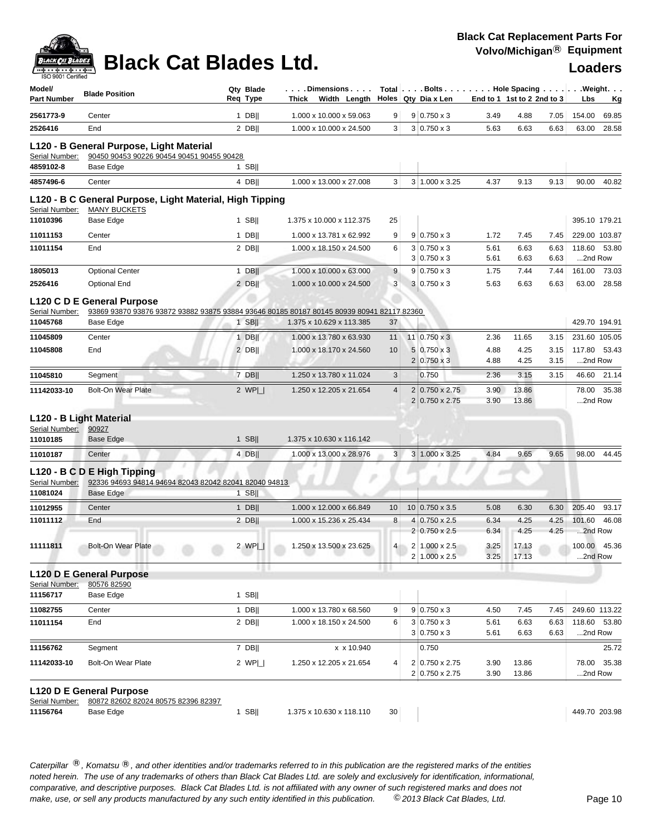

| Model/<br><b>Part Number</b> | <b>Blade Position</b>                                                                     | Qty Blade<br>Reg Type | Thick | . Dimensions<br>Width Length |                |                | Total $\vert \ldots$ Bolts $\ldots \vert \ldots$ Hole Spacing $\ldots \vert \ldots$ Weight. $\ldots$<br>Holes Qty Dia x Len | End to 1 1st to 2 2nd to 3 |                |              | Lbs               | <u>Kg</u>     |
|------------------------------|-------------------------------------------------------------------------------------------|-----------------------|-------|------------------------------|----------------|----------------|-----------------------------------------------------------------------------------------------------------------------------|----------------------------|----------------|--------------|-------------------|---------------|
| 2561773-9                    | Center                                                                                    | $1$ DB                |       | 1.000 x 10.000 x 59.063      | 9              |                | $9 0.750 \times 3$                                                                                                          | 3.49                       | 4.88           | 7.05         | 154.00            | 69.85         |
| 2526416                      | End                                                                                       | $2$ DB                |       | 1.000 x 10.000 x 24.500      | 3              |                | $3 0.750 \times 3$                                                                                                          | 5.63                       | 6.63           | 6.63         | 63.00             | 28.58         |
|                              | L120 - B General Purpose, Light Material                                                  |                       |       |                              |                |                |                                                                                                                             |                            |                |              |                   |               |
| Serial Number:               | 90450 90453 90226 90454 90451 90455 90428                                                 |                       |       |                              |                |                |                                                                                                                             |                            |                |              |                   |               |
| 4859102-8                    | Base Edge                                                                                 | $1$ SB                |       |                              |                |                |                                                                                                                             |                            |                |              |                   |               |
| 4857496-6                    | Center                                                                                    | 4 DB                  |       | 1.000 x 13.000 x 27.008      | 3              |                | $3 1.000 \times 3.25$                                                                                                       | 4.37                       | 9.13           | 9.13         | 90.00             | 40.82         |
| Serial Number:               | L120 - B C General Purpose, Light Material, High Tipping<br><b>MANY BUCKETS</b>           |                       |       |                              |                |                |                                                                                                                             |                            |                |              |                   |               |
| 11010396                     | Base Edge                                                                                 | $1$ SB                |       | 1.375 x 10.000 x 112.375     | 25             |                |                                                                                                                             |                            |                |              |                   | 395.10 179.21 |
| 11011153                     | Center                                                                                    | $1$ DB                |       | 1.000 x 13.781 x 62.992      | 9              |                | $9 0.750 \times 3$                                                                                                          | 1.72                       | 7.45           | 7.45         |                   | 229.00 103.87 |
| 11011154                     | End                                                                                       | $2$ DB                |       | 1.000 x 18.150 x 24.500      | 6              | 3              | $3 0.750 \times 3$<br>$0.750 \times 3$                                                                                      | 5.61<br>5.61               | 6.63<br>6.63   | 6.63<br>6.63 | 118.60<br>2nd Row | 53.80         |
| 1805013                      | <b>Optional Center</b>                                                                    | $1$ DB                |       | 1.000 x 10.000 x 63.000      | 9              | 9              | $0.750 \times 3$                                                                                                            | 1.75                       | 7.44           | 7.44         | 161.00            | 73.03         |
| 2526416                      | <b>Optional End</b>                                                                       | $2$ DB                |       | 1.000 x 10.000 x 24.500      | 3              |                | $3 \ 0.750 \times 3$                                                                                                        | 5.63                       | 6.63           | 6.63         | 63.00             | 28.58         |
|                              | L120 C D E General Purpose                                                                |                       |       |                              |                |                |                                                                                                                             |                            |                |              |                   |               |
| Serial Number:               | 93869 93870 93876 93872 93882 93875 93884 93646 80185 80187 80145 80939 80941 82117 82360 |                       |       |                              |                |                |                                                                                                                             |                            |                |              |                   |               |
| 11045768                     | Base Edge                                                                                 | $1$ SB                |       | 1.375 x 10.629 x 113.385     | 37             |                |                                                                                                                             |                            |                |              |                   | 429.70 194.91 |
| 11045809                     | Center                                                                                    | $1$ DB                |       | 1.000 x 13.780 x 63.930      | 11             |                | $11 0.750 \times 3$                                                                                                         | 2.36                       | 11.65          | 3.15         |                   | 231.60 105.05 |
| 11045808                     | End                                                                                       | $2$ DB                |       | 1.000 x 18.170 x 24.560      | 10             |                | $5 0.750 \times 3$                                                                                                          | 4.88                       | 4.25           | 3.15         | 117.80            | 53.43         |
|                              |                                                                                           |                       |       |                              |                |                | $2 0.750 \times 3$                                                                                                          | 4.88                       | 4.25           | 3.15         | 2nd Row           |               |
| 11045810                     | Segment                                                                                   | 7 DB                  |       | 1.250 x 13.780 x 11.024      | 3              |                | 0.750                                                                                                                       | 2.36                       | 3.15           | 3.15         | 46.60             | 21.14         |
| 11142033-10                  | <b>Bolt-On Wear Plate</b>                                                                 | 2 $WPI_{-}$           |       | 1.250 x 12.205 x 21.654      | $\overline{4}$ | $\overline{2}$ | 2 0.750 x 2.75<br>$0.750 \times 2.75$                                                                                       | 3.90<br>3.90               | 13.86<br>13.86 |              | 78.00<br>2nd Row  | 35.38         |
| L120 - B Light Material      |                                                                                           |                       |       |                              |                |                |                                                                                                                             |                            |                |              |                   |               |
| Serial Number:               | 90927                                                                                     |                       |       |                              |                |                |                                                                                                                             |                            |                |              |                   |               |
| 11010185                     | Base Edge                                                                                 | $1$ SB                |       | 1.375 x 10.630 x 116.142     |                |                |                                                                                                                             |                            |                |              |                   |               |
| 11010187                     | Center                                                                                    | 4 DB                  |       | 1.000 x 13.000 x 28.976      | 3              |                | 3 1.000 x 3.25                                                                                                              | 4.84                       | 9.65           | 9.65         | 98.00             | 44.45         |
| Serial Number:               | L120 - B C D E High Tipping<br>92336 94693 94814 94694 82043 82042 82041 82040 94813      |                       |       |                              |                |                |                                                                                                                             |                            |                |              |                   |               |
| 11081024                     | Base Edge                                                                                 | $1$ SB                |       |                              |                |                |                                                                                                                             |                            |                |              |                   |               |
| 11012955                     | Center                                                                                    | $1$ DB                |       | 1.000 x 12.000 x 66.849      | 10             |                | $10 0.750 \times 3.5$                                                                                                       | 5.08                       | 6.30           | 6.30         | 205.40            | 93.17         |
| 11011112                     | End                                                                                       | $2$ DB                |       | 1.000 x 15.236 x 25.434      | 8              | 4              | $0.750 \times 2.5$                                                                                                          | 6.34                       | 4.25           | 4.25         | 101.60            | 46.08         |
|                              |                                                                                           |                       |       |                              |                | 2              | $0.750 \times 2.5$                                                                                                          | 6.34                       | 4.25           | 4.25         | 2nd Row           |               |
| 11111811                     | <b>Bolt-On Wear Plate</b>                                                                 | 2 WPI                 |       | 1.250 x 13.500 x 23.625      | 4              |                | $2 1.000 \times 2.5$                                                                                                        | 3.25                       | 17.13          |              | 100.00            | 45.36         |
|                              |                                                                                           |                       |       |                              |                |                | 2 1.000 x 2.5                                                                                                               | 3.25                       | 17.13          |              | 2nd Row           |               |
|                              | <b>L120 D E General Purpose</b>                                                           |                       |       |                              |                |                |                                                                                                                             |                            |                |              |                   |               |
| Serial Number:               | 80576 82590                                                                               |                       |       |                              |                |                |                                                                                                                             |                            |                |              |                   |               |
| 11156717                     | Base Edge                                                                                 | $1$ SB                |       |                              |                |                |                                                                                                                             |                            |                |              |                   |               |
| 11082755                     | Center                                                                                    | $1$ DB                |       | 1.000 x 13.780 x 68.560      | 9              |                | $9 0.750 \times 3$                                                                                                          | 4.50                       | 7.45           | 7.45         |                   | 249.60 113.22 |
| 11011154                     | End                                                                                       | $2$ DB                |       | 1.000 x 18.150 x 24.500      | 6              |                | $3 0.750 \times 3$<br>$3 0.750 \times 3$                                                                                    | 5.61<br>5.61               | 6.63<br>6.63   | 6.63<br>6.63 | 2nd Row           | 118.60 53.80  |
| 11156762                     | Segment                                                                                   | 7 DB                  |       | x x 10.940                   |                |                | 0.750                                                                                                                       |                            |                |              |                   | 25.72         |
| 11142033-10                  | <b>Bolt-On Wear Plate</b>                                                                 | 2 $WP $               |       | 1.250 x 12.205 x 21.654      | 4              |                | 2 0.750 x 2.75<br>2 0.750 x 2.75                                                                                            | 3.90<br>3.90               | 13.86<br>13.86 |              | 78.00<br>2nd Row  | 35.38         |
|                              |                                                                                           |                       |       |                              |                |                |                                                                                                                             |                            |                |              |                   |               |
| Serial Number:               | L120 D E General Purpose<br>80872 82602 82024 80575 82396 82397                           |                       |       |                              |                |                |                                                                                                                             |                            |                |              |                   |               |
| 11156764                     | Base Edge                                                                                 | $1$ SB                |       | 1.375 x 10.630 x 118.110     | 30             |                |                                                                                                                             |                            |                |              |                   | 449.70 203.98 |
|                              |                                                                                           |                       |       |                              |                |                |                                                                                                                             |                            |                |              |                   |               |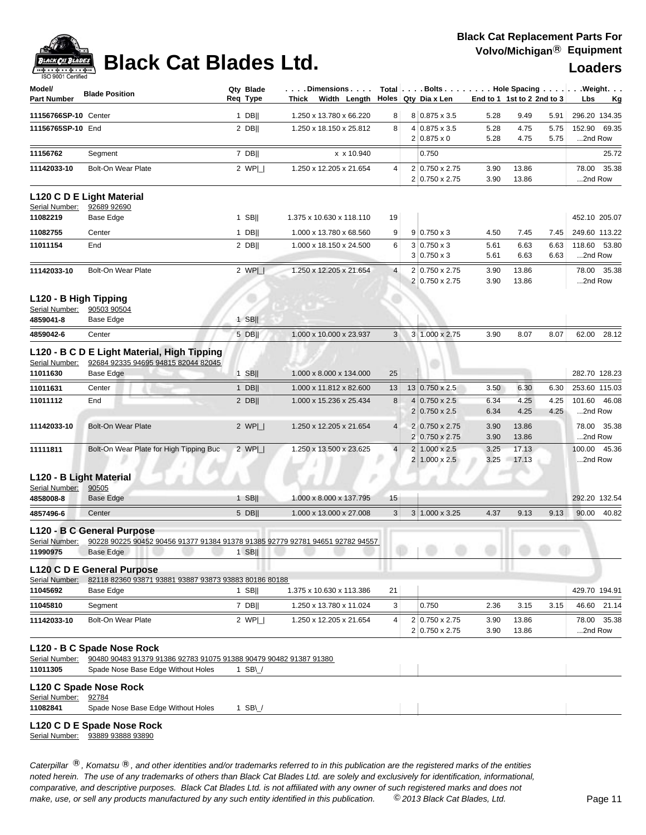

# **Black Cat Blades Ltd. Loaders Leaders Loaders**

| Model/<br><b>Part Number</b>                         | <b>Blade Position</b>                                                                                                    | Qty Blade<br>Req Type          | . Dimensions  <br>Thick Width Length |    | $Total   \ldots$ Bolts $\ldots   \ldots$ . Hole Spacing $\ldots   \ldots$ . Weight. $\ldots$<br>Holes   Qtv Dia x Len |              | End to 1 1st to 2 2nd to 3 |              | Lbs               | Kg            |
|------------------------------------------------------|--------------------------------------------------------------------------------------------------------------------------|--------------------------------|--------------------------------------|----|-----------------------------------------------------------------------------------------------------------------------|--------------|----------------------------|--------------|-------------------|---------------|
| 11156766SP-10 Center                                 |                                                                                                                          | $1$ DB                         | 1.250 x 13.780 x 66.220              | 8  | 8 0.875 x 3.5                                                                                                         | 5.28         | 9.49                       | 5.91         |                   | 296.20 134.35 |
| 11156765SP-10 End                                    |                                                                                                                          | $2$ DB                         | 1.250 x 18.150 x 25.812              | 8  | 4 0.875 x 3.5<br>$2 0.875 \times 0$                                                                                   | 5.28<br>5.28 | 4.75<br>4.75               | 5.75<br>5.75 | 152.90<br>2nd Row | 69.35         |
| 11156762                                             | Segment                                                                                                                  | 7 DB                           | x x 10.940                           |    | 0.750                                                                                                                 |              |                            |              |                   | 25.72         |
| 11142033-10                                          | <b>Bolt-On Wear Plate</b>                                                                                                | 2 $WP $                        | 1.250 x 12.205 x 21.654              | 4  | 2 0.750 x 2.75<br>2 0.750 x 2.75                                                                                      | 3.90<br>3.90 | 13.86<br>13.86             |              | 78.00<br>2nd Row  | 35.38         |
| Serial Number:                                       | L120 C D E Light Material<br>92689 92690                                                                                 |                                |                                      |    |                                                                                                                       |              |                            |              |                   |               |
| 11082219                                             | Base Edge                                                                                                                | $1$ SB                         | 1.375 x 10.630 x 118.110             | 19 |                                                                                                                       |              |                            |              |                   | 452.10 205.07 |
| 11082755                                             | Center                                                                                                                   | $1$ DB                         | 1.000 x 13.780 x 68.560              | 9  | $9 0.750 \times 3$                                                                                                    | 4.50         | 7.45                       | 7.45         |                   | 249.60 113.22 |
| 11011154                                             | End                                                                                                                      | $2$ DB                         | 1.000 x 18.150 x 24.500              | 6  | $3 0.750 \times 3$                                                                                                    | 5.61         | 6.63                       | 6.63         | 118.60            | 53.80         |
| 11142033-10                                          | <b>Bolt-On Wear Plate</b>                                                                                                | 2 $WP$                         | 1.250 x 12.205 x 21.654              | 4  | $3 0.750 \times 3$<br>2 0.750 x 2.75                                                                                  | 5.61<br>3.90 | 6.63<br>13.86              | 6.63         | 2nd Row<br>78.00  | 35.38         |
|                                                      |                                                                                                                          |                                |                                      |    | 2 0.750 x 2.75                                                                                                        | 3.90         | 13.86                      |              | 2nd Row           |               |
| L120 - B High Tipping<br>Serial Number:<br>4859041-8 | 90503 90504<br>Base Edge                                                                                                 | $1$ SB                         |                                      |    |                                                                                                                       |              |                            |              |                   |               |
| 4859042-6                                            | Center                                                                                                                   | $5$ DB                         | 1.000 x 10.000 x 23.937              | 3  | 3 1.000 x 2.75                                                                                                        | 3.90         | 8.07                       | 8.07         | 62.00             | 28.12         |
| Serial Number:                                       | L120 - B C D E Light Material, High Tipping<br>92684 92335 94695 94815 82044 82045                                       |                                |                                      |    |                                                                                                                       |              |                            |              |                   |               |
| 11011630                                             | <b>Base Edge</b>                                                                                                         | $1$ SB                         | 1.000 x 8.000 x 134.000              | 25 |                                                                                                                       |              |                            |              |                   | 282.70 128.23 |
| 11011631                                             | Center                                                                                                                   | $1$ DB                         | 1.000 x 11.812 x 82.600              | 13 | 13 0.750 x 2.5                                                                                                        | 3.50         | 6.30                       | 6.30         |                   | 253.60 115.03 |
| 11011112                                             | End                                                                                                                      | 2 DB                           | 1.000 x 15.236 x 25.434              | 8  | $4 0.750 \times 2.5$<br>$2 0.750 \times 2.5$                                                                          | 6.34<br>6.34 | 4.25<br>4.25               | 4.25<br>4.25 | 101.60<br>2nd Row | 46.08         |
| 11142033-10                                          | <b>Bolt-On Wear Plate</b>                                                                                                | 2 $WPI_{-}$                    | 1.250 x 12.205 x 21.654              | 4  | 2 0.750 x 2.75<br>$2 0.750 \times 2.75$                                                                               | 3.90<br>3.90 | 13.86<br>13.86             |              | 2nd Row           | 78.00 35.38   |
| 11111811                                             | Bolt-On Wear Plate for High Tipping Buc                                                                                  | 2 $WPI_{-}$                    | 1.250 x 13.500 x 23.625              | 4  | $2 1.000 \times 2.5$<br>$2 1.000 \times 2.5 $                                                                         | 3.25<br>3.25 | 17.13<br>17.13             |              | 100.00<br>2nd Row | 45.36         |
| L120 - B Light Material<br>Serial Number:            | 90505                                                                                                                    |                                |                                      |    |                                                                                                                       |              |                            |              |                   |               |
| 4858008-8                                            | <b>Base Edge</b>                                                                                                         | 1 SB                           | 1.000 x 8.000 x 137.795              | 15 |                                                                                                                       |              |                            |              |                   | 292.20 132.54 |
| 4857496-6                                            | Center                                                                                                                   | $5$ DB                         | 1.000 x 13.000 x 27.008              | 3  | $3 1.000 \times 3.25$                                                                                                 | 4.37         | 9.13                       | 9.13         |                   | 90.00 40.82   |
| Serial Number:<br>11990975                           | L120 - B C General Purpose<br>90228 90225 90452 90456 91377 91384 91378 91385 92779 92781 94651 92782 94557<br>Base Edge | $1$ SB                         |                                      |    |                                                                                                                       |              |                            |              |                   |               |
| Serial Number:                                       | L120 C D E General Purpose<br>82118 82360 93871 93881 93887 93873 93883 80186 80188                                      |                                |                                      |    |                                                                                                                       |              |                            |              |                   |               |
| 11045692                                             | Base Edge                                                                                                                | 1 SB                           | 1.375 x 10.630 x 113.386             | 21 |                                                                                                                       |              |                            |              |                   | 429.70 194.91 |
| 11045810                                             | Segment                                                                                                                  | $7$ DB                         | 1.250 x 13.780 x 11.024              | 3  | 0.750                                                                                                                 | 2.36         | 3.15                       | 3.15         | 46.60             | 21.14         |
| 11142033-10                                          | <b>Bolt-On Wear Plate</b>                                                                                                | 2 $WP $                        | 1.250 x 12.205 x 21.654              | 4  | 2 0.750 x 2.75<br>2 0.750 x 2.75                                                                                      | 3.90<br>3.90 | 13.86<br>13.86             |              | 2nd Row           | 78.00 35.38   |
| Serial Number:                                       | L120 - B C Spade Nose Rock<br>90480 90483 91379 91386 92783 91075 91388 90479 90482 91387 91380                          |                                |                                      |    |                                                                                                                       |              |                            |              |                   |               |
| 11011305                                             | Spade Nose Base Edge Without Holes                                                                                       | 1 SB\ $\overline{\phantom{a}}$ |                                      |    |                                                                                                                       |              |                            |              |                   |               |
| Serial Number:                                       | L120 C Spade Nose Rock<br>92784                                                                                          |                                |                                      |    |                                                                                                                       |              |                            |              |                   |               |
| 11082841                                             | Spade Nose Base Edge Without Holes                                                                                       | 1 SB $\cup$                    |                                      |    |                                                                                                                       |              |                            |              |                   |               |
|                                                      | L120 C D E Spade Nose Rock<br>Serial Number: 93889 93888 93890                                                           |                                |                                      |    |                                                                                                                       |              |                            |              |                   |               |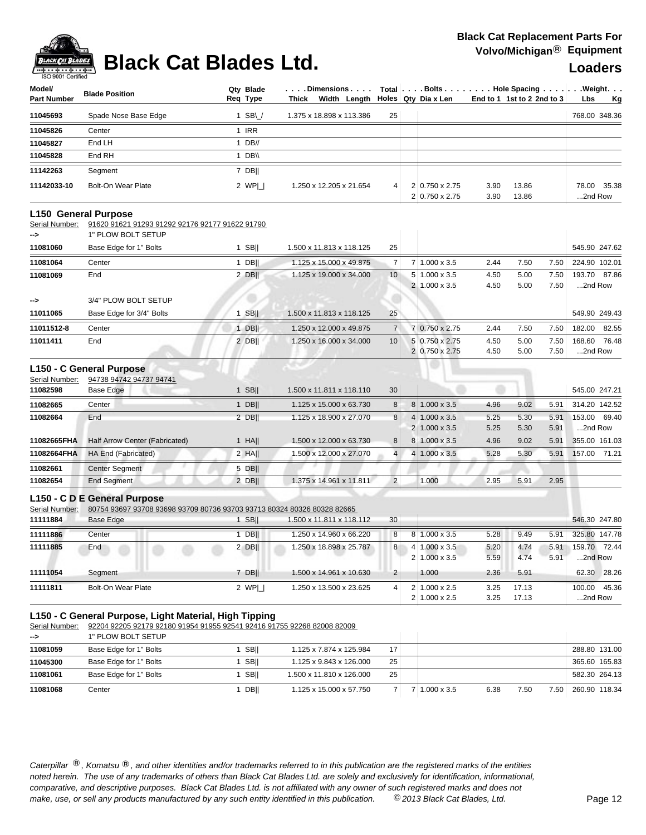

## **Black Cat Blades Ltd. Loaders Legal Process Loaders**

| Model/<br><b>Part Number</b> | <b>Blade Position</b> | Qtv Blade<br>Req Type | . Dimensions $\ldots$ .<br>Thick Width Length   Holes Qty Dia x Len |    |                                         |              | Total Bolts Hole Spacing Weight.<br>End to 1 1st to 2 2nd to $3$ | <b>Lbs</b><br><b>Kg</b> |
|------------------------------|-----------------------|-----------------------|---------------------------------------------------------------------|----|-----------------------------------------|--------------|------------------------------------------------------------------|-------------------------|
| 11045693                     | Spade Nose Base Edge  | 1 SB $\sqrt{}$        | 1.375 x 18.898 x 113.386                                            | 25 |                                         |              |                                                                  | 768.00 348.36           |
| 11045826                     | Center                | 1 IRR                 |                                                                     |    |                                         |              |                                                                  |                         |
| 11045827                     | End LH                | 1 $DB//$              |                                                                     |    |                                         |              |                                                                  |                         |
| 11045828                     | End RH                | 1 DB\\                |                                                                     |    |                                         |              |                                                                  |                         |
| 11142263                     | Segment               | 7 DBII                |                                                                     |    |                                         |              |                                                                  |                         |
| 11142033-10                  | Bolt-On Wear Plate    | 2 WPI I               | 1.250 x 12.205 x 21.654                                             | 4  | $2 0.750 \times 2.75$<br>2 0.750 x 2.75 | 3.90<br>3.90 | 13.86<br>13.86                                                   | 78.00 35.38<br>2nd Row  |

### **L150 General Purpose**

Serial Number: 91620 91621 91293 91292 92176 92177 91622 91790

| -->           | 1" PLOW BOLT SETUP       |                  |                          |                 |                |                       |      |      |      |                 |
|---------------|--------------------------|------------------|--------------------------|-----------------|----------------|-----------------------|------|------|------|-----------------|
| 11081060      | Base Edge for 1" Bolts   | <b>SBII</b>      | 1.500 x 11.813 x 118.125 | 25              |                |                       |      |      |      | 545.90 247.62   |
| 11081064      | Center                   | DB <sub>II</sub> | 1.125 x 15.000 x 49.875  |                 |                | $1.000 \times 3.5$    | 2.44 | 7.50 | 7.50 | 224.90 102.01   |
| 11081069      | End                      | 2 DBII           | 1.125 x 19.000 x 34.000  | 10 <sup>1</sup> |                | $5 1.000 \times 3.5$  | 4.50 | 5.00 | 7.50 | 193.70 87.86    |
|               |                          |                  |                          |                 | 2 <sup>1</sup> | $1.000 \times 3.5$    | 4.50 | 5.00 | 7.50 | 2nd Row         |
| $\rightarrow$ | 3/4" PLOW BOLT SETUP     |                  |                          |                 |                |                       |      |      |      |                 |
| 11011065      | Base Edge for 3/4" Bolts | <b>SBII</b>      | 1.500 x 11.813 x 118.125 | 25              |                |                       |      |      |      | 549.90 249.43   |
| 11011512-8    | Center                   | <b>DBII</b>      | 1.250 x 12.000 x 49.875  | 7 <sup>1</sup>  |                | 7 0.750 x 2.75        | 2.44 | 7.50 | 7.50 | 82.55<br>182.00 |
| 11011411      | End                      | 2 DBII           | 1.250 x 16.000 x 34.000  | 10 <sup>1</sup> |                | 5 0.750 x 2.75        | 4.50 | 5.00 | 7.50 | 168.60 76.48    |
|               |                          |                  |                          |                 |                | $2 0.750 \times 2.75$ | 4.50 | 5.00 | 7.50 | 2nd Row         |
|               |                          |                  |                          |                 |                |                       |      |      |      |                 |

## **L150 - C General Purpose**

| Serial Number: | 94738 94742 94737 94741        |             |                                    |                 |                |                       |      |      |      |                 |
|----------------|--------------------------------|-------------|------------------------------------|-----------------|----------------|-----------------------|------|------|------|-----------------|
| 11082598       | <b>Base Edge</b>               | <b>SBII</b> | 1.500 x 11.811 x 118.110           | 30 <sup>1</sup> |                |                       |      |      |      | 545.00 247.21   |
| 11082665       | Center                         | <b>DBII</b> | 1.125 x 15.000 x 63.730 l          | 8               | 81             | $1.000 \times 3.5$    | 4.96 | 9.02 | 5.9' | 314.20 142.52   |
| 11082664       | End                            | 2 DBII      | 1.125 x 18.900 x 27.070            | 8 <sup>1</sup>  | 4 <sup>1</sup> | $1.000 \times 3.5$    | 5.25 | 5.30 | 5.91 | 153.00 69.40    |
|                |                                |             |                                    |                 |                | $2 1.000 \times 3.5 $ | 5.25 | 5.30 | 5.91 | 2nd Row         |
| 11082665FHA    | Half Arrow Center (Fabricated) | HAII        | 1.500 x 12.000 x 63.730 l          | 8 <sup>1</sup>  |                | 8 1.000 x 3.5         | 4.96 | 9.02 | 5.9' | 355.00 161.03   |
| 11082664FHA    | HA End (Fabricated)            | $2$ HAII    | $.500 \times 12.000 \times 27.070$ |                 | 41             | $1.000 \times 3.5$    | 5.28 | 5.30 | 5.91 | 71.21<br>157.00 |
| 11082661       | <b>Center Segment</b>          | 5 DB        |                                    |                 |                |                       |      |      |      |                 |
| 11082654       | <b>End Segment</b>             | $2$ DB      | 1.375 x 14.961 x 11.811            | 2               |                | 0.000                 | 2.95 | 5.91 | 2.95 |                 |
|                |                                |             |                                    |                 |                |                       |      |      |      |                 |

### **L150 - C D E General Purpose**

Serial Number: 80754 93697 93708 93698 93709 80736 93703 93713 80324 80326 80328 82665

| 11111884 | Base Edge                 | <b>SBII</b> | 1.500 x 11.811 x 118.112 | 30             |    |                                                        |              |                |              | 546.30 247.80     |       |
|----------|---------------------------|-------------|--------------------------|----------------|----|--------------------------------------------------------|--------------|----------------|--------------|-------------------|-------|
| 11111886 | Center                    | <b>DBII</b> | 1.250 x 14.960 x 66.220  | 8 <sup>1</sup> | 81 | $1.000 \times 3.5$                                     | 5.28         | 9.49           | 5.91         | 325.80 147.78     |       |
| 11111885 | End                       | 2 DBII      | .250 x 18.898 x 25.787   | 8 <sup>1</sup> |    | $4 \mid 1.000 \times 3.5$<br>$2 \mid 1.000 \times 3.5$ | 5.20<br>5.59 | 4.74<br>4.74   | 5.91<br>5.91 | 159.70<br>2nd Row | 72.44 |
| 11111054 | Seament                   | 7 DBII      | .500 x 14.961 x 10.630   | 2 <sup>1</sup> |    | 1.000                                                  | 2.36         | 5.91           |              | 62.30             | 28.26 |
| 11111811 | <b>Bolt-On Wear Plate</b> | 2 WPI       | .250 x 13.500 x 23.625   | $\vert$        |    | $2 \mid 1.000 \times 2.5$<br>$2 1.000 \times 2.5$      | 3.25<br>3.25 | 17.13<br>17.13 |              | 100.00<br>2nd Row | 45.36 |

### **L150 - C General Purpose, Light Material, High Tipping**

Serial Number: 92204 92205 92179 92180 91954 91955 92541 92416 91755 92268 82008 82009

| $\rightarrow$ | 1" PLOW BOLT SETUP     |             |                           |                 |                    |      |      |       |               |
|---------------|------------------------|-------------|---------------------------|-----------------|--------------------|------|------|-------|---------------|
| 11081059      | Base Edge for 1" Bolts | <b>SBII</b> | 1.125 x 7.874 x 125.984   | 17              |                    |      |      |       | 288.80 131.00 |
| 11045300      | Base Edge for 1" Bolts | <b>SBII</b> | 1.125 x 9.843 x 126.000   | 25              |                    |      |      |       | 365.60 165.83 |
| 11081061      | Base Edge for 1" Bolts | <b>SBII</b> | 1.500 x 11.810 x 126.000  | 25 <sub>1</sub> |                    |      |      |       | 582.30 264.13 |
| 11081068      | Center                 | <b>DBII</b> | 1.125 x 15.000 x 57.750 l |                 | $1.000 \times 3.5$ | 6.38 | 7.50 | 7.50. | 260.90 118.34 |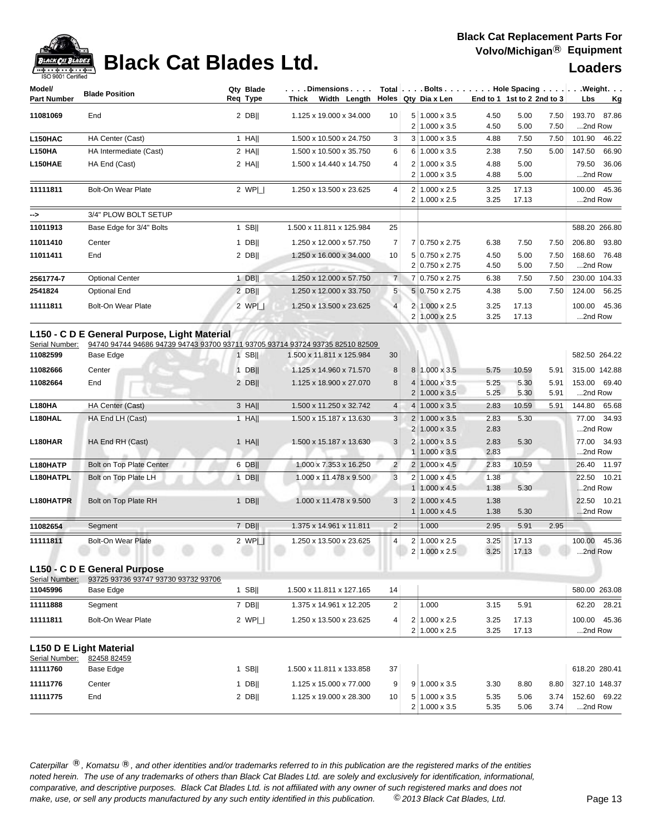

# **Black Cat Blades Ltd. Loaders Ltd. Loaders**

| Model/             | <b>Blade Position</b>    | Qty Blade | . Dimensions I                                      |                |                | $Total   \ldots$ Bolts $\ldots   \ldots$ . Hole Spacing $\ldots   \ldots$ Weight. $\ldots$ |              |                              |              |                         |             |
|--------------------|--------------------------|-----------|-----------------------------------------------------|----------------|----------------|--------------------------------------------------------------------------------------------|--------------|------------------------------|--------------|-------------------------|-------------|
| <b>Part Number</b> |                          | Req Type  | Thick Width Length                                  |                |                | Holes Qty Dia x Len                                                                        |              | End to 1 1st to 2 2nd to $3$ |              | Lbs                     | Kg          |
| 11081069           | End                      | 2 DBII    | 1.125 x 19.000 x 34.000                             | 10             |                | $5 1.000 \times 3.5$<br>$1.000 \times 3.5$                                                 | 4.50<br>4.50 | 5.00<br>5.00                 | 7.50<br>7.50 | 193.70 87.86<br>2nd Row |             |
| L150HAC            | HA Center (Cast)         | 1 HA      | 1.500 x 10.500 x 24.750                             | 3              | 3 <sup>1</sup> | $1.000 \times 3.5$                                                                         | 4.88         | 7.50                         | 7.50         | 101.90                  | 46.22       |
| <b>L150HA</b>      | HA Intermediate (Cast)   | $2$ HA    | 1.500 x 10.500 x 35.750                             | 6              | 6 <sup>1</sup> | $1.000 \times 3.5$                                                                         | 2.38         | 7.50                         | 5.00         | 147.50                  | 66.90       |
| L150HAE            | HA End (Cast)            | 2 HAII    | 1.500 x 14.440 x 14.750                             | $\overline{4}$ |                | $1.000 \times 3.5$<br>$1.000 \times 3.5$                                                   | 4.88<br>4.88 | 5.00<br>5.00                 |              | 2nd Row                 | 79.50 36.06 |
| 11111811           | Bolt-On Wear Plate       | 2 WPI     | 1.250 x 13.500 x 23.625                             | 4              | 2 <sup>1</sup> | $1.000 \times 2.5$<br>$1.000 \times 2.5$                                                   | 3.25<br>3.25 | 17.13<br>17.13               |              | 100.00 45.36<br>2nd Row |             |
| -->                | 3/4" PLOW BOLT SETUP     |           |                                                     |                |                |                                                                                            |              |                              |              |                         |             |
| 11011913           | Base Edge for 3/4" Bolts | $1$ SB    | 1.500 x 11.811 x 125.984                            | 25             |                |                                                                                            |              |                              |              | 588.20 266.80           |             |
| 11011410           | Center                   | $1$ DB    | 1.250 x 12.000 x 57.750                             | $\overline{7}$ |                | 7 0.750 x 2.75                                                                             | 6.38         | 7.50                         | 7.50         | 206.80 93.80            |             |
| 11011411           | End                      | $2$ DB    | 1.250 x 16.000 x 34.000<br><b>START COMPOSITION</b> | 10             |                | 5 0.750 x 2.75<br>2 0.750 x 2.75                                                           | 4.50<br>4.50 | 5.00<br>5.00                 | 7.50<br>7.50 | 168.60 76.48<br>2nd Row |             |
| 2561774-7          | <b>Optional Center</b>   | <b>DB</b> | 1.250 x 12.000 x 57.750                             | $\overline{7}$ |                | 7 0.750 x 2.75                                                                             | 6.38         | 7.50                         | 7.50         | 230.00 104.33           |             |
| 2541824            | Optional End             | $2$ DB    | 1.250 x 12.000 x 33.750                             | 5              |                | 5 0.750 x 2.75                                                                             | 4.38         | 5.00                         | 7.50         | 124.00 56.25            |             |
| 11111811           | Bolt-On Wear Plate       | 2 WPL     | 1.250 x 13.500 x 23.625                             | $\overline{4}$ | 2 <sup>1</sup> | $1.000 \times 2.5$<br>2 1.000 x 2.5                                                        | 3.25<br>3.25 | 17.13<br>17.13               |              | 100.00 45.36<br>2nd Row |             |

### **L150 - C D E General Purpose, Light Material**

Serial Number: 94740 94744 94686 94739 94743 93700 93711 93705 93714 93724 93735 82510 82509

| 11082599  | <b>Base Edge</b>          | $1$ SB      | 1.500 x 11.811 x 125.984 | 30             |                |                                              |              |                |              | 582.50 264.22              |
|-----------|---------------------------|-------------|--------------------------|----------------|----------------|----------------------------------------------|--------------|----------------|--------------|----------------------------|
| 11082666  | Center                    | $1$ DBII    | 1.125 x 14.960 x 71.570  | 8 <sup>1</sup> | 8 <sup>1</sup> | $1.000 \times 3.5$                           | 5.75         | 10.59          | 5.91         | 315.00 142.88              |
| 11082664  | End                       | 2 DBII      | 1.125 x 18.900 x 27.070  | 8 <sup>1</sup> |                | $4 1.000 \times 3.5$<br>$2 1.000 \times 3.5$ | 5.25<br>5.25 | 5.30<br>5.30   | 5.91<br>5.91 | 69.40<br>153.00<br>2nd Row |
| L180HA    | HA Center (Cast)          | 3 HAII      | 1.500 x 11.250 x 32.742  | 4 <sup>1</sup> |                | $4 1.000 \times 3.5$                         | 2.83         | 10.59          | 5.91         | 144.80<br>65.68            |
| L180HAL   | HA End LH (Cast)          | $1$ HAII    | 1.500 x 15.187 x 13.630  | 3              | 2 <sup>1</sup> | $1.000 \times 3.5$<br>$2 1.000 \times 3.5$   | 2.83<br>2.83 | 5.30           |              | 77.00 34.93<br>2nd Row     |
| L180HAR   | HA End RH (Cast)          | $1$ HA      | 1.500 x 15.187 x 13.630  | 3              |                | 2 1.000 x 3.5<br>$1.000 \times 3.5$          | 2.83<br>2.83 | 5.30           |              | 77.00 34.93<br>2nd Row     |
| L180HATP  | Bolt on Top Plate Center  | 6 DB        | 1.000 x 7.353 x 16.250   | $\overline{2}$ | 2 <sup>1</sup> | $1.000 \times 4.5$                           | 2.83         | 10.59          |              | 11.97<br>26.40             |
| L180HATPL | Bolt on Top Plate LH      | <b>DBII</b> | 1.000 x 11.478 x 9.500   | $\overline{3}$ |                | $2 1.000 \times 4.5$<br>$1 1.000 \times 4.5$ | 1.38<br>1.38 | 5.30           |              | 10.21<br>22.50<br>2nd Row  |
| L180HATPR | Bolt on Top Plate RH      | $1$ DB      | 1.000 x 11.478 x 9.500   | 3 <sup>1</sup> | 2 <sup>1</sup> | $1.000 \times 4.5$<br>$1.000 \times 4.5$     | 1.38<br>1.38 | 5.30           |              | 22.50 10.21<br>2nd Row     |
| 11082654  | Segment                   | 7 DBII      | 1.375 x 14.961 x 11.811  | 2 <sup>1</sup> |                | 1.000                                        | 2.95         | 5.91           | 2.95         |                            |
| 11111811  | <b>Bolt-On Wear Plate</b> | 2 WPI       | 1.250 x 13.500 x 23.625  | $\overline{4}$ | 2 <sup>1</sup> | $1.000 \times 2.5$<br>$2 1.000 \times 2.5$   | 3.25<br>3.25 | 17.13<br>17.13 |              | 45.36<br>100.00<br>2nd Row |

## **L150 - C D E General Purpose**

| Serial Number: | 93725 93736 93747 93730 93732 93706 |             |                          |                |                      |      |       |                 |
|----------------|-------------------------------------|-------------|--------------------------|----------------|----------------------|------|-------|-----------------|
| 11045996       | Base Edge                           | <b>SBII</b> | 1.500 x 11.811 x 127.165 | 14             |                      |      |       | 580.00 263.08   |
| 11111888       | Seament                             | DBII        | 1.375 x 14.961 x 12.205  | $\Omega$       | 000. ا               | 3.15 | 5.91  | 28.21<br>62.20  |
| 11111811       | Bolt-On Wear Plate                  | 2 $WPI_{-}$ | 1.250 x 13.500 x 23.625  | $\overline{4}$ | $1.000 \times 2.5$   | 3.25 | 17.13 | 45.36<br>100.00 |
|                |                                     |             |                          |                | $2 1.000 \times 2.5$ | 3.25 | 17.13 | 2nd Row         |

### **L150 D E Light Material**

| Serial Number: | 82458 82459 |             |                          |                 |                           |      |      |      |                 |
|----------------|-------------|-------------|--------------------------|-----------------|---------------------------|------|------|------|-----------------|
| 11111760       | Base Edge   | <b>SBII</b> | 1.500 x 11.811 x 133.858 | 37              |                           |      |      |      | 618.20 280.41   |
| 11111776       | Center      | <b>DBII</b> | 1.125 x 15.000 x 77.000  | 9               | $9 \mid 1.000 \times 3.5$ | 3.30 | 8.80 | 8.80 | 327.10 148.37   |
| 11111775       | End         | 2 DBII      | 1.125 x 19.000 x 28.300  | 10 <sup>1</sup> | $5 1.000 \times 3.5$      | 5.35 | 5.06 | 3.74 | 69.22<br>152.60 |
|                |             |             |                          |                 | $2 \mid 1.000 \times 3.5$ | 5.35 | 5.06 | 3.74 | 2nd Row         |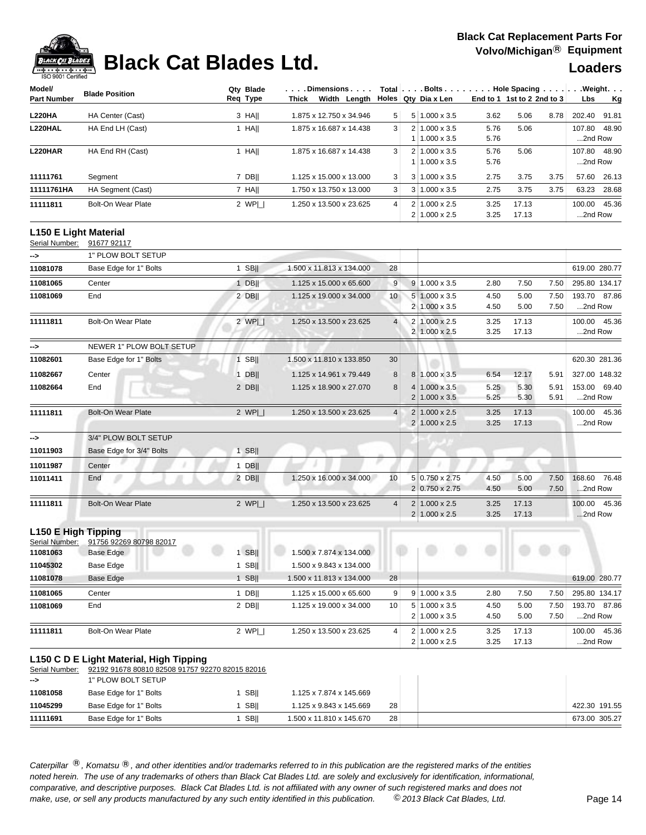

## **Black Cat Blades Ltd. Loaders Leaders Loaders**

| Model/             | <b>Blade Position</b> | Qtv Blade |       | . Dimensions            |              |                | $Total   \ldots$ Bolts | $\ldots$ Hole Spacing $\ldots$ . |       |      | $\ldots$ . Weight $\ldots$ |       |
|--------------------|-----------------------|-----------|-------|-------------------------|--------------|----------------|------------------------|----------------------------------|-------|------|----------------------------|-------|
| <b>Part Number</b> |                       | Reg Type  | Thick |                         | Width Lenath |                | Holes   Qty Dia x Len  | End to 1 1st to 2 2nd to 3       |       |      | Lbs                        | Kg    |
| <b>L220HA</b>      | HA Center (Cast)      | 3 HAII    |       | 1.875 x 12.750 x 34.946 |              | 5 <sup>1</sup> | 5 1.000 x 3.5          | 3.62                             | 5.06  | 8.78 | 202.40                     | 91.81 |
| L220HAL            | HA End LH (Cast)      | HAII      |       | 1.875 x 16.687 x 14.438 |              | 3              | $2 1.000 \times 3.5 $  | 5.76                             | 5.06  |      | 107.80                     | 48.90 |
|                    |                       |           |       |                         |              |                | $1.000 \times 3.5$     | 5.76                             |       |      | 2nd Row                    |       |
| <b>L220HAR</b>     | HA End RH (Cast)      | HAII      |       | 1.875 x 16.687 x 14.438 |              | 3              | $2 1.000 \times 3.5$   | 5.76                             | 5.06  |      | 107.80 48.90               |       |
|                    |                       |           |       |                         |              |                | $1.000 \times 3.5$     | 5.76                             |       |      | 2nd Row                    |       |
| 11111761           | Segment               | 7 DBII    |       | 1.125 x 15.000 x 13.000 |              | 3              | $3 1.000 \times 3.5$   | 2.75                             | 3.75  | 3.75 | 57.60                      | 26.13 |
| 11111761HA         | HA Segment (Cast)     | 7 HAII    |       | 1.750 x 13.750 x 13.000 |              | 3              | $3 1.000 \times 3.5$   | 2.75                             | 3.75  | 3.75 | 63.23                      | 28.68 |
| 11111811           | Bolt-On Wear Plate    | 2 WPI     |       | 1.250 x 13.500 x 23.625 |              | $\vert$        | $2 1.000 \times 2.5 $  | 3.25                             | 17.13 |      | 100.00                     | 45.36 |
|                    |                       |           |       |                         |              |                | $2 1.000 \times 2.5 $  | 3.25                             | 17.13 |      | $$ 2nd Row                 |       |

## **L150 E Light Material**

| Serial Number:      | 91677 92117               |         |                          |                |                                              |              |                |              |                            |
|---------------------|---------------------------|---------|--------------------------|----------------|----------------------------------------------|--------------|----------------|--------------|----------------------------|
| ->                  | 1" PLOW BOLT SETUP        |         |                          |                |                                              |              |                |              |                            |
| 11081078            | Base Edge for 1" Bolts    | 1 SBII  | 1.500 x 11.813 x 134.000 | 28             |                                              |              |                |              | 619.00 280.77              |
| 11081065            | Center                    | $1$ DB  | 1.125 x 15.000 x 65.600  | $9\,$          | $9 \mid 1.000 \times 3.5$                    | 2.80         | 7.50           | 7.50         | 295.80 134.17              |
| 11081069            | End                       | 2 DB    | 1.125 x 19.000 x 34.000  | 10             | $5 1.000 \times 3.5$<br>2 1.000 x 3.5        | 4.50<br>4.50 | 5.00<br>5.00   | 7.50<br>7.50 | 193.70 87.86<br>2nd Row    |
| 11111811            | <b>Bolt-On Wear Plate</b> | 2 WPI   | 1.250 x 13.500 x 23.625  | $\overline{4}$ | 2 1.000 x 2.5<br>2 1.000 x 2.5               | 3.25<br>3.25 | 17.13<br>17.13 |              | 100.00 45.36<br>2nd Row    |
| -->                 | NEWER 1" PLOW BOLT SETUP  |         |                          |                |                                              |              |                |              |                            |
| 11082601            | Base Edge for 1" Bolts    | $1$ SB  | 1.500 x 11.810 x 133.850 | 30             |                                              |              |                |              | 620.30 281.36              |
| 11082667            | Center                    | 1 DBII  | 1.125 x 14.961 x 79.449  | 8              | 8 1.000 x 3.5                                | 6.54         | 12.17          | 5.91         | 327.00 148.32              |
| 11082664            | End                       | $2$ DB  | 1.125 x 18.900 x 27.070  | 8              | 4 1.000 x 3.5<br>2 1.000 x 3.5               | 5.25<br>5.25 | 5.30<br>5.30   | 5.91<br>5.91 | 153.00 69.40<br>2nd Row    |
| 11111811            | <b>Bolt-On Wear Plate</b> | 2 WPI   | 1.250 x 13.500 x 23.625  | $\overline{4}$ | $2 1.000 \times 2.5 $<br>2 1.000 x 2.5       | 3.25<br>3.25 | 17.13<br>17.13 |              | 100.00 45.36<br>2nd Row    |
| $\rightarrow$       | 3/4" PLOW BOLT SETUP      |         |                          |                |                                              |              |                |              |                            |
| 11011903            | Base Edge for 3/4" Bolts  | $1$ SB  |                          |                |                                              |              |                |              |                            |
| 11011987            | Center                    | $1$ DB  |                          |                |                                              |              |                |              |                            |
| 11011411            | End                       | $2$ DB  | 1.250 x 16.000 x 34.000  | 10             | 5 0.750 x 2.75<br>2 0.750 x 2.75             | 4.50<br>4.50 | 5.00<br>5.00   | 7.50<br>7.50 | 76.48<br>168.60<br>2nd Row |
| 11111811            | <b>Bolt-On Wear Plate</b> | 2 $WPI$ | 1.250 x 13.500 x 23.625  | $\overline{4}$ | $2 1.000 \times 2.5$<br>$2 1.000 \times 2.5$ | 3.25<br>3.25 | 17.13<br>17.13 |              | 100.00 45.36<br>2nd Row    |
| L150 E High Tipping |                           |         |                          |                |                                              |              |                |              |                            |

| Serial Number: | 91756 92269 80798 82017 |             |                          |                 |                                  |                                          |              |                |              |                            |
|----------------|-------------------------|-------------|--------------------------|-----------------|----------------------------------|------------------------------------------|--------------|----------------|--------------|----------------------------|
| 11081063       | Base Edge               | <b>SBII</b> | 1.500 x 7.874 x 134.000  |                 |                                  |                                          |              |                |              |                            |
| 11045302       | Base Edge               | <b>SBII</b> | 1.500 x 9.843 x 134.000  |                 |                                  |                                          |              |                |              |                            |
| 11081078       | Base Edge               | <b>SBII</b> | 1.500 x 11.813 x 134.000 | 28              |                                  |                                          |              |                |              | 619.00 280.77              |
| 11081065       | Center                  | DBII        | 1.125 x 15.000 x 65.600  | 9               | 91                               | $1.000 \times 3.5$                       | 2.80         | 7.50           | 7.50         | 295.80 134.17              |
| 11081069       | End                     | 2 DBII      | 1.125 x 19.000 x 34.000  | 10 <sup>1</sup> | 5 <sub>1</sub><br>$\overline{2}$ | $1.000 \times 3.5$<br>$1.000 \times 3.5$ | 4.50<br>4.50 | 5.00<br>5.00   | 7.50<br>7.50 | 87.86<br>193.70<br>2nd Row |
|                |                         |             |                          |                 |                                  |                                          |              |                |              |                            |
| 11111811       | Bolt-On Wear Plate      | 2 $WPI$     | 1.250 x 13.500 x 23.625  | $\vert$         |                                  | $1.000 \times 2.5$<br>$1.000 \times 2.5$ | 3.25<br>3.25 | 17.13<br>17.13 |              | 45.36<br>100.00<br>2nd Row |

### **L150 C D E Light Material, High Tipping**

Serial Number: 92192 91678 80810 82508 91757 92270 82015 82016

| ⊸>       | 1" PLOW BOLT SETUP     |             |                          |    |  |               |
|----------|------------------------|-------------|--------------------------|----|--|---------------|
| 11081058 | Base Edge for 1" Bolts | <b>SBII</b> | 1.125 x 7.874 x 145.669  |    |  |               |
| 11045299 | Base Edge for 1" Bolts | <b>SBII</b> | 1.125 x 9.843 x 145.669  | 28 |  | 422.30 191.55 |
| 11111691 | Base Edge for 1" Bolts | <b>SBII</b> | 1.500 x 11.810 x 145.670 | 28 |  | 673.00 305.27 |
|          |                        |             |                          |    |  |               |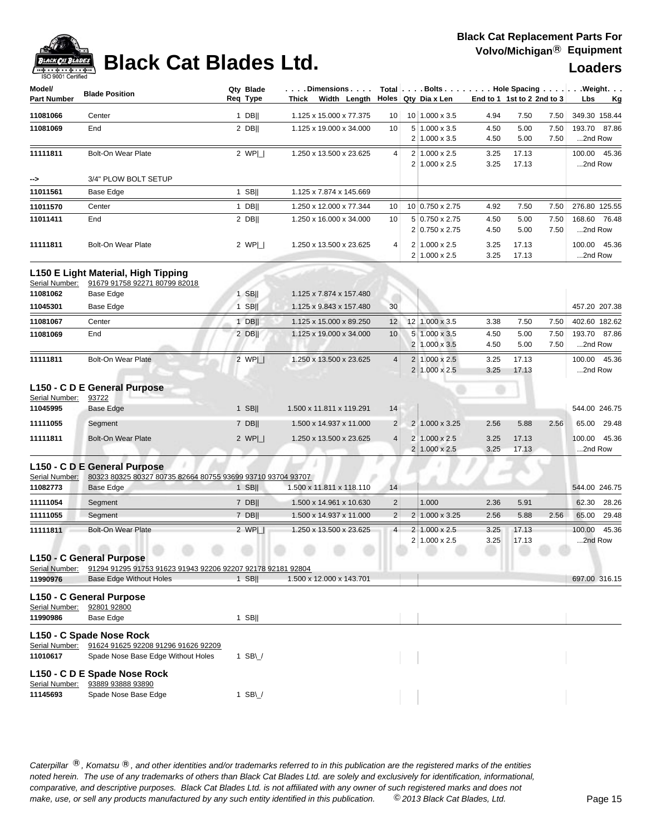

## **Black Cat Blades Ltd. Loaders Ltd. Loaders**

| Model/             |                           | Qty Blade | $\ldots$ . Dimensions. $\ldots$ .         |                 |                |                      | Total $\vert \ldots$ Bolts $\ldots \vert \ldots$ Hole Spacing $\ldots \vert \ldots$ Weight. $\ldots$ |                              |      |               |           |
|--------------------|---------------------------|-----------|-------------------------------------------|-----------------|----------------|----------------------|------------------------------------------------------------------------------------------------------|------------------------------|------|---------------|-----------|
| <b>Part Number</b> | <b>Blade Position</b>     | Req Type  | Width Length Holes Qty Dia x Len<br>Thick |                 |                |                      |                                                                                                      | End to 1 1st to 2 2nd to $3$ |      | Lbs           | <u>Kg</u> |
| 11081066           | Center                    | $1$ DB    | 1.125 x 15.000 x 77.375                   | 10 <sup>1</sup> |                | 10 1.000 x 3.5       | 4.94                                                                                                 | 7.50                         | 7.50 | 349.30 158.44 |           |
| 11081069           | End                       | 2 DBII    | 1.125 x 19.000 x 34.000                   | 10              |                | $5 1.000 \times 3.5$ | 4.50                                                                                                 | 5.00                         | 7.50 | 193.70 87.86  |           |
|                    |                           |           |                                           |                 | 2 <sub>1</sub> | $1.000 \times 3.5$   | 4.50                                                                                                 | 5.00                         | 7.50 | 2nd Row       |           |
| 11111811           | <b>Bolt-On Wear Plate</b> | 2 WPI     | 1.250 x 13.500 x 23.625                   | 4               | 2 <sup>1</sup> | $1.000 \times 2.5$   | 3.25                                                                                                 | 17.13                        |      | 100.00 45.36  |           |
|                    |                           |           |                                           |                 |                | $2 1.000 \times 2.5$ | 3.25                                                                                                 | 17.13                        |      | 2nd Row       |           |
| -->                | 3/4" PLOW BOLT SETUP      |           |                                           |                 |                |                      |                                                                                                      |                              |      |               |           |
| 11011561           | Base Edge                 | $1$ SBII  | 1.125 x 7.874 x 145.669                   |                 |                |                      |                                                                                                      |                              |      |               |           |
| 11011570           | Center                    | DB        | 1.250 x 12.000 x 77.344                   | 10 <sup>1</sup> |                | 10 0.750 x 2.75      | 4.92                                                                                                 | 7.50                         | 7.50 | 276.80 125.55 |           |
| 11011411           | End                       | 2 DBII    | 1.250 x 16.000 x 34.000                   | 10              |                | 5 0.750 x 2.75       | 4.50                                                                                                 | 5.00                         | 7.50 | 168.60 76.48  |           |
|                    |                           |           |                                           |                 |                | 2 0.750 x 2.75       | 4.50                                                                                                 | 5.00                         | 7.50 | 2nd Row       |           |
| 11111811           | <b>Bolt-On Wear Plate</b> | 2 WPI     | 1.250 x 13.500 x 23.625                   | $\overline{4}$  | 2 <sub>1</sub> | $1.000 \times 2.5$   | 3.25                                                                                                 | 17.13                        |      | 100.00 45.36  |           |
|                    |                           |           |                                           |                 |                | $2 1.000 \times 2.5$ | 3.25                                                                                                 | 17.13                        |      | 2nd Row       |           |

| 11081062 | Base Edge          | <b>SBII</b> | 1.125 x 7.874 x 157.480 |                 |                                                   |              |                |              |                            |
|----------|--------------------|-------------|-------------------------|-----------------|---------------------------------------------------|--------------|----------------|--------------|----------------------------|
| 11045301 | Base Edge          | <b>SBII</b> | 1.125 x 9.843 x 157.480 | 30              |                                                   |              |                |              | 457.20 207.38              |
| 11081067 | Center             | <b>DBII</b> | 1.125 x 15.000 x 89.250 | 12 <sup>1</sup> | 12 1.000 x 3.5                                    | 3.38         | 7.50           | 7.50         | 402.60 182.62              |
| 11081069 | End                | $2$ DBII    | 1.125 x 19.000 x 34.000 | 10 <sup>°</sup> | $5 1.000 \times 3.5$<br>$2 \mid 1.000 \times 3.5$ | 4.50<br>4.50 | 5.00<br>5.00   | 7.50<br>7.50 | 193.70 87.86<br>2nd Row    |
| 11111811 | Bolt-On Wear Plate | 2 WPI       | 1.250 x 13.500 x 23.625 | 4 <sup>1</sup>  | $1.000 \times 2.5$<br>$2 1.000 \times 2.5 $       | 3.25<br>3.25 | 17.13<br>17.13 |              | 100.00 45.36<br>$$ 2nd Row |

## **L150 - C D E General Purpose**

| Serial Number: | 93722              |             |                          |                |                            |      |       |      |               |       |
|----------------|--------------------|-------------|--------------------------|----------------|----------------------------|------|-------|------|---------------|-------|
| 11045995       | Base Edge          | <b>SBII</b> | 1.500 x 11.811 x 119.291 | 14             |                            |      |       |      | 544.00 246.75 |       |
| 11111055       | Segment            | 7 DBII      | 1.500 x 14.937 x 11.000  | 2 <sup>1</sup> | $2 \mid 1.000 \times 3.25$ | 2.56 | 5.88  | 2.56 | 65.00         | 29.48 |
| 11111811       | Bolt-On Wear Plate | 2 $WP _$    | 1.250 x 13.500 x 23.625  | $\vert$        | $2 1.000 \times 2.5 $      | 3.25 | 17.13 |      | 100.00        | 45.36 |
|                |                    |             |                          |                | $2 1.000 \times 2.5 $      | 3.25 | 17.13 |      | 2nd Row       |       |

## **L150 - C D E General Purpose**

Serial Number: 80323 80325 80327 80735 82664 80755 93699 93710 93704 93707

| 11082773 | Base Edge                 | <b>SBII</b> | 1.500 x 11.811 x 118.110 | 14             |                           |      |       |      | 544.00 246.75 |             |
|----------|---------------------------|-------------|--------------------------|----------------|---------------------------|------|-------|------|---------------|-------------|
| 11111054 | Segment                   | <b>DBII</b> | 1.500 x 14.961 x 10.630  | 2 <sup>1</sup> | 1.000                     | 2.36 | 5.91  |      |               | 62.30 28.26 |
| 11111055 | Seament                   | <b>DBII</b> | 1.500 x 14.937 x 11.000  | 2 <sup>1</sup> | $2 1.000 \times 3.25$     | 2.56 | 5.88  | 2.56 | 65.00         | 29.48       |
| 11111811 | Bolt-On Wear Plate        | 2 WPL       | 1.250 x 13.500 x 23.625  | $\overline{4}$ | $2 1.000 \times 2.5 $     | 3.25 | 17.13 |      | 100.00        | 45.36       |
|          |                           |             |                          |                | $2 \mid 1.000 \times 2.5$ | 3.25 | 17.13 |      | $$ 2nd Row    |             |
|          | $1.456$ $0.9$ $1.5$ $1.7$ |             |                          |                |                           |      |       |      |               |             |

## **L150 - C General Purpose**

|                | Live - C General Furpose                                    |                |                          |  |  |               |
|----------------|-------------------------------------------------------------|----------------|--------------------------|--|--|---------------|
| Serial Number: | 91294 91295 91753 91623 91943 92206 92207 92178 92181 92804 |                |                          |  |  |               |
| 11990976       | <b>Base Edge Without Holes</b>                              | <b>SBII</b>    | 1.500 x 12.000 x 143.701 |  |  | 697.00 316.15 |
|                | L150 - C General Purpose                                    |                |                          |  |  |               |
| Serial Number: | 92801 92800                                                 |                |                          |  |  |               |
| 11990986       | Base Edge                                                   | <b>SBII</b>    |                          |  |  |               |
|                | L150 - C Spade Nose Rock                                    |                |                          |  |  |               |
| Serial Number: | 91624 91625 92208 91296 91626 92209                         |                |                          |  |  |               |
| 11010617       | Spade Nose Base Edge Without Holes                          | SB\/           |                          |  |  |               |
|                | L150 - C D E Spade Nose Rock                                |                |                          |  |  |               |
| Serial Number: | 93889 93888 93890                                           |                |                          |  |  |               |
| 11145693       | Spade Nose Base Edge                                        | $SB \setminus$ |                          |  |  |               |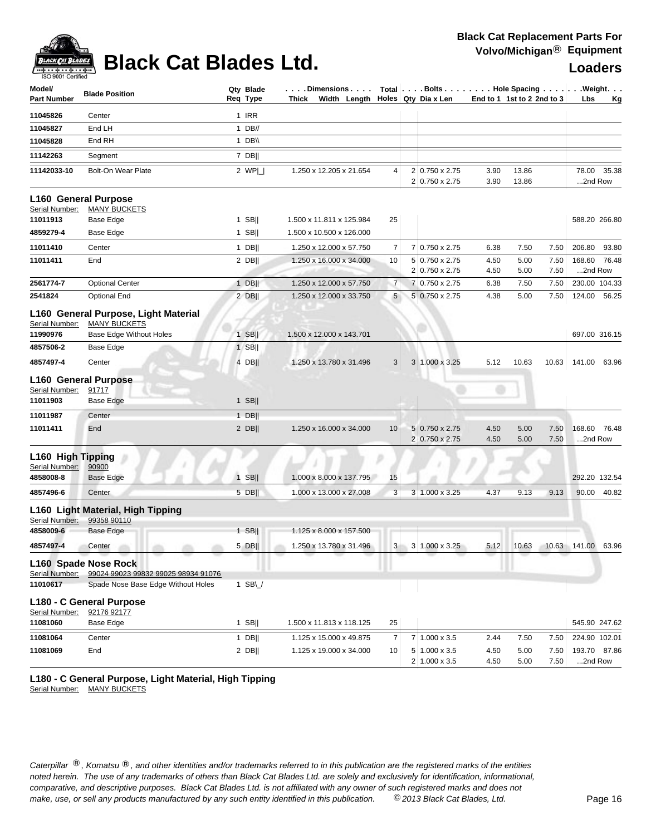

# **Black Cat Blades Ltd. Loaders Leaders Loaders**

| Model/<br>Part Number               | <b>Blade Position</b>                                                      | Qty Blade<br>Reg Type | Dimensions<br>Thick Width Length Holes Qty Dia x Len |                |                                  |              | Total   Bolts   Hole Spacing   Weight.<br>End to 1 1st to 2 2nd to 3 | Lbs<br><u>Kg</u>           |
|-------------------------------------|----------------------------------------------------------------------------|-----------------------|------------------------------------------------------|----------------|----------------------------------|--------------|----------------------------------------------------------------------|----------------------------|
| 11045826                            | Center                                                                     | 1 IRR                 |                                                      |                |                                  |              |                                                                      |                            |
| 11045827                            | End LH                                                                     | $1$ DB//              |                                                      |                |                                  |              |                                                                      |                            |
| 11045828                            | End RH                                                                     | 1 DB\\                |                                                      |                |                                  |              |                                                                      |                            |
| 11142263                            | Segment                                                                    | 7 DBII                |                                                      |                |                                  |              |                                                                      |                            |
| 11142033-10                         | <b>Bolt-On Wear Plate</b>                                                  | 2 $WP $               | 1.250 x 12.205 x 21.654                              | 4              | 2 0.750 x 2.75<br>2 0.750 x 2.75 | 3.90<br>3.90 | 13.86<br>13.86                                                       | 78.00<br>35.38<br>2nd Row  |
| Serial Number:                      | L160 General Purpose<br><b>MANY BUCKETS</b>                                |                       |                                                      |                |                                  |              |                                                                      |                            |
| 11011913                            | Base Edge                                                                  | $1$ SB                | 1.500 x 11.811 x 125.984                             | 25             |                                  |              |                                                                      | 588.20 266.80              |
| 4859279-4                           | Base Edge                                                                  | $1$ SB                | 1.500 x 10.500 x 126.000                             |                |                                  |              |                                                                      |                            |
| 11011410                            | Center                                                                     | $1$ DB                | 1.250 x 12.000 x 57.750                              | 7              | 7 0.750 x 2.75                   | 6.38         | 7.50<br>7.50                                                         | 206.80<br>93.80            |
| 11011411                            | End                                                                        | $2$ DB                | 1.250 x 16.000 x 34.000                              | 10             | 5 0.750 x 2.75<br>2 0.750 x 2.75 | 4.50<br>4.50 | 5.00<br>7.50<br>5.00<br>7.50                                         | 168.60 76.48<br>2nd Row    |
| 2561774-7                           | <b>Optional Center</b>                                                     | $1$ DB                | 1.250 x 12.000 x 57.750                              | $\overline{7}$ | 7 0.750 x 2.75                   | 6.38         | 7.50<br>7.50                                                         | 230.00 104.33              |
| 2541824                             | <b>Optional End</b>                                                        | $2$ DB                | 1.250 x 12.000 x 33.750                              | 5              | 5 0.750 x 2.75                   | 4.38         | 5.00<br>7.50                                                         | 124.00<br>56.25            |
| Serial Number:                      | L160 General Purpose, Light Material<br><b>MANY BUCKETS</b>                |                       |                                                      |                |                                  |              |                                                                      |                            |
| 11990976                            | <b>Base Edge Without Holes</b>                                             | $1$ SB                | 1.500 x 12.000 x 143.701                             |                |                                  |              |                                                                      | 697.00 316.15              |
| 4857506-2                           | Base Edge                                                                  | $1$ SB                |                                                      |                |                                  |              |                                                                      |                            |
| 4857497-4                           | Center                                                                     | 4 DB                  | 1.250 x 13.780 x 31.496                              | 3              | 3 1.000 x 3.25                   | 5.12         | 10.63<br>10.63                                                       | 141.00<br>63.96            |
| Serial Number:<br>11011903          | <b>L160 General Purpose</b><br>91717<br><b>Base Edge</b>                   | $1$ SB                |                                                      |                |                                  | ø            |                                                                      |                            |
| 11011987                            | Center                                                                     | $1$ DB                |                                                      |                |                                  |              |                                                                      |                            |
| 11011411                            | End                                                                        | $2$ DB                | 1.250 x 16.000 x 34.000                              | 10             | 5 0.750 x 2.75<br>2 0.750 x 2.75 | 4.50<br>4.50 | 5.00<br>7.50<br>5.00<br>7.50                                         | 168.60<br>76.48<br>2nd Row |
| L160 High Tipping<br>Serial Number: | 90900                                                                      |                       |                                                      |                |                                  |              |                                                                      |                            |
| 4858008-8                           | <b>Base Edge</b>                                                           | $1$ SB                | 1.000 x 8.000 x 137.795                              | 15             |                                  |              |                                                                      | 292.20 132.54              |
| 4857496-6                           | Center                                                                     | 5 DB                  | 1.000 x 13.000 x 27.008                              | 3              | 3 1.000 x 3.25                   | 4.37         | 9.13<br>9.13                                                         | 90.00<br>40.82             |
| Serial Number:                      | L160 Light Material, High Tipping<br>99358 90110                           |                       |                                                      |                |                                  |              |                                                                      |                            |
| 4858009-6                           | Base Edge                                                                  | $1$ SB                | 1.125 x 8.000 x 157.500                              |                |                                  |              |                                                                      |                            |
| 4857497-4                           | Center                                                                     | 5 DB                  | 1.250 x 13.780 x 31.496                              | 3 <sup>1</sup> | 3 1.000 x 3.25                   | 5.12         | 10.63<br>10.63                                                       | 141.00<br>63.96            |
|                                     | L160 Spade Nose Rock<br>Serial Number: 99024 99023 99832 99025 98934 91076 |                       |                                                      |                |                                  |              |                                                                      |                            |
| 11010617                            | Spade Nose Base Edge Without Holes                                         | 1 SB $\cup$           |                                                      |                |                                  |              |                                                                      |                            |
|                                     | L180 - C General Purpose                                                   |                       |                                                      |                |                                  |              |                                                                      |                            |
|                                     | Serial Number: 92176 92177                                                 |                       |                                                      |                |                                  |              |                                                                      |                            |
| 11081060                            | Base Edge                                                                  | $1$ SB                | 1.500 x 11.813 x 118.125                             | 25             |                                  |              |                                                                      | 545.90 247.62              |
| 11081064                            | Center                                                                     | $1$ DB                | 1.125 x 15.000 x 49.875                              | $\overline{7}$ | 7 1.000 x 3.5                    | 2.44         | 7.50<br>7.50                                                         | 224.90 102.01              |
| 11081069                            | End                                                                        | $2$ DB                | 1.125 x 19.000 x 34.000                              | 10             | 5 1.000 x 3.5<br>2 1.000 x 3.5   | 4.50<br>4.50 | 5.00<br>7.50<br>5.00<br>7.50                                         | 193.70 87.86<br>2nd Row    |

**L180 - C General Purpose, Light Material, High Tipping**

Serial Number: MANY BUCKETS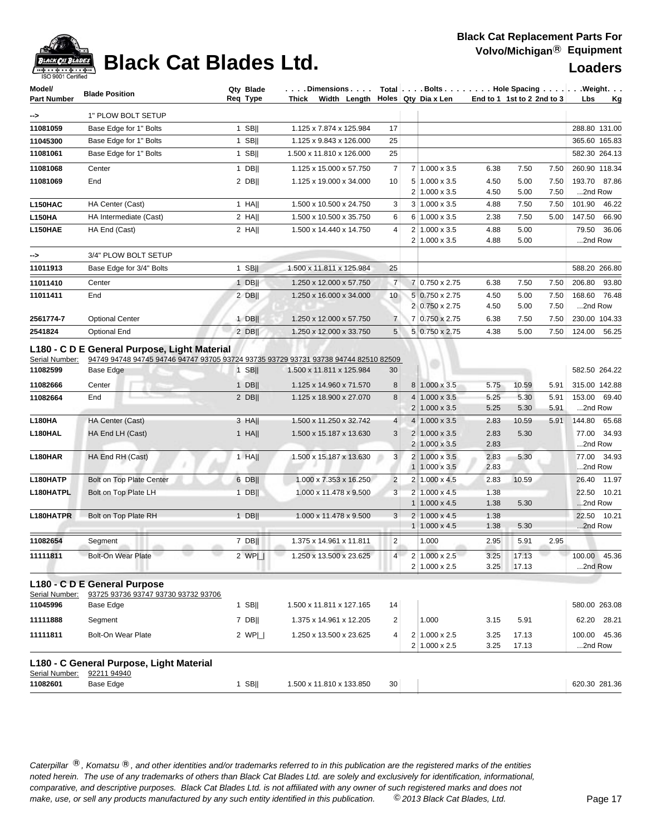

## **Black Cat Blades Ltd. Loaders Leaders Loaders**

| Model/<br><b>Part Number</b> | <b>Blade Position</b>                                                                                                                                      | Qty Blade<br>Req Type | Dimensions   $\tau$ otal $\vert \ldots$ Bolts    Hole Spacing     Weight<br>Thick Width Length Holes Qty Dia x Len |                |                |                                               |              | End to 1 1st to 2 2nd to 3 |              | Lbs                     | <u>Kg</u> |
|------------------------------|------------------------------------------------------------------------------------------------------------------------------------------------------------|-----------------------|--------------------------------------------------------------------------------------------------------------------|----------------|----------------|-----------------------------------------------|--------------|----------------------------|--------------|-------------------------|-----------|
| ->                           | 1" PLOW BOLT SETUP                                                                                                                                         |                       |                                                                                                                    |                |                |                                               |              |                            |              |                         |           |
| 11081059                     | Base Edge for 1" Bolts                                                                                                                                     | $1$ SB                | 1.125 x 7.874 x 125.984                                                                                            | 17             |                |                                               |              |                            |              | 288.80 131.00           |           |
| 11045300                     | Base Edge for 1" Bolts                                                                                                                                     | 1 SB                  | 1.125 x 9.843 x 126.000                                                                                            | 25             |                |                                               |              |                            |              | 365.60 165.83           |           |
| 11081061                     | Base Edge for 1" Bolts                                                                                                                                     | 1 SB $  $             | 1.500 x 11.810 x 126.000                                                                                           | 25             |                |                                               |              |                            |              | 582.30 264.13           |           |
| 11081068                     | Center                                                                                                                                                     | $1$ DB                | 1.125 x 15.000 x 57.750                                                                                            | 7              |                | 7 1.000 x 3.5                                 | 6.38         | 7.50                       | 7.50         | 260.90 118.34           |           |
| 11081069                     | End                                                                                                                                                        | $2$ DB                | 1.125 x 19.000 x 34.000                                                                                            | 10             |                | $5 1.000 \times 3.5$<br>$2 1.000 \times 3.5$  | 4.50<br>4.50 | 5.00<br>5.00               | 7.50<br>7.50 | 193.70 87.86<br>2nd Row |           |
| L150HAC                      | HA Center (Cast)                                                                                                                                           | 1 HA                  | 1.500 x 10.500 x 24.750                                                                                            | 3              |                | $3 1.000 \times 3.5$                          | 4.88         | 7.50                       | 7.50         | 101.90                  | 46.22     |
| <b>L150HA</b>                | HA Intermediate (Cast)                                                                                                                                     | $2$ HA                | 1.500 x 10.500 x 35.750                                                                                            | 6              |                | 6 1.000 x 3.5                                 | 2.38         | 7.50                       | 5.00         | 147.50                  | 66.90     |
| L150HAE                      | HA End (Cast)                                                                                                                                              | $2$ HA                | 1.500 x 14.440 x 14.750                                                                                            | 4              |                | $2 1.000 \times 3.5$<br>$2 1.000 \times 3.5$  | 4.88<br>4.88 | 5.00<br>5.00               |              | 79.50<br>2nd Row        | 36.06     |
| ⊸>                           | 3/4" PLOW BOLT SETUP                                                                                                                                       |                       |                                                                                                                    |                |                |                                               |              |                            |              |                         |           |
| 11011913                     | Base Edge for 3/4" Bolts                                                                                                                                   | $1$ SB                | 1.500 x 11.811 x 125.984                                                                                           | 25             |                |                                               |              |                            |              | 588.20 266.80           |           |
| 11011410                     | Center                                                                                                                                                     | $1$ DB                | 1.250 x 12.000 x 57.750                                                                                            | $\overline{7}$ |                | 7 0.750 x 2.75                                | 6.38         | 7.50                       | 7.50         | 206.80                  | 93.80     |
| 11011411                     | End                                                                                                                                                        | $2$ DB                | 1.250 x 16.000 x 34.000                                                                                            | 10             |                | 5 0.750 x 2.75<br>2 0.750 x 2.75              | 4.50<br>4.50 | 5.00<br>5.00               | 7.50<br>7.50 | 168.60<br>2nd Row       | 76.48     |
| 2561774-7                    | <b>Optional Center</b>                                                                                                                                     | $1$ DB                | 1.250 x 12.000 x 57.750                                                                                            | $\overline{7}$ |                | 7 0.750 x 2.75                                | 6.38         | 7.50                       | 7.50         | 230.00 104.33           |           |
| 2541824<br>Serial Number:    | <b>Optional End</b><br>L180 - C D E General Purpose, Light Material<br>94749 94748 94745 94746 94747 93705 93724 93735 93729 93731 93738 94744 82510 82509 | 2 DBII                | 1.250 x 12.000 x 33.750                                                                                            | 5              |                | 5 0.750 x 2.75                                | 4.38         | 5.00                       | 7.50         | 124.00                  | 56.25     |
| 11082599                     | Base Edge                                                                                                                                                  | $1$ SB                | 1.500 x 11.811 x 125.984                                                                                           | 30             |                |                                               |              |                            |              | 582.50 264.22           |           |
| 11082666                     | Center                                                                                                                                                     | $1$ DB                | 1.125 x 14.960 x 71.570                                                                                            | 8              |                | 8 1.000 x 3.5                                 | 5.75         | 10.59                      | 5.91         | 315.00 142.88           |           |
| 11082664                     | End                                                                                                                                                        | $2$ DB                | 1.125 x 18.900 x 27.070                                                                                            | 8              | 4 <sup>1</sup> | $1.000 \times 3.5$<br>$2 1.000 \times 3.5 $   | 5.25<br>5.25 | 5.30<br>5.30               | 5.91<br>5.91 | 153.00 69.40<br>2nd Row |           |
| L180HA                       | HA Center (Cast)                                                                                                                                           | $3$ HA                | 1.500 x 11.250 x 32.742                                                                                            | 4              |                | $4 1.000 \times 3.5$                          | 2.83         | 10.59                      | 5.91         | 144.80 65.68            |           |
| L180HAL                      | HA End LH (Cast)                                                                                                                                           | $1$ HA                | 1.500 x 15.187 x 13.630                                                                                            | 3              |                | $2 1.000 \times 3.5 $<br>$2 1.000 \times 3.5$ | 2.83<br>2.83 | 5.30                       |              | 77.00 34.93<br>2nd Row  |           |
| L180HAR                      | HA End RH (Cast)                                                                                                                                           | 1 HA                  | 1.500 x 15.187 x 13.630                                                                                            | 3              | 2 <sub>1</sub> | $1.000 \times 3.5$<br>$1 1.000 \times 3.5$    | 2.83<br>2.83 | 5.30                       |              | 77.00 34.93<br>2nd Row  |           |
| L180HATP                     | <b>Bolt on Top Plate Center</b>                                                                                                                            | $6$ DB                | 1.000 x 7.353 x 16.250                                                                                             | $\overline{2}$ |                | $2 1.000 \times 4.5$                          | 2.83         | 10.59                      |              | 26.40 11.97             |           |
| L180HATPL                    | Bolt on Top Plate LH                                                                                                                                       | $1$ DB                | 1.000 x 11.478 x 9.500                                                                                             | 3              |                | $2 1.000 \times 4.5$                          | 1.38         |                            |              | 22.50 10.21             |           |
|                              |                                                                                                                                                            |                       |                                                                                                                    |                |                | $1 1.000 \times 4.5$                          | 1.38         | 5.30                       |              | 2nd Row                 |           |
| L180HATPR                    | Bolt on Top Plate RH                                                                                                                                       | $1$ DB                | 1.000 x 11.478 x 9.500                                                                                             | 3              |                | $2 1.000 \times 4.5$<br>$1 1.000 \times 4.5$  | 1.38<br>1.38 | 5.30                       |              | 22.50 10.21<br>2nd Row  |           |
| 11082654                     | Segment                                                                                                                                                    | $7$ DB                | 1.375 x 14.961 x 11.811                                                                                            | $\overline{2}$ |                | 1.000                                         | 2.95         | 5.91                       | 2.95         |                         |           |
| 11111811                     | <b>Bolt-On Wear Plate</b>                                                                                                                                  | 2 $WP $               | 1.250 x 13.500 x 23.625                                                                                            | 4 <sup>1</sup> |                | $2 1.000 \times 2.5$<br>2 1.000 x 2.5         | 3.25<br>3.25 | 17.13<br>17.13             |              | 100.00 45.36<br>2nd Row |           |
| Serial Number:<br>11045996   | L180 - C D E General Purpose<br>93725 93736 93747 93730 93732 93706<br>Base Edge                                                                           | $1$ SB                | 1.500 x 11.811 x 127.165                                                                                           | 14             |                |                                               |              |                            |              | 580.00 263.08           |           |
| 11111888                     | Segment                                                                                                                                                    | $7$ DB                | 1.375 x 14.961 x 12.205                                                                                            | $\overline{c}$ |                | 1.000                                         | 3.15         | 5.91                       |              | 62.20 28.21             |           |
| 11111811                     | Bolt-On Wear Plate                                                                                                                                         | 2 $WPI$               | 1.250 x 13.500 x 23.625                                                                                            | 4              |                | 2 1.000 x 2.5<br>$2 1.000 \times 2.5 $        | 3.25<br>3.25 | 17.13<br>17.13             |              | 100.00<br>2nd Row       | 45.36     |
| Serial Number:<br>11082601   | L180 - C General Purpose, Light Material<br>92211 94940<br>Base Edge                                                                                       | $1$ SB                | 1.500 x 11.810 x 133.850                                                                                           | 30             |                |                                               |              |                            |              | 620.30 281.36           |           |
|                              |                                                                                                                                                            |                       |                                                                                                                    |                |                |                                               |              |                            |              |                         |           |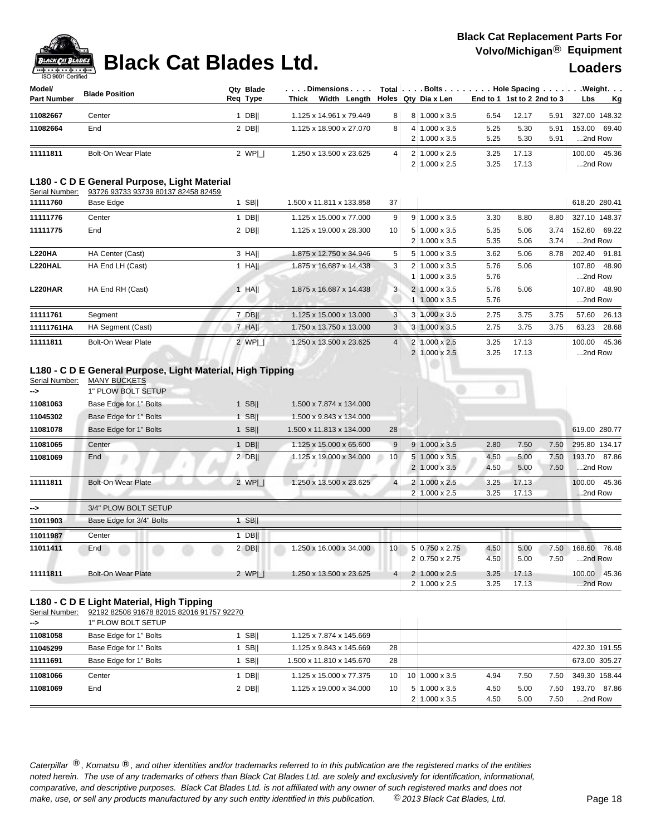## **Black Cat Blades Ltd.** Welcomichigan Black Cat Blades Ltd. **Loaders**

## **Black Cat Replacement Parts For Volvo/Michigan**® **Equipment**

| Model/<br><b>Part Number</b> | <b>Blade Position</b> | Qtv Blade<br>Req Type | . Dimensions<br>Lenαth ∣<br><b>Thick</b><br>Width |   |    | Total Bolts Hole Spacing Weight.<br>  Holes   Qty Dia x Len |      | End to 1 1st to 2 2nd to $31$ |      | <b>Lbs</b>    | Kg |
|------------------------------|-----------------------|-----------------------|---------------------------------------------------|---|----|-------------------------------------------------------------|------|-------------------------------|------|---------------|----|
| 11082667                     | Center                | DBII                  | 1.125 x 14.961 x 79.449                           | 8 |    | 8 1.000 x 3.5                                               | 6.54 | 12.17                         | 5.91 | 327.00 148.32 |    |
| 11082664                     | End                   | 2 DBII                | 1.125 x 18.900 x 27.070                           | 8 | 41 | $1.000 \times 3.5$                                          | 5.25 | 5.30                          | 5.91 | 153.00 69.40  |    |
|                              |                       |                       |                                                   |   |    | $2 1.000 \times 3.5$                                        | 5.25 | 5.30                          | 5.91 | 2nd Row       |    |
| 11111811                     | Bolt-On Wear Plate    | 2 WPI 1               | 1.250 x 13.500 x 23.625                           | 4 |    | $2 1.000 \times 2.5$                                        | 3.25 | 17.13                         |      | 100.00 45.36  |    |
|                              |                       |                       |                                                   |   |    | $2 1.000 \times 2.5$                                        | 3.25 | 17.13                         |      | 2nd Row       |    |

## **L180 - C D E General Purpose, Light Material**

| Serial Number:<br>93726 93733 93739 80137 82458 82459 |  |
|-------------------------------------------------------|--|

| 11111760       | Base Edge                 | <b>SBII</b> | 1.500 x 11.811 x 133.858 | 37             |                           |      |       |      | 618.20 280.41 |       |
|----------------|---------------------------|-------------|--------------------------|----------------|---------------------------|------|-------|------|---------------|-------|
| 11111776       | Center                    | $1$ DB      | 1.125 x 15.000 x 77.000  | 9              | $9 1.000 \times 3.5$      | 3.30 | 8.80  | 8.80 | 327.10 148.37 |       |
| 11111775       | End                       | 2 DBII      | 1.125 x 19.000 x 28.300  | 10             | $5 1.000 \times 3.5$      | 5.35 | 5.06  | 3.74 | 152.60 69.22  |       |
|                |                           |             |                          |                | $2 1.000 \times 3.5$      | 5.35 | 5.06  | 3.74 | 2nd Row       |       |
| <b>L220HA</b>  | HA Center (Cast)          | 3 HAII      | 1.875 x 12.750 x 34.946  | 5              | $5 1.000 \times 3.5$      | 3.62 | 5.06  | 8.78 | 202.40 91.81  |       |
| L220HAL        | HA End LH (Cast)          | $1$ HAII    | 1.875 x 16.687 x 14.438  | 3              | $2 \mid 1.000 \times 3.5$ | 5.76 | 5.06  |      | 107.80 48.90  |       |
|                |                           |             |                          |                | $1.000 \times 3.5$        | 5.76 |       |      | 2nd Row       |       |
| <b>L220HAR</b> | HA End RH (Cast)          | $1$ HAII    | 1.875 x 16.687 x 14.438  | 3 <sup>1</sup> | $2 \mid 1.000 \times 3.5$ | 5.76 | 5.06  |      | 107.80 48.90  |       |
|                |                           |             |                          |                | $1.000 \times 3.5$        | 5.76 |       |      | 2nd Row       |       |
| 11111761       | Segment                   | $7$ DB      | 1.125 x 15.000 x 13.000  | 3              | $3 \mid 1.000 \times 3.5$ | 2.75 | 3.75  | 3.75 | 57.60         | 26.13 |
| 11111761HA     | HA Segment (Cast)         | $7$ HA      | 1.750 x 13.750 x 13.000  | 3              | $3 1.000 \times 3.5$      | 2.75 | 3.75  | 3.75 | 63.23         | 28.68 |
| 11111811       | <b>Bolt-On Wear Plate</b> | 2 WPI 1     | 1.250 x 13.500 x 23.625  | 4 <sup>1</sup> | 2 1.000 x 2.5             | 3.25 | 17.13 |      | 100.00        | 45.36 |
|                |                           |             |                          |                | 2 1.000 x 2.5             | 3.25 | 17.13 |      | 2nd Row       |       |

## **L180 - C D E General Purpose, Light Material, High Tipping**

| Serial Number: | <b>MANY BUCKETS</b>       |             |                          |                 |                      |      |       |      |                 |
|----------------|---------------------------|-------------|--------------------------|-----------------|----------------------|------|-------|------|-----------------|
| -->            | 1" PLOW BOLT SETUP        |             |                          |                 |                      |      |       |      |                 |
| 11081063       | Base Edge for 1" Bolts    | <b>SBII</b> | 1.500 x 7.874 x 134.000  |                 |                      |      |       |      |                 |
| 11045302       | Base Edge for 1" Bolts    | 1 SBII      | 1.500 x 9.843 x 134.000  |                 |                      |      |       |      |                 |
| 11081078       | Base Edge for 1" Bolts    | $1$ SB      | 1.500 x 11.813 x 134.000 | 28              |                      |      |       |      | 619.00 280.77   |
| 11081065       | Center                    | $1$ DB      | 1.125 x 15.000 x 65.600  | 9               | $9 1.000 \times 3.5$ | 2.80 | 7.50  | 7.50 | 295.80 134.17   |
| 11081069       | End                       | $2$ DB      | 1.125 x 19.000 x 34.000  | 10 <sup>1</sup> | $5 1.000 \times 3.5$ | 4.50 | 5.00  | 7.50 | 193.70 87.86    |
|                |                           |             |                          |                 | $2 1.000 \times 3.5$ | 4.50 | 5.00  | 7.50 | 2nd Row         |
| 11111811       | <b>Bolt-On Wear Plate</b> | 2 WPI       | 1.250 x 13.500 x 23.625  | 4 <sup>1</sup>  | $1.000 \times 2.5$   | 3.25 | 17.13 |      | 45.36<br>100.00 |
|                |                           |             |                          |                 | $2 1.000 \times 2.5$ | 3.25 | 17.13 |      | 2nd Row         |
| -->            | 3/4" PLOW BOLT SETUP      |             |                          |                 |                      |      |       |      |                 |
| 11011903       | Base Edge for 3/4" Bolts  | $1$ SB      |                          |                 |                      |      |       |      |                 |
| 11011987       | Center                    | $1$ DB      |                          |                 |                      |      |       |      |                 |
| 11011411       | End                       | $2$ DB      | 1.250 x 16.000 x 34.000  | 10 <sup>1</sup> | 5 0.750 x 2.75       | 4.50 | 5.00  | 7.50 | 76.48<br>168.60 |
|                |                           |             |                          |                 | 2 0.750 x 2.75       | 4.50 | 5.00  | 7.50 | 2nd Row         |
| 11111811       | <b>Bolt-On Wear Plate</b> | 2 $WPI$     | 1.250 x 13.500 x 23.625  | $\overline{4}$  | $1.000 \times 2.5$   | 3.25 | 17.13 |      | 45.36<br>100.00 |
|                |                           |             |                          |                 | $2 1.000 \times 2.5$ | 3.25 | 17.13 |      | 2nd Row         |

## **L180 - C D E Light Material, High Tipping**

Serial Number: 92192 82508 91678 82015 82016 91757 92270

| $\rightarrow$ | 1" PLOW BOLT SETUP     |        |                          |                 |                           |      |      |                   |               |
|---------------|------------------------|--------|--------------------------|-----------------|---------------------------|------|------|-------------------|---------------|
| 11081058      | Base Edge for 1" Bolts | SBII   | 1.125 x 7.874 x 145.669  |                 |                           |      |      |                   |               |
| 11045299      | Base Edge for 1" Bolts | SBII   | 1.125 x 9.843 x 145.669  | 28              |                           |      |      |                   | 422.30 191.55 |
| 11111691      | Base Edge for 1" Bolts | SBII   | 1.500 x 11.810 x 145.670 | 28              |                           |      |      |                   | 673.00 305.27 |
| 11081066      | Center                 | DBII   | 1.125 x 15.000 x 77.375  | 10              | $10$   1.000 x 3.5        | 4.94 | 7.50 | 7.50              | 349.30 158.44 |
| 11081069      | End                    | 2 DBII | 1.125 x 19.000 x 34.000  | 10 <sub>1</sub> | $5 1.000 \times 3.5$      | 4.50 | 5.00 | 7.50 <sub>1</sub> | 193.70 87.86  |
|               |                        |        |                          |                 | $2 \mid 1.000 \times 3.5$ | 4.50 | 5.00 | 7.50 <sub>1</sub> | 2nd Row       |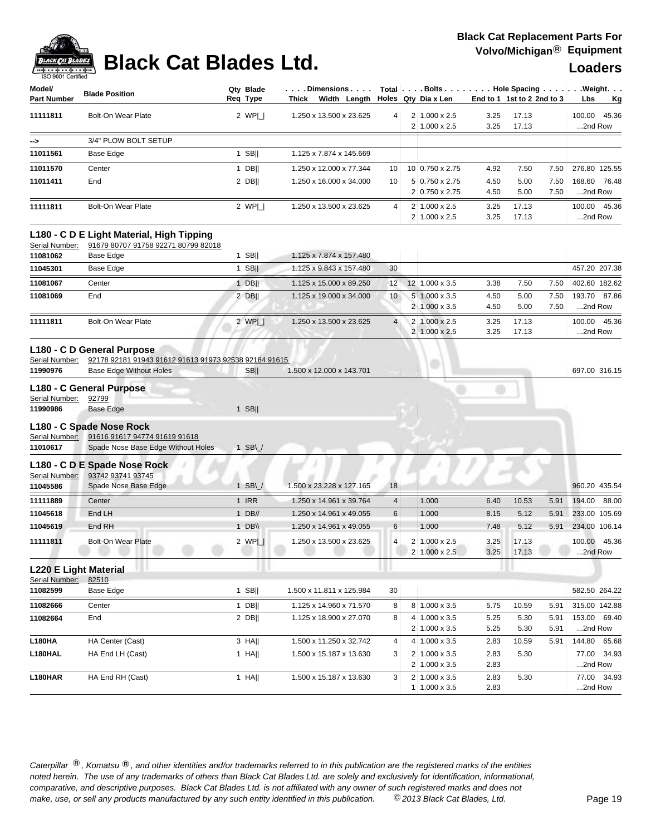

## **Black Cat Blades Ltd.** Welcomichigan Black Cat Blades Ltd. **Loaders**

| Model/<br><b>Part Number</b> | <b>Blade Position</b>                     | Qtv Blade<br>Reg Type | $\ldots$ . Dimensions. $\ldots$ .<br>Width Length<br>Thick |                 | Total $\vert \ldots$ Bolts $\ldots \vert \ldots$ Hole Spacing $\ldots \vert$<br>⊦ Holes ∣ Qtγ Dia x Len |              | End to 1 1st to 2 2nd to 3 |              | <b>Lbs</b>              | . Weight.<br>Kg |
|------------------------------|-------------------------------------------|-----------------------|------------------------------------------------------------|-----------------|---------------------------------------------------------------------------------------------------------|--------------|----------------------------|--------------|-------------------------|-----------------|
| 11111811                     | <b>Bolt-On Wear Plate</b>                 | 2 WPI I               | 1.250 x 13.500 x 23.625                                    | 4 <sup>1</sup>  | 2 1.000 x 2.5<br>$2 1.000 \times 2.5$                                                                   | 3.25<br>3.25 | 17.13<br>17.13             |              | 100.00 45.36<br>2nd Row |                 |
| $\rightarrow$                | 3/4" PLOW BOLT SETUP                      |                       |                                                            |                 |                                                                                                         |              |                            |              |                         |                 |
| 11011561                     | Base Edge                                 | <b>SBII</b>           | 1.125 x 7.874 x 145.669                                    |                 |                                                                                                         |              |                            |              |                         |                 |
| 11011570                     | Center                                    | $1$ DB                | 1.250 x 12.000 x 77.344                                    | 10 <sup>1</sup> | $10 0.750 \times 2.75$                                                                                  | 4.92         | 7.50                       | 7.50         | 276.80 125.55           |                 |
| 11011411                     | End                                       | 2 DBII                | 1.250 x 16.000 x 34.000                                    | 10 <sup>1</sup> | 5 0.750 x 2.75<br>2 0.750 x 2.75                                                                        | 4.50<br>4.50 | 5.00<br>5.00               | 7.50<br>7.50 | 168.60 76.48<br>2nd Row |                 |
| 11111811                     | <b>Bolt-On Wear Plate</b>                 | 2 WPI I               | 1.250 x 13.500 x 23.625                                    | $\vert$         | $2 1.000 \times 2.5$<br>$2 1.000 \times 2.5$                                                            | 3.25<br>3.25 | 17.13<br>17.13             |              | 100.00 45.36<br>2nd Row |                 |
|                              | L180 - C D E Light Material, High Tipping |                       |                                                            |                 |                                                                                                         |              |                            |              |                         |                 |

Serial Number: 91679 80707 91758 92271 80799 82018

| 11081062 | Base Edge          | <b>SBII</b> | 1.125 x 7.874 x 157.480 |                 |                |                           |      |       |      |                 |
|----------|--------------------|-------------|-------------------------|-----------------|----------------|---------------------------|------|-------|------|-----------------|
| 11045301 | Base Edge          | <b>SBII</b> | 1.125 x 9.843 x 157.480 | 30 <sup>1</sup> |                |                           |      |       |      | 457.20 207.38   |
| 11081067 | Center             | <b>DBII</b> | 1.125 x 15.000 x 89.250 | 12              | 12             | $1.000 \times 3.5$        | 3.38 | 7.50  | 7.50 | 402.60 182.62   |
| 11081069 | End                | 2 DBII      | 1.125 x 19.000 x 34.000 | 10 <sup>1</sup> |                | $5 1.000 \times 3.5$      | 4.50 | 5.00  | 7.50 | 87.86<br>193.70 |
|          |                    |             |                         |                 | 2 <sub>1</sub> | $1.000 \times 3.5$        | 4.50 | 5.00  | 7.50 | 2nd Row         |
| 11111811 | Bolt-On Wear Plate | 2 WPI 1     | 1.250 x 13.500 x 23.625 | $\overline{4}$  |                | $2 \mid 1.000 \times 2.5$ | 3.25 | 17.13 |      | 45.36<br>100.00 |
|          |                    |             |                         |                 |                | 2 1.000 x 2.5             | 3.25 | 17.13 |      | 2nd Row         |
|          |                    |             |                         |                 |                |                           |      |       |      |                 |

### **L180 - C D General Purpose**

## Serial Number: 92178 92181 91943 91612 91613 91973 92538 92184 91615

| 11990976               | <b>Base Edge Without Holes</b>               | <b>SBII</b>    | 1.500 x 12.000 x 143.701 |                 |                       |      |       |      | 697.00 316.15   |
|------------------------|----------------------------------------------|----------------|--------------------------|-----------------|-----------------------|------|-------|------|-----------------|
|                        | L180 - C General Purpose                     |                |                          |                 |                       |      |       |      |                 |
| Serial Number:         | 92799                                        |                |                          |                 |                       |      |       |      |                 |
| 11990986               | <b>Base Edge</b>                             | <b>SBII</b>    |                          |                 |                       |      |       |      |                 |
|                        | L180 - C Spade Nose Rock                     |                |                          |                 |                       |      |       |      |                 |
|                        | Serial Number: 91616 91617 94774 91619 91618 |                |                          |                 |                       |      |       |      |                 |
| 11010617               | Spade Nose Base Edge Without Holes           | 1 SB $\sqrt{}$ |                          |                 |                       |      |       |      |                 |
|                        | L180 - C D E Spade Nose Rock                 |                |                          |                 |                       |      |       |      |                 |
| Serial Number:         | 93742 93741 93745                            |                |                          |                 |                       |      |       |      |                 |
| 11045586               | Spade Nose Base Edge                         | SB\/           | 1.500 x 23.228 x 127.165 | 18 <sub>1</sub> |                       |      |       |      | 960.20 435.54   |
| 11111889               | Center                                       | <b>IRR</b>     | 1.250 x 14.961 x 39.764  | $\overline{4}$  | 1.000                 | 6.40 | 10.53 | 5.91 | 88.00<br>194.00 |
| 11045618               | End LH                                       | $DB$ //        | 1.250 x 14.961 x 49.055  | 6               | 1.000                 | 8.15 | 5.12  | 5.91 | 233.00 105.69   |
| 11045619               | End RH                                       | 1 $DB \vee$    | 1.250 x 14.961 x 49.055  | 6               | 1.000                 | 7.48 | 5.12  | 5.91 | 234.00 106.14   |
| 11111811               | <b>Bolt-On Wear Plate</b>                    | 2 WPL          | 1.250 x 13.500 x 23.625  | 4               | $1.000 \times 2.5$    | 3.25 | 17.13 |      | 45.36<br>100.00 |
|                        |                                              |                |                          |                 | $2 1.000 \times 2.5 $ | 3.25 | 17.13 |      | 2nd Row         |
| I 220 F Light Material |                                              |                |                          |                 |                       |      |       |      |                 |

## **L220 E Light Material**

| Serial Number: | 82510            |        |                          |                 |                       |      |       |      |                 |
|----------------|------------------|--------|--------------------------|-----------------|-----------------------|------|-------|------|-----------------|
| 11082599       | Base Edge        | SBII   | 1.500 x 11.811 x 125.984 | 30 <sup>1</sup> |                       |      |       |      | 582.50 264.22   |
| 11082666       | Center           | DBII   | 1.125 x 14.960 x 71.570  | 8               | $8 1.000 \times 3.5$  | 5.75 | 10.59 | 5.91 | 315.00 142.88   |
| 11082664       | End              | 2 DBII | 1.125 x 18.900 x 27.070  | 8 <sup>1</sup>  | $4 1.000 \times 3.5$  | 5.25 | 5.30  | 5.91 | 153.00 69.40    |
|                |                  |        |                          |                 | $2 1.000 \times 3.5 $ | 5.25 | 5.30  | 5.91 | 2nd Row         |
| <b>L180HA</b>  | HA Center (Cast) | 3 HAII | 1.500 x 11.250 x 32.742  | $\vert$         | $4 1.000 \times 3.5$  | 2.83 | 10.59 | 5.91 | 65.68<br>144.80 |
| L180HAL        | HA End LH (Cast) | HAII   | 1.500 x 15.187 x 13.630  | 3 <sup>1</sup>  | $2 1.000 \times 3.5$  | 2.83 | 5.30  |      | 77.00 34.93     |
|                |                  |        |                          |                 | $2 1.000 \times 3.5$  | 2.83 |       |      | 2nd Row         |
| L180HAR        | HA End RH (Cast) | 1 HA   | 1.500 x 15.187 x 13.630  | 3 <sup>1</sup>  | $2 1.000 \times 3.5 $ | 2.83 | 5.30  |      | 77.00 34.93     |
|                |                  |        |                          |                 | $1.000 \times 3.5$    | 2.83 |       |      | 2nd Row         |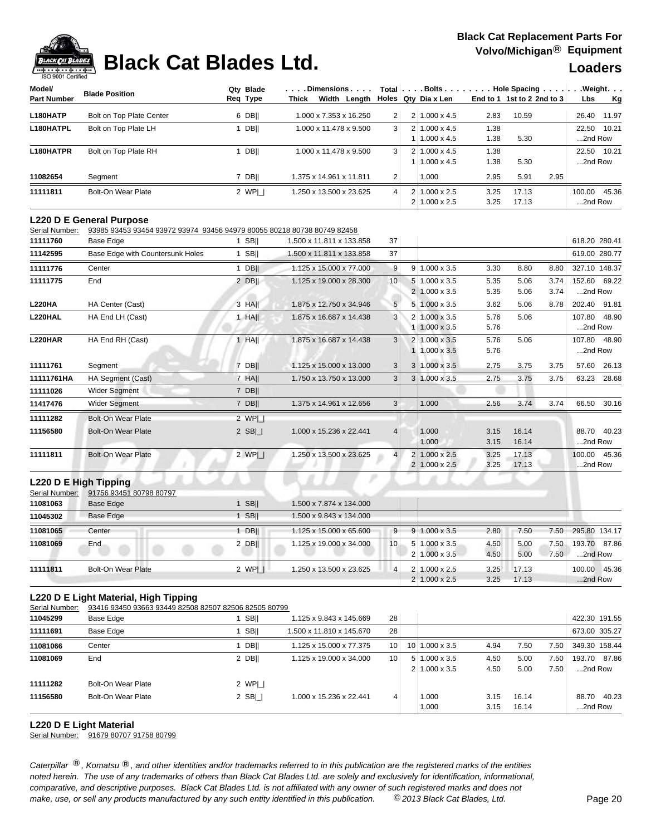

## **Black Cat Blades Ltd.** Welcomichigan Black Cat Blades Ltd. **Loaders**

| Model/             |                          | Qty Blade | . Dimensions            |                |                       |      | Total $\vert \ldots$ . Bolts $\ldots \vert \ldots$ . Hole Spacing $\ldots \vert$ | $\ldots$ . Weight. $\ldots$ |
|--------------------|--------------------------|-----------|-------------------------|----------------|-----------------------|------|----------------------------------------------------------------------------------|-----------------------------|
| <b>Part Number</b> | <b>Blade Position</b>    | Reg Type  | Thick<br>Width Length   |                | Holes   Qty Dia x Len |      | End to 1 1st to 2 2nd to 3                                                       | Kg<br>Lbs                   |
| L180HATP           | Bolt on Top Plate Center | $6$ DB    | 1.000 x 7.353 x 16.250  | 2 <sup>1</sup> | 2 1.000 x 4.5         | 2.83 | 10.59                                                                            | 11.97<br>26.40              |
| L180HATPL          | Bolt on Top Plate LH     | DBII      | 1.000 x 11.478 x 9.500  | 3              | $2 1.000 \times 4.5$  | 1.38 |                                                                                  | 22.50 10.21                 |
|                    |                          |           |                         |                | $1.000 \times 4.5$    | 1.38 | 5.30                                                                             | 2nd Row                     |
| L180HATPR          | Bolt on Top Plate RH     | DBII      | 1.000 x 11.478 x 9.500  | 3              | $2 1.000 \times 4.5$  | 1.38 |                                                                                  | 22.50 10.21                 |
|                    |                          |           |                         |                | $1.000 \times 4.5$    | 1.38 | 5.30                                                                             | 2nd Row                     |
| 11082654           | Segment                  | DBII      | 1.375 x 14.961 x 11.811 | 2 <sup>1</sup> | 1.000                 | 2.95 | 2.95<br>5.91                                                                     |                             |
| 11111811           | Bolt-On Wear Plate       | 2 WPL     | 1.250 x 13.500 x 23.625 | $\vert$        | $2 1.000 \times 2.5 $ | 3.25 | 17.13                                                                            | 45.36<br>100.00             |
|                    |                          |           |                         |                | $2 1.000 \times 2.5 $ | 3.25 | 17.13                                                                            | 2nd Row                     |

### **L220 D E General Purpose**

Serial Number: 93985 93453 93454 93972 93974 93456 94979 80055 80218 80738 80749 82458

| 11111760      | Base Edge                        | <b>SBII</b>   | 1.500 x 11.811 x 133.858 | 37             |                |                       |      |       |      | 618.20 280.41 |       |
|---------------|----------------------------------|---------------|--------------------------|----------------|----------------|-----------------------|------|-------|------|---------------|-------|
| 11142595      | Base Edge with Countersunk Holes | <b>SBII</b>   | 1.500 x 11.811 x 133.858 | 37             |                |                       |      |       |      | 619.00 280.77 |       |
| 11111776      | Center                           | <b>DBII</b>   | 1.125 x 15.000 x 77.000  | 9              | 9              | $1.000 \times 3.5$    | 3.30 | 8.80  | 8.80 | 327.10 148.37 |       |
| 11111775      | End                              | 2 DBII        | 1.125 x 19.000 x 28.300  | 10             | 5              | $1.000 \times 3.5$    | 5.35 | 5.06  | 3.74 | 152.60 69.22  |       |
|               |                                  |               |                          |                | 2 <sup>1</sup> | $1.000 \times 3.5$    | 5.35 | 5.06  | 3.74 | 2nd Row       |       |
| <b>L220HA</b> | HA Center (Cast)                 | 3 HAII        | 1.875 x 12.750 x 34.946  | 5              | 5              | $1.000 \times 3.5$    | 3.62 | 5.06  | 8.78 | 202.40        | 91.81 |
| L220HAL       | HA End LH (Cast)                 | $1$ HA        | 1.875 x 16.687 x 14.438  | 3              |                | $1.000 \times 3.5$    | 5.76 | 5.06  |      | 107.80        | 48.90 |
|               |                                  |               |                          |                |                | 1 1.000 x 3.5         | 5.76 |       |      | 2nd Row       |       |
| L220HAR       | HA End RH (Cast)                 | $1$ HA        | 1.875 x 16.687 x 14.438  | 3              |                | $1.000 \times 3.5$    | 5.76 | 5.06  |      | 107.80        | 48.90 |
|               |                                  |               |                          |                |                | $1.000 \times 3.5$    | 5.76 |       |      | 2nd Row       |       |
| 11111761      | Segment                          | 7 DB          | 1.125 x 15.000 x 13.000  | 3              | 3              | $1.000 \times 3.5$    | 2.75 | 3.75  | 3.75 | 57.60         | 26.13 |
| 11111761HA    | HA Segment (Cast)                | 7 HAII        | 1.750 x 13.750 x 13.000  | 3              |                | $1.000 \times 3.5$    | 2.75 | 3.75  | 3.75 | 63.23         | 28.68 |
| 11111026      | <b>Wider Segment</b>             | 7 DB          |                          |                |                |                       |      |       |      |               |       |
| 11417476      | <b>Wider Segment</b>             | 7 DB          | 1.375 x 14.961 x 12.656  | 3              |                | 1.000                 | 2.56 | 3.74  | 3.74 | 66.50         | 30.16 |
| 11111282      | <b>Bolt-On Wear Plate</b>        | $2$ WP $\Box$ |                          |                |                |                       |      |       |      |               |       |
| 11156580      | <b>Bolt-On Wear Plate</b>        | 2 $SB$ $\Box$ | 1.000 x 15.236 x 22.441  | $\overline{4}$ |                | 1.000                 | 3.15 | 16.14 |      | 88.70         | 40.23 |
|               |                                  |               |                          |                |                | 1.000                 | 3.15 | 16.14 |      | 2nd Row       |       |
| 11111811      | <b>Bolt-On Wear Plate</b>        | 2 $WPI$       | 1.250 x 13.500 x 23.625  | $\overline{4}$ | $\overline{2}$ | $1.000 \times 2.5$    | 3.25 | 17.13 |      | 100.00        | 45.36 |
|               |                                  |               |                          |                |                | $2 1.000 \times 2.5 $ | 3.25 | 17.13 |      | 2nd Row       |       |

### **L220 D E High Tipping**

| Serial Number: | 91756 93451 80798 80797   |             |                         |                           |                 |                           |      |       |      |               |       |
|----------------|---------------------------|-------------|-------------------------|---------------------------|-----------------|---------------------------|------|-------|------|---------------|-------|
| 11081063       | Base Edge                 | <b>SBII</b> | 1.500 x 7.874 x 134.000 |                           |                 |                           |      |       |      |               |       |
| 11045302       | <b>Base Edge</b>          |             | SBII                    | 1.500 x 9.843 x 134.000   |                 |                           |      |       |      |               |       |
| 11081065       | Center                    |             | <b>DBII</b>             | 1.125 x 15.000 x 65.600   | 9               | $9 \mid 1.000 \times 3.5$ | 2.80 | 7.50  | 7.50 | 295.80 134.17 |       |
| 11081069       | End                       |             | 2 DBII                  | 1.125 x 19.000 x 34.000 l | 10 <sup>1</sup> | $5 \mid 1.000 \times 3.5$ | 4.50 | 5.00  | 7.50 | 193.70 87.86  |       |
|                |                           |             |                         |                           |                 | $2 \mid 1.000 \times 3.5$ | 4.50 | 5.00  | 7.50 | 2nd Row       |       |
| 11111811       | <b>Bolt-On Wear Plate</b> |             | 2 WPL                   | 1.250 x 13.500 x 23.625   | $\overline{4}$  | $2 \mid 1.000 \times 2.5$ | 3.25 | 17.13 |      | 100.00        | 45.36 |
|                |                           |             |                         |                           |                 | $2 1.000 \times 2.5$      | 3.25 | 17.13 |      | 2nd Row       |       |

### **L220 D E Light Material, High Tipping**

| Serial Number: | 93416 93450 93663 93449 82508 82507 82506 82505 80799 |             |                          |                 |                       |      |       |      |                 |
|----------------|-------------------------------------------------------|-------------|--------------------------|-----------------|-----------------------|------|-------|------|-----------------|
| 11045299       | Base Edge                                             | <b>SBII</b> | 1.125 x 9.843 x 145.669  | 28              |                       |      |       |      | 422.30 191.55   |
| 11111691       | Base Edge                                             | <b>SBII</b> | 1.500 x 11.810 x 145.670 | 28              |                       |      |       |      | 673.00 305.27   |
| 11081066       | Center                                                | <b>DBII</b> | 1.125 x 15.000 x 77.375  | 10 <sup>1</sup> | $10 1.000 \times 3.5$ | 4.94 | 7.50  | 7.50 | 349.30 158.44   |
| 11081069       | End                                                   | $2$ DB      | 1.125 x 19.000 x 34.000  | 10 <sup>1</sup> | $5 1.000 \times 3.5$  | 4.50 | 5.00  | 7.50 | 87.86<br>193.70 |
|                |                                                       |             |                          |                 | $2 1.000 \times 3.5$  | 4.50 | 5.00  | 7.50 | 2nd Row         |
| 11111282       | Bolt-On Wear Plate                                    | 2 $WPI$     |                          |                 |                       |      |       |      |                 |
| 11156580       | Bolt-On Wear Plate                                    | $2$ SB $  $ | 1.000 x 15.236 x 22.441  | 4               | 1.000                 | 3.15 | 16.14 |      | 40.23<br>88.70  |
|                |                                                       |             |                          |                 | 1.000                 | 3.15 | 16.14 |      | 2nd Row         |

## **L220 D E Light Material**

Serial Number: 91679 80707 91758 80799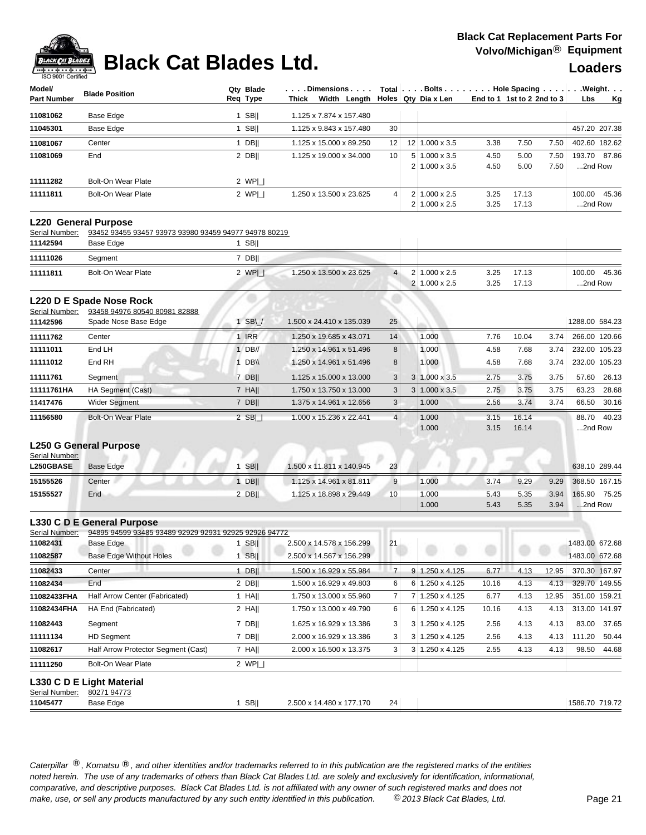

## **Black Cat Blades Ltd. Loaders Leaders Loaders**

| Model/<br>Part Number              | <b>Blade Position</b>                                                                | Qty Blade<br>Reg Type | . Dimensions<br>Thick Width Length |                |   | Total Bolts Hole Spacing Weight.<br>Holes Qty Dia x Len |              | End to 1 1st to 2 2nd to 3 |       | Lbs               | <u>Kg</u> |
|------------------------------------|--------------------------------------------------------------------------------------|-----------------------|------------------------------------|----------------|---|---------------------------------------------------------|--------------|----------------------------|-------|-------------------|-----------|
| 11081062                           | Base Edge                                                                            | $1$ SB                | 1.125 x 7.874 x 157.480            |                |   |                                                         |              |                            |       |                   |           |
| 11045301                           | Base Edge                                                                            | $1$ SB                | 1.125 x 9.843 x 157.480            | 30             |   |                                                         |              |                            |       | 457.20 207.38     |           |
| 11081067                           | Center                                                                               | $1$ DB                | 1.125 x 15.000 x 89.250            | 12             |   | 12 1.000 x 3.5                                          | 3.38         | 7.50                       | 7.50  | 402.60 182.62     |           |
| 11081069                           | End                                                                                  | $2$ DB                | 1.125 x 19.000 x 34.000            | 10             |   | $5 1.000 \times 3.5$                                    | 4.50         | 5.00                       | 7.50  | 193.70 87.86      |           |
|                                    |                                                                                      |                       |                                    |                |   | $2 1.000 \times 3.5$                                    | 4.50         | 5.00                       | 7.50  | 2nd Row           |           |
| 11111282                           | <b>Bolt-On Wear Plate</b>                                                            | 2 $WPI$               |                                    |                |   |                                                         |              |                            |       |                   |           |
| 11111811                           | <b>Bolt-On Wear Plate</b>                                                            | 2 $WPI$               | 1.250 x 13.500 x 23.625            | 4              |   | $2 1.000 \times 2.5$<br>$2 1.000 \times 2.5$            | 3.25<br>3.25 | 17.13<br>17.13             |       | 100.00<br>2nd Row | 45.36     |
| Serial Number:                     | <b>L220 General Purpose</b><br>93452 93455 93457 93973 93980 93459 94977 94978 80219 |                       |                                    |                |   |                                                         |              |                            |       |                   |           |
| 11142594                           | Base Edge                                                                            | $1$ SB                |                                    |                |   |                                                         |              |                            |       |                   |           |
| 11111026                           | Segment                                                                              | $7$ DB                |                                    |                |   |                                                         |              |                            |       |                   |           |
| 11111811                           | <b>Bolt-On Wear Plate</b>                                                            | 2 $WP $               | 1.250 x 13.500 x 23.625            | $\overline{4}$ |   | $2 1.000 \times 2.5$                                    | 3.25         | 17.13                      |       | 100.00            | 45.36     |
|                                    |                                                                                      |                       |                                    |                | 2 | $1.000 \times 2.5$                                      | 3.25         | 17.13                      |       | 2nd Row           |           |
|                                    | L220 D E Spade Nose Rock                                                             |                       |                                    |                |   |                                                         |              |                            |       |                   |           |
| Serial Number:<br>11142596         | 93458 94976 80540 80981 82888<br>Spade Nose Base Edge                                | $1$ SB $\cup$         | 1.500 x 24.410 x 135.039           | 25             |   |                                                         |              |                            |       | 1288.00 584.23    |           |
| 11111762                           | Center                                                                               | 1 IRR                 | 1.250 x 19.685 x 43.071            | 14             |   | 1.000                                                   | 7.76         | 10.04                      | 3.74  | 266.00 120.66     |           |
| 11111011                           | End LH                                                                               | $1$ DB//              | 1.250 x 14.961 x 51.496            | 8              |   | 1.000                                                   | 4.58         | 7.68                       | 3.74  | 232.00 105.23     |           |
| 11111012                           | End RH                                                                               | $1$ DB\\              | 1.250 x 14.961 x 51.496            | 8              |   | 1.000                                                   | 4.58         | 7.68                       | 3.74  | 232.00 105.23     |           |
| 11111761                           | Segment                                                                              | 7 DB                  | 1.125 x 15.000 x 13.000            | 3              |   | $3 1.000 \times 3.5$                                    | 2.75         | 3.75                       | 3.75  | 57.60             | 26.13     |
| 11111761HA                         | HA Segment (Cast)                                                                    | 7 HA                  | 1.750 x 13.750 x 13.000            | 3              | 3 | $1.000 \times 3.5$                                      | 2.75         | 3.75                       | 3.75  | 63.23             | 28.68     |
| 11417476                           | <b>Wider Segment</b>                                                                 | $7$ DB                | 1.375 x 14.961 x 12.656            | 3              |   | 1.000                                                   | 2.56         | 3.74                       | 3.74  | 66.50             | 30.16     |
| 11156580                           | <b>Bolt-On Wear Plate</b>                                                            | 2 $SB$                | 1.000 x 15.236 x 22.441            | $\overline{4}$ |   | 1.000                                                   | 3.15         | 16.14                      |       | 88.70             | 40.23     |
|                                    |                                                                                      |                       |                                    |                |   | 1.000                                                   | 3.15         | 16.14                      |       | 2nd Row           |           |
| Serial Number:<br><b>L250GBASE</b> | <b>L250 G General Purpose</b><br>Base Edge                                           | $1$ SB                | 1.500 x 11.811 x 140.945           | 23             |   |                                                         |              |                            |       | 638.10 289.44     |           |
| 15155526                           | Center                                                                               | $1$ DB                | 1.125 x 14.961 x 81.811            | 9              |   | 1.000                                                   | 3.74         | 9.29                       | 9.29  | 368.50 167.15     |           |
| 15155527                           | End                                                                                  | 2 DB                  | 1.125 x 18.898 x 29.449            | 10             |   | 1.000                                                   | 5.43         | 5.35                       | 3.94  | 165.90 75.25      |           |
|                                    |                                                                                      |                       |                                    |                |   | 1.000                                                   | 5.43         | 5.35                       | 3.94  | 2nd Row           |           |
| Serial Number:                     | L330 C D E General Purpose<br>94895 94599 93485 93489 92929 92931 92925 92926 94772  |                       |                                    |                |   |                                                         |              |                            |       |                   |           |
| 11082431                           | Base Edge                                                                            | $1$ SB                | 2.500 x 14.578 x 156.299           | 21             |   |                                                         |              |                            |       | 1483.00 672.68    |           |
| 11082587                           | <b>Base Edge Without Holes</b>                                                       | $1$ SB                | 2.500 x 14.567 x 156.299           |                |   |                                                         |              |                            |       | 1483.00 672.68    |           |
| 11082433                           | Center                                                                               | 1 DB                  | 1.500 x 16.929 x 55.984            | $\overline{7}$ |   | $9 1.250 \times 4.125$                                  | 6.77         | 4.13                       | 12.95 | 370.30 167.97     |           |
| 11082434                           | End                                                                                  | $2$ DB                | 1.500 x 16.929 x 49.803            | 6              |   | 6 1.250 x 4.125                                         | 10.16        | 4.13                       | 4.13  | 329.70 149.55     |           |
| 11082433FHA                        | Half Arrow Center (Fabricated)                                                       | 1 HA                  | 1.750 x 13.000 x 55.960            | 7              |   | 7 1.250 x 4.125                                         | 6.77         | 4.13                       | 12.95 | 351.00 159.21     |           |
| 11082434FHA                        | HA End (Fabricated)                                                                  | $2$ HA                | 1.750 x 13.000 x 49.790            | 6              |   | 6 1.250 x 4.125                                         | 10.16        | 4.13                       | 4.13  | 313.00 141.97     |           |
| 11082443                           | Segment                                                                              | $7$ DB                | 1.625 x 16.929 x 13.386            | 3              |   | $3 1.250 \times 4.125$                                  | 2.56         | 4.13                       | 4.13  | 83.00             | 37.65     |
| 11111134                           | <b>HD Segment</b>                                                                    | 7 DB                  | 2.000 x 16.929 x 13.386            | 3              | 3 | 1.250 x 4.125                                           | 2.56         | 4.13                       | 4.13  | 111.20            | 50.44     |
| 11082617                           | Half Arrow Protector Segment (Cast)                                                  | $7$ HA                | 2.000 x 16.500 x 13.375            | 3              |   | $3 1.250 \times 4.125$                                  | 2.55         | 4.13                       | 4.13  | 98.50             | 44.68     |
| 11111250                           | Bolt-On Wear Plate                                                                   | 2 $WPI$               |                                    |                |   |                                                         |              |                            |       |                   |           |
| Serial Number:<br>11045477         | L330 C D E Light Material<br>80271 94773<br>Base Edge                                | $1$ SB                | 2.500 x 14.480 x 177.170           | 24             |   |                                                         |              |                            |       | 1586.70 719.72    |           |
|                                    |                                                                                      |                       |                                    |                |   |                                                         |              |                            |       |                   |           |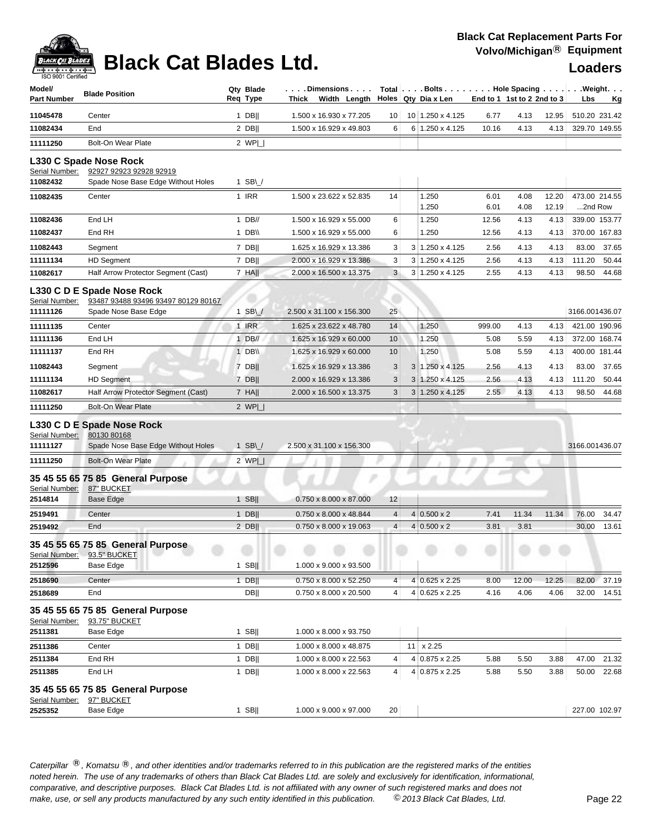## **Black Cat Replacement Parts For Volvo/Michigan**® **Equipment**

| Model/<br><b>Part Number</b> | <b>Blade Position</b>                             | Qty Blade<br>Reg Type | . Dimensions<br>Width Length<br>Thick |    |   | Total $\vert \ldots$ Bolts $\ldots \vert \ldots$ Hole Spacing $\ldots \vert \ldots$ Weight. $\ldots$<br>Holes Qty Dia x Len | End to 1 1st to 2 2nd to 3 |              |                | Lbs                      | Κg            |
|------------------------------|---------------------------------------------------|-----------------------|---------------------------------------|----|---|-----------------------------------------------------------------------------------------------------------------------------|----------------------------|--------------|----------------|--------------------------|---------------|
| 11045478                     | Center                                            | $1$ DB                | 1.500 x 16.930 x 77.205               | 10 |   | 10 1.250 x 4.125                                                                                                            | 6.77                       | 4.13         | 12.95          | 510.20 231.42            |               |
| 11082434                     | End                                               | $2$ DB                | 1.500 x 16.929 x 49.803               | 6  |   | 6 1.250 x 4.125                                                                                                             | 10.16                      | 4.13         | 4.13           | 329.70 149.55            |               |
| 11111250                     | <b>Bolt-On Wear Plate</b>                         | 2 $WPI$               |                                       |    |   |                                                                                                                             |                            |              |                |                          |               |
|                              | L330 C Spade Nose Rock                            |                       |                                       |    |   |                                                                                                                             |                            |              |                |                          |               |
| Serial Number:               | 92927 92923 92928 92919                           |                       |                                       |    |   |                                                                                                                             |                            |              |                |                          |               |
| 11082432                     | Spade Nose Base Edge Without Holes                | 1 SB $\cup$           |                                       |    |   |                                                                                                                             |                            |              |                |                          |               |
| 11082435                     | Center                                            | 1 IRR                 | 1.500 x 23.622 x 52.835               | 14 |   | 1.250<br>1.250                                                                                                              | 6.01<br>6.01               | 4.08<br>4.08 | 12.20<br>12.19 | 473.00 214.55<br>2nd Row |               |
| 11082436                     | End LH                                            | $1$ DB//              | 1.500 x 16.929 x 55.000               | 6  |   | 1.250                                                                                                                       | 12.56                      | 4.13         | 4.13           |                          | 339.00 153.77 |
| 11082437                     | End RH                                            | 1 DB\\                | 1.500 x 16.929 x 55.000               | 6  |   | 1.250                                                                                                                       | 12.56                      | 4.13         | 4.13           |                          | 370.00 167.83 |
| 11082443                     | Segment                                           | 7 DB                  | 1.625 x 16.929 x 13.386               | 3  |   | 3 1.250 x 4.125                                                                                                             | 2.56                       | 4.13         | 4.13           | 83.00                    | 37.65         |
| 11111134                     | <b>HD Segment</b>                                 | 7 DB                  | 2.000 x 16.929 x 13.386               | 3  |   | 3 1.250 x 4.125                                                                                                             | 2.56                       | 4.13         | 4.13           | 111.20                   | 50.44         |
| 11082617                     | Half Arrow Protector Segment (Cast)               | $7$ HA                | 2.000 x 16.500 x 13.375               | 3  |   | 3 1.250 x 4.125                                                                                                             | 2.55                       | 4.13         | 4.13           | 98.50                    | 44.68         |
|                              | L330 C D E Spade Nose Rock                        |                       |                                       |    |   |                                                                                                                             |                            |              |                |                          |               |
| Serial Number:               | 93487 93488 93496 93497 80129 80167               |                       |                                       |    |   |                                                                                                                             |                            |              |                |                          |               |
| 11111126                     | Spade Nose Base Edge                              | $1$ SB\               | 2.500 x 31.100 x 156.300              | 25 |   |                                                                                                                             |                            |              |                | 3166.001436.07           |               |
| 11111135                     | Center                                            | 1 IRR                 | 1.625 x 23.622 x 48.780               | 14 |   | 1.250                                                                                                                       | 999.00                     | 4.13         | 4.13           | 421.00 190.96            |               |
| 11111136                     | End LH                                            | 1 DB//                | 1.625 x 16.929 x 60.000               | 10 |   | 1.250                                                                                                                       | 5.08                       | 5.59         | 4.13           | 372.00 168.74            |               |
| 11111137                     | End RH                                            | $1$ DB\\              | 1.625 x 16.929 x 60.000               | 10 |   | 1.250                                                                                                                       | 5.08                       | 5.59         | 4.13           | 400.00 181.44            |               |
| 11082443                     | Segment                                           | 7 DB                  | 1.625 x 16.929 x 13.386               | 3  |   | 3 1.250 x 4.125                                                                                                             | 2.56                       | 4.13         | 4.13           | 83.00                    | 37.65         |
| 11111134                     | <b>HD Segment</b>                                 | 7 DB                  | 2.000 x 16.929 x 13.386               | 3  | 3 | 1.250 x 4.125                                                                                                               | 2.56                       | 4.13         | 4.13           | 111.20                   | 50.44         |
| 11082617                     | Half Arrow Protector Segment (Cast)               | 7 HA                  | 2.000 x 16.500 x 13.375               | 3  | 3 | 1.250 x 4.125                                                                                                               | 2.55                       | 4.13         | 4.13           | 98.50                    | 44.68         |
| 11111250                     | <b>Bolt-On Wear Plate</b>                         | 2 $WPI_{-}$           |                                       |    |   |                                                                                                                             |                            |              |                |                          |               |
| Serial Number:               | L330 C D E Spade Nose Rock                        |                       |                                       |    |   |                                                                                                                             |                            |              |                |                          |               |
| 11111127                     | 80130 80168<br>Spade Nose Base Edge Without Holes | $1$ SB\               | 2.500 x 31.100 x 156.300              |    |   |                                                                                                                             |                            |              |                | 3166.001436.07           |               |
| 11111250                     | <b>Bolt-On Wear Plate</b>                         | 2 $WPI_{-}$           |                                       |    |   |                                                                                                                             |                            |              |                |                          |               |
|                              | 35 45 55 65 75 85 General Purpose                 |                       |                                       |    |   |                                                                                                                             |                            |              |                |                          |               |
| Serial Number:               | 87" BUCKET                                        |                       |                                       |    |   |                                                                                                                             |                            |              |                |                          |               |
| 2514814                      | <b>Base Edge</b>                                  | $1$ SB                | 0.750 x 8.000 x 87.000                | 12 |   |                                                                                                                             |                            |              |                |                          |               |
| 2519491                      | Center                                            | $1$ DB                | 0.750 x 8.000 x 48.844                | 4  |   | $4 0.500 \times 2$                                                                                                          | 7.41                       | 11.34        | 11.34          | 76.00                    | 34.47         |
| 2519492                      | End                                               | $2$ DB                | 0.750 x 8.000 x 19.063                | 4  |   | $4 0.500 \times 2$                                                                                                          | 3.81                       | 3.81         |                | 30.00                    | 13.61         |
|                              | 35 45 55 65 75 85 General Purpose                 |                       |                                       |    |   |                                                                                                                             |                            |              |                |                          |               |
| Serial Number:<br>2512596    | 93.5" BUCKET<br>Base Edge                         | 1 SB $\parallel$      | 1.000 x 9.000 x 93.500                |    |   |                                                                                                                             |                            |              |                |                          |               |
| 2518690                      | Center                                            | $1$ DB                | 0.750 x 8.000 x 52.250                | 4  |   | $4 0.625 \times 2.25$                                                                                                       | 8.00                       | 12.00        | 12.25          | 82.00                    | 37.19         |
| 2518689                      | End                                               | <b>DB  </b>           | 0.750 x 8.000 x 20.500                | 4  |   | 4 0.625 x 2.25                                                                                                              | 4.16                       | 4.06         | 4.06           | 32.00                    | 14.51         |
|                              | 35 45 55 65 75 85 General Purpose                 |                       |                                       |    |   |                                                                                                                             |                            |              |                |                          |               |
| Serial Number:               | 93.75" BUCKET                                     |                       |                                       |    |   |                                                                                                                             |                            |              |                |                          |               |
| 2511381                      | Base Edge                                         | $1$ SB                | 1.000 x 8.000 x 93.750                |    |   |                                                                                                                             |                            |              |                |                          |               |
| 2511386                      | Center                                            | $1$ DB                | 1.000 x 8.000 x 48.875                |    |   | $11 \times 2.25$                                                                                                            |                            |              |                |                          |               |
| 2511384                      | End RH                                            | $1$ DB                | 1.000 x 8.000 x 22.563                | 4  |   | 4 0.875 x 2.25                                                                                                              | 5.88                       | 5.50         | 3.88           | 47.00                    | 21.32         |
| 2511385                      | End LH                                            | $1$ DB                | 1.000 x 8.000 x 22.563                | 4  |   | 4 0.875 x 2.25                                                                                                              | 5.88                       | 5.50         | 3.88           | 50.00                    | 22.68         |
|                              | 35 45 55 65 75 85 General Purpose                 |                       |                                       |    |   |                                                                                                                             |                            |              |                |                          |               |
| Serial Number:               | 97" BUCKET                                        |                       |                                       |    |   |                                                                                                                             |                            |              |                |                          |               |
| 2525352                      | Base Edge                                         | $1$ SB                | 1.000 x 9.000 x 97.000                | 20 |   |                                                                                                                             |                            |              |                |                          | 227.00 102.97 |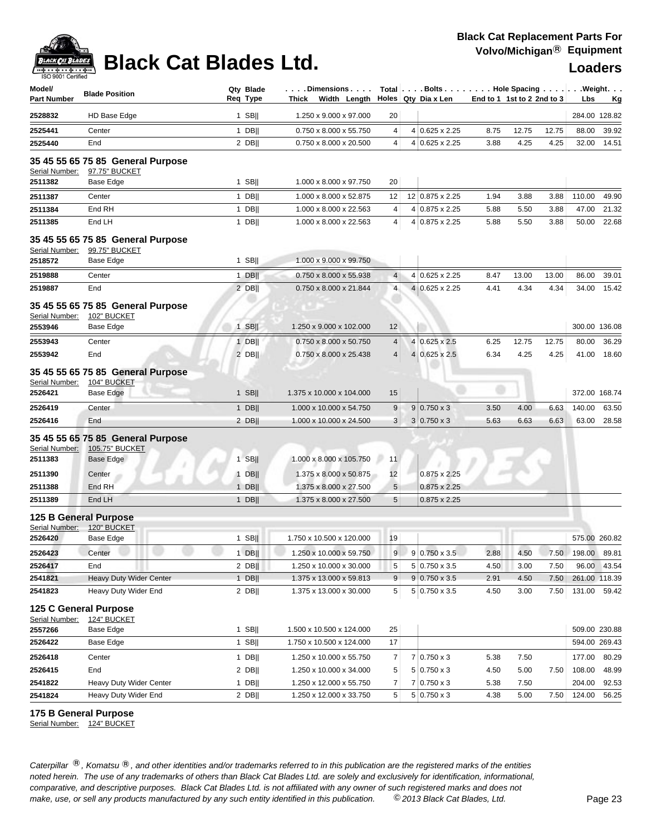| Model/<br><b>Part Number</b>         | <b>Blade Position</b>                                                   | Qty Blade<br>Req Type | . Dimensions<br>Thick Width Length                   |                       |  | Holes Qty Dia x Len   | Total   Bolts   Hole Spacing   Weight.<br>End to 1 1st to 2 2nd to 3 |       | Lbs<br><u>Kg</u> |        |                                |
|--------------------------------------|-------------------------------------------------------------------------|-----------------------|------------------------------------------------------|-----------------------|--|-----------------------|----------------------------------------------------------------------|-------|------------------|--------|--------------------------------|
| 2528832                              | HD Base Edge                                                            | $1$ SB                | 1.250 x 9.000 x 97.000                               | 20                    |  |                       |                                                                      |       |                  |        | 284.00 128.82                  |
| 2525441                              | Center                                                                  | $1$ DB                | 0.750 x 8.000 x 55.750                               | 4                     |  | 4 0.625 x 2.25        | 8.75                                                                 | 12.75 | 12.75            | 88.00  | 39.92                          |
| 2525440                              | End                                                                     | 2 DB                  | 0.750 x 8.000 x 20.500                               | 4                     |  | 4 0.625 x 2.25        | 3.88                                                                 | 4.25  | 4.25             |        | 32.00 14.51                    |
| Serial Number:<br>2511382            | 35 45 55 65 75 85 General Purpose<br>97.75" BUCKET<br>Base Edge         | $1$ SB                | 1.000 x 8.000 x 97.750                               | 20                    |  |                       |                                                                      |       |                  |        |                                |
| 2511387                              | Center                                                                  | $1$ DB                | 1.000 x 8.000 x 52.875                               | 12                    |  | 12 0.875 x 2.25       | 1.94                                                                 | 3.88  | 3.88             | 110.00 | 49.90                          |
| 2511384                              | End RH                                                                  | $1$ DB                | 1.000 x 8.000 x 22.563                               | 4                     |  | 4 0.875 x 2.25        | 5.88                                                                 | 5.50  | 3.88             | 47.00  | 21.32                          |
| 2511385                              | End LH                                                                  | $1$ DB                | 1.000 x 8.000 x 22.563                               | 4                     |  | 4 0.875 x 2.25        | 5.88                                                                 | 5.50  | 3.88             | 50.00  | 22.68                          |
| Serial Number:<br>2518572            | 35 45 55 65 75 85 General Purpose<br>99.75" BUCKET<br>Base Edge         | $1$ SB                | 1.000 x 9.000 x 99.750                               |                       |  |                       |                                                                      |       |                  |        |                                |
| 2519888                              | Center                                                                  | $1$ DB                | 0.750 x 8.000 x 55.938                               | $\overline{4}$        |  | 4 0.625 x 2.25        | 8.47                                                                 | 13.00 | 13.00            | 86.00  | 39.01                          |
| 2519887                              | End                                                                     | $2$ DB                | 0.750 x 8.000 x 21.844                               | $\overline{4}$        |  | 4 0.625 x 2.25        | 4.41                                                                 | 4.34  | 4.34             | 34.00  | 15.42                          |
| Serial Number:<br>2553946            | 35 45 55 65 75 85 General Purpose<br>102" BUCKET<br><b>Base Edge</b>    | $1$ SB                | 1.250 x 9.000 x 102.000                              | 12                    |  |                       |                                                                      |       |                  |        | 300.00 136.08                  |
| 2553943                              | Center                                                                  | $1$ DB                | 0.750 x 8.000 x 50.750                               | 4                     |  | 4 0.625 x 2.5         | 6.25                                                                 | 12.75 | 12.75            | 80.00  | 36.29                          |
| 2553942                              | End                                                                     | $2$ DB                | 0.750 x 8.000 x 25.438                               | 4                     |  | $4 0.625 \times 2.5 $ | 6.34                                                                 | 4.25  | 4.25             | 41.00  | 18.60                          |
| Serial Number:<br>2526421            | 35 45 55 65 75 85 General Purpose<br>104" BUCKET<br>Base Edge           | $1$ SB                | 1.375 x 10.000 x 104.000                             | 15                    |  |                       |                                                                      |       |                  |        | 372.00 168.74                  |
| 2526419                              | Center                                                                  | $1$ DB                | 1.000 x 10.000 x 54.750                              | $\boldsymbol{9}$<br>3 |  | $9 0.750 \times 3$    | 3.50                                                                 | 4.00  | 6.63             | 140.00 | 63.50                          |
| 2526416<br>Serial Number:<br>2511383 | End<br>35 45 55 65 75 85 General Purpose<br>105.75" BUCKET<br>Base Edge | $2$ DB  <br>$1$ SB    | 1.000 x 10.000 x 24.500<br>1.000 x 8.000 x 105.750   | 11                    |  | $3 0.750 \times 3$    | 5.63                                                                 | 6.63  | 6.63             | 63.00  | 28.58                          |
| 2511390                              | Center                                                                  | $1$ DB                | 1.375 x 8.000 x 50.875                               | 12                    |  | $0.875 \times 2.25$   |                                                                      |       |                  |        |                                |
| 2511388                              | End RH                                                                  | $1$ DB                | 1.375 x 8.000 x 27.500                               | 5                     |  | $0.875 \times 2.25$   |                                                                      |       |                  |        |                                |
| 2511389                              | End LH                                                                  | $1$ DB                | 1.375 x 8.000 x 27.500                               | 5                     |  | $0.875 \times 2.25$   |                                                                      |       |                  |        |                                |
| Serial Number:<br>2526420            | <b>125 B General Purpose</b><br>120" BUCKET<br>Base Edge                | $1$ SB                | 1.750 x 10.500 x 120.000                             | 19                    |  |                       |                                                                      |       |                  |        | 575.00 260.82                  |
| 2526423                              | Center                                                                  | 1 DB                  | 1.250 x 10.000 x 59.750                              | 9                     |  | $9 0.750 \times 3.5$  | 2.88                                                                 | 4.50  | 7.50             | 198.00 | 89.81                          |
| 2526417                              | End                                                                     | $2$ DB                | 1.250 x 10.000 x 30.000                              | 5                     |  | $5 0.750 \times 3.5$  | 4.50                                                                 | 3.00  | 7.50             |        | 96.00 43.54                    |
| 2541821                              | Heavy Duty Wider Center                                                 | $1$ DB                | 1.375 x 13.000 x 59.813                              | 9                     |  | $9 0.750 \times 3.5$  | 2.91                                                                 | 4.50  | 7.50             |        | 261.00 118.39                  |
| 2541823                              | Heavy Duty Wider End                                                    | $2$ DB                | 1.375 x 13.000 x 30.000                              | 5                     |  | $5 0.750 \times 3.5$  | 4.50                                                                 | 3.00  | 7.50             | 131.00 | 59.42                          |
| Serial Number:<br>2557266<br>2526422 | 125 C General Purpose<br>124" BUCKET<br>Base Edge<br>Base Edge          | 1 SB $  $<br>$1$ SB   | 1.500 x 10.500 x 124.000<br>1.750 x 10.500 x 124.000 | 25<br>17              |  |                       |                                                                      |       |                  |        | 509.00 230.88<br>594.00 269.43 |
| 2526418                              | Center                                                                  | $1$ DB                | 1.250 x 10.000 x 55.750                              | 7                     |  | $7 0.750 \times 3$    | 5.38                                                                 | 7.50  |                  | 177.00 | 80.29                          |
| 2526415                              | End                                                                     | 2 DBII                | 1.250 x 10.000 x 34.000                              | 5                     |  | $5 0.750 \times 3$    | 4.50                                                                 | 5.00  | 7.50             | 108.00 | 48.99                          |
| 2541822                              | Heavy Duty Wider Center                                                 | $1$ DB                | 1.250 x 12.000 x 55.750                              | 7                     |  | $7 0.750 \times 3$    | 5.38                                                                 | 7.50  |                  | 204.00 | 92.53                          |
| 2541824                              | Heavy Duty Wider End                                                    | $2$ DB                | 1.250 x 12.000 x 33.750                              | 5                     |  | $5 0.750 \times 3$    | 4.38                                                                 | 5.00  | 7.50             | 124.00 | 56.25                          |

### **175 B General Purpose**

Serial Number: 124" BUCKET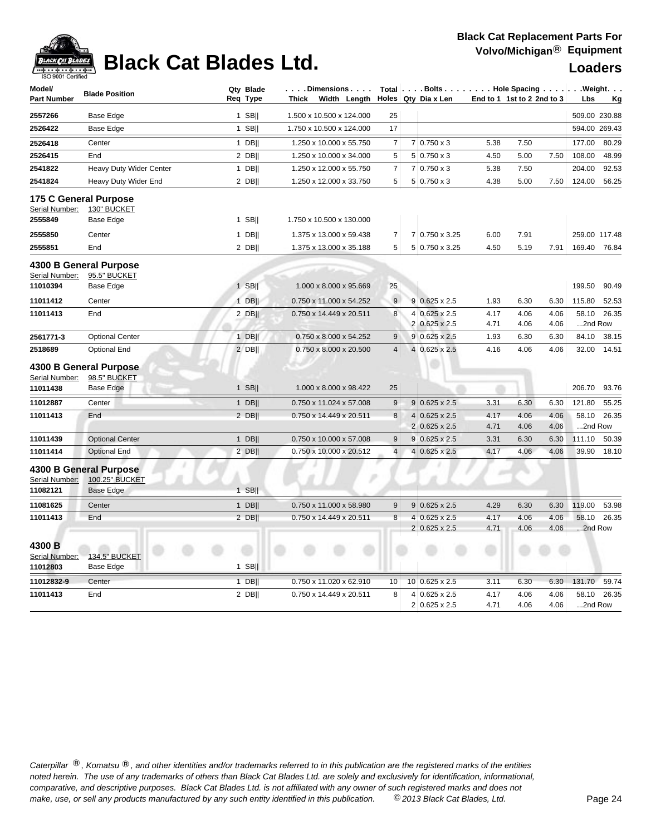

| Model/<br><b>Part Number</b> | <b>Blade Position</b>   | Qty Blade<br>Req Type | . Dimensions<br>Width Length<br>Thick |                  | Total Bolts Hole Spacing Weight.<br>Holes Qty Dia x Len | End to 1 1st to 2 2nd to 3 |      |      | Lbs           | Kg    |
|------------------------------|-------------------------|-----------------------|---------------------------------------|------------------|---------------------------------------------------------|----------------------------|------|------|---------------|-------|
| 2557266                      | Base Edge               | $1$ SB                | 1.500 x 10.500 x 124.000              | 25               |                                                         |                            |      |      | 509.00 230.88 |       |
| 2526422                      | Base Edge               | $1$ SB                | 1.750 x 10.500 x 124.000              | 17               |                                                         |                            |      |      | 594.00 269.43 |       |
| 2526418                      | Center                  | $1$ DB                | 1.250 x 10.000 x 55.750               | $\overline{7}$   | $7 0.750 \times 3$                                      | 5.38                       | 7.50 |      | 177.00        | 80.29 |
| 2526415                      | End                     | 2 DB                  | 1.250 x 10.000 x 34.000               | 5                | $5 0.750 \times 3$                                      | 4.50                       | 5.00 | 7.50 | 108.00        | 48.99 |
| 2541822                      | Heavy Duty Wider Center | $1$ DB                | 1.250 x 12.000 x 55.750               | $\overline{7}$   | $7 0.750 \times 3$                                      | 5.38                       | 7.50 |      | 204.00        | 92.53 |
| 2541824                      | Heavy Duty Wider End    | 2 DB                  | 1.250 x 12.000 x 33.750               | 5                | $5 0.750 \times 3$                                      | 4.38                       | 5.00 | 7.50 | 124.00        | 56.25 |
|                              | 175 C General Purpose   |                       |                                       |                  |                                                         |                            |      |      |               |       |
| Serial Number:               | 130" BUCKET             |                       |                                       |                  |                                                         |                            |      |      |               |       |
| 2555849                      | Base Edge               | $1$ SB                | 1.750 x 10.500 x 130.000              |                  |                                                         |                            |      |      |               |       |
| 2555850                      | Center                  | $1$ DB                | 1.375 x 13.000 x 59.438               | $\overline{7}$   | 7 0.750 x 3.25                                          | 6.00                       | 7.91 |      | 259.00 117.48 |       |
| 2555851                      | End                     | 2 DB                  | 1.375 x 13.000 x 35.188               | 5                | 5 0.750 x 3.25                                          | 4.50                       | 5.19 | 7.91 | 169.40        | 76.84 |
|                              | 4300 B General Purpose  |                       |                                       |                  |                                                         |                            |      |      |               |       |
| Serial Number:               | 95.5" BUCKET            |                       |                                       |                  |                                                         |                            |      |      |               |       |
| 11010394                     | Base Edge               | $1$ SB                | 1.000 x 8.000 x 95.669                | 25               |                                                         |                            |      |      | 199.50        | 90.49 |
| 11011412                     | Center                  | $1$ DB                | 0.750 x 11.000 x 54.252               | 9                | $9 0.625 \times 2.5$                                    | 1.93                       | 6.30 | 6.30 | 115.80        | 52.53 |
| 11011413                     | End                     | 2 DB                  | 0.750 x 14.449 x 20.511               | 8                | $4 0.625 \times 2.5$                                    | 4.17                       | 4.06 | 4.06 | 58.10         | 26.35 |
|                              |                         |                       |                                       |                  | 2 0.625 x 2.5                                           | 4.71                       | 4.06 | 4.06 | 2nd Row       |       |
| 2561771-3                    | <b>Optional Center</b>  | $1$ DB                | 0.750 x 8.000 x 54.252                | 9                | $9 0.625 \times 2.5$                                    | 1.93                       | 6.30 | 6.30 | 84.10         | 38.15 |
| 2518689                      | <b>Optional End</b>     | $2$ DB                | 0.750 x 8.000 x 20.500                | $\overline{4}$   | 4 0.625 x 2.5                                           | 4.16                       | 4.06 | 4.06 | 32.00         | 14.51 |
|                              | 4300 B General Purpose  |                       |                                       |                  |                                                         |                            |      |      |               |       |
| Serial Number:               | 98.5" BUCKET            |                       |                                       |                  |                                                         |                            |      |      |               |       |
| 11011438                     | <b>Base Edge</b>        | $1$ SB                | 1.000 x 8.000 x 98.422                | 25               |                                                         |                            |      |      | 206.70        | 93.76 |
| 11012887                     | Center                  | $1$ DB                | 0.750 x 11.024 x 57.008               | $\boldsymbol{9}$ | $9 0.625 \times 2.5$                                    | 3.31                       | 6.30 | 6.30 | 121.80        | 55.25 |
| 11011413                     | End                     | $2$ DB                | 0.750 x 14.449 x 20.511               | 8                | $4 0.625 \times 2.5$                                    | 4.17                       | 4.06 | 4.06 | 58.10         | 26.35 |
|                              |                         |                       |                                       |                  | 2 0.625 x 2.5                                           | 4.71                       | 4.06 | 4.06 | 2nd Row       |       |
| 11011439                     | <b>Optional Center</b>  | 1 DB                  | 0.750 x 10.000 x 57.008               | 9                | $9 0.625 \times 2.5$                                    | 3.31                       | 6.30 | 6.30 | 111.10        | 50.39 |
| 11011414                     | <b>Optional End</b>     | 2 DB                  | 0.750 x 10.000 x 20.512               | $\overline{4}$   | $4 0.625 \times 2.5$                                    | 4.17                       | 4.06 | 4.06 | 39.90         | 18.10 |
|                              | 4300 B General Purpose  |                       |                                       |                  |                                                         |                            |      |      |               |       |
| Serial Number:               | 100.25" BUCKET          |                       |                                       |                  |                                                         |                            |      |      |               |       |
| 11082121                     | <b>Base Edge</b>        | 1 SBII                |                                       |                  |                                                         |                            |      |      |               |       |
| 11081625                     | Center                  | $1$ DB                | 0.750 x 11.000 x 58.980               | 9                | $9 0.625 \times 2.5$                                    | 4.29                       | 6.30 | 6.30 | 119.00        | 53.98 |
| 11011413                     | End                     | 2 DB                  | 0.750 x 14.449 x 20.511               | 8                | $4 0.625 \times 2.5$                                    | 4.17                       | 4.06 | 4.06 | 58.10         | 26.35 |
|                              |                         |                       |                                       |                  | $2 0.625 \times 2.5$                                    | 4.71                       | 4.06 | 4.06 | 2nd Row       |       |
| 4300 B                       |                         |                       |                                       |                  |                                                         |                            |      |      |               |       |
| Serial Number:               | 134.5" BUCKET           |                       |                                       |                  |                                                         |                            |      |      |               |       |
| 11012803                     | Base Edge               | $1$ SB                |                                       |                  |                                                         |                            |      |      |               |       |
| 11012832-9                   | Center                  | $1$ DB                | 0.750 x 11.020 x 62.910               | 10               | $10 0.625 \times 2.5$                                   | 3.11                       | 6.30 | 6.30 | 131.70        | 59.74 |
| 11011413                     | End                     | 2 DB                  | 0.750 x 14.449 x 20.511               | 8                | $4 0.625 \times 2.5$                                    | 4.17                       | 4.06 | 4.06 | 58.10         | 26.35 |
|                              |                         |                       |                                       |                  | 2 0.625 x 2.5                                           | 4.71                       | 4.06 | 4.06 | 2nd Row       |       |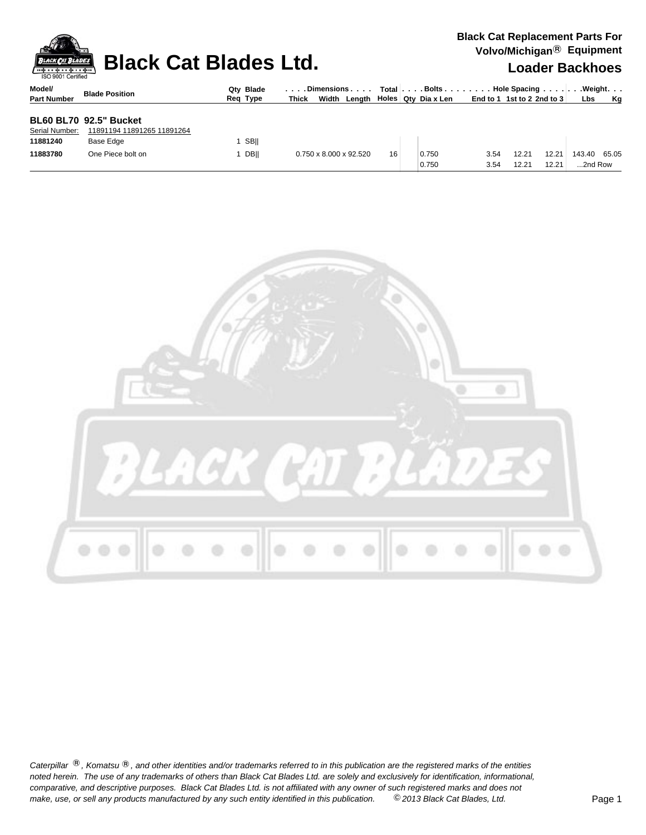|                              | <b>Black Cat Blades Ltd.</b><br><b>BLACK CAT BLADES</b><br>ISO 9001 Certified |                       |                                                               |    |                                  |              |                            |                | $\frac{1}{2}$<br><b>Loader Backhoes</b> |           |  |  |  |  |
|------------------------------|-------------------------------------------------------------------------------|-----------------------|---------------------------------------------------------------|----|----------------------------------|--------------|----------------------------|----------------|-----------------------------------------|-----------|--|--|--|--|
| Model/<br><b>Part Number</b> | <b>Blade Position</b>                                                         | Qty Blade<br>Reg Type | Dimensions   Total   Bolts    Hole Spacing    Weight<br>Thick |    | Width Length Holes Qty Dia x Len |              | End to 1 1st to 2 2nd to 3 |                | <b>Lbs</b>                              | <b>Kg</b> |  |  |  |  |
| Serial Number:<br>11881240   | <b>BL60 BL70 92.5" Bucket</b><br>11891194 11891265 11891264<br>Base Edge      | <b>SBII</b>           |                                                               |    |                                  |              |                            |                |                                         |           |  |  |  |  |
| 11883780                     | One Piece bolt on                                                             | <b>DBII</b>           | 0.750 x 8.000 x 92.520                                        | 16 | 0.750<br>0.750                   | 3.54<br>3.54 | 12.21<br>12.21             | 12.21<br>12.21 | 143.40 65.05<br>2nd Row                 |           |  |  |  |  |



Caterpillar ®, Komatsu ®, and other identities and/or trademarks referred to in this publication are the registered marks of the entities *noted herein. The use of any trademarks of others than Black Cat Blades Ltd. are solely and exclusively for identification, informational, make, use, or sell any products manufactured by any such entity identified in this publication. comparative, and descriptive purposes. Black Cat Blades Ltd. is not affiliated with any owner of such registered marks and does not* ©*2013 Black Cat Blades, Ltd.* Page 1

**Black Cat Replacement Parts For Volvo/Michigan**® **Equipment**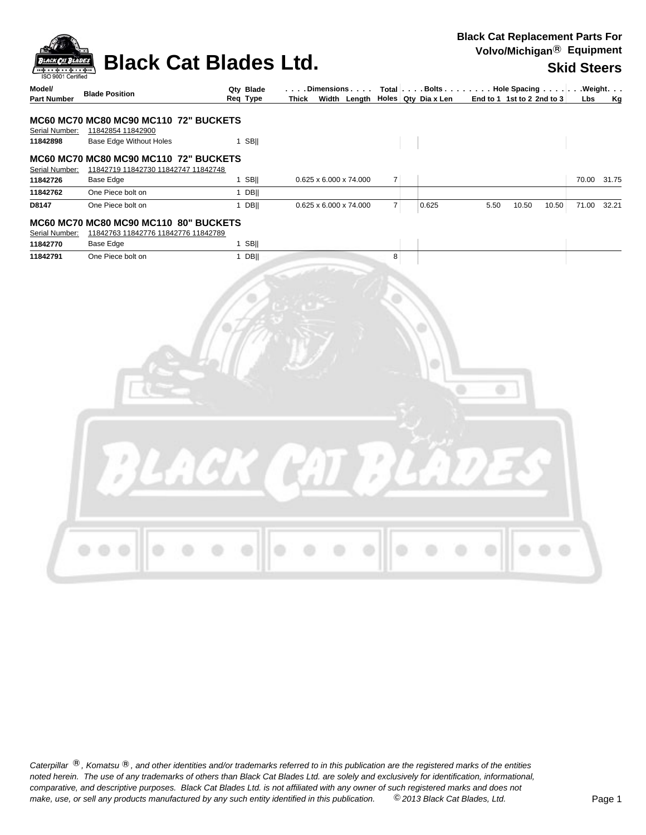| <b>BLACK CAT BLADES</b>                     | <b>Black Cat Blades Ltd.</b>                                                                |                       |                        |                |       | voivoimoingan – $=$ q¤p $$ o $$                                                                                                                                                                                                    | <b>Skid Steers</b> |
|---------------------------------------------|---------------------------------------------------------------------------------------------|-----------------------|------------------------|----------------|-------|------------------------------------------------------------------------------------------------------------------------------------------------------------------------------------------------------------------------------------|--------------------|
| ISO 9001 Certified<br>Model/<br>Part Number | <b>Blade Position</b>                                                                       | Qty Blade<br>Reg Type |                        |                |       | $\vert \ldots$ . Dimensions $\ldots \vert$ Total $\vert \ldots$ . Bolts $\ldots \vert \ldots \vert$ . Hole Spacing $\ldots \vert \ldots \vert$ . Weight.<br>Thick Width Length   Holes $Qty$ Diax Len   End to 1 1st to 2 2nd to 3 | Lbs<br>Kg          |
|                                             | MC60 MC70 MC80 MC90 MC110 72" BUCKETS                                                       |                       |                        |                |       |                                                                                                                                                                                                                                    |                    |
| Serial Number:                              | 11842854 11842900                                                                           |                       |                        |                |       |                                                                                                                                                                                                                                    |                    |
| 11842898                                    | Base Edge Without Holes                                                                     | $1$ SB                |                        |                |       |                                                                                                                                                                                                                                    |                    |
|                                             | MC60 MC70 MC80 MC90 MC110 72" BUCKETS<br>Serial Number: 11842719 11842730 11842747 11842748 |                       |                        |                |       |                                                                                                                                                                                                                                    |                    |
| 11842726                                    | Base Edge                                                                                   | $1$ SB                | 0.625 x 6.000 x 74.000 | 7              |       |                                                                                                                                                                                                                                    | 70.00 31.75        |
| 11842762                                    | One Piece bolt on                                                                           | $1$ DB                |                        |                |       |                                                                                                                                                                                                                                    |                    |
| D8147                                       | One Piece bolt on                                                                           | $1$ DB                | 0.625 x 6.000 x 74.000 | $\overline{7}$ | 0.625 | 5.50<br>10.50<br>10.50                                                                                                                                                                                                             | 71.00 32.21        |
| Serial Number:                              | MC60 MC70 MC80 MC90 MC110 80" BUCKETS<br>11842763 11842776 11842776 11842789                |                       |                        |                |       |                                                                                                                                                                                                                                    |                    |
| 11842770                                    | Base Edge                                                                                   | $1$ SB                |                        |                |       |                                                                                                                                                                                                                                    |                    |
| 11842791                                    | One Piece bolt on                                                                           | $1$ DB                |                        | 8              |       |                                                                                                                                                                                                                                    |                    |
|                                             |                                                                                             |                       |                        |                |       |                                                                                                                                                                                                                                    |                    |
|                                             |                                                                                             |                       |                        |                |       |                                                                                                                                                                                                                                    |                    |
|                                             |                                                                                             |                       |                        |                |       |                                                                                                                                                                                                                                    |                    |

Caterpillar ®, Komatsu ®, and other identities and/or trademarks referred to in this publication are the registered marks of the entities *noted herein. The use of any trademarks of others than Black Cat Blades Ltd. are solely and exclusively for identification, informational, make, use, or sell any products manufactured by any such entity identified in this publication. comparative, and descriptive purposes. Black Cat Blades Ltd. is not affiliated with any owner of such registered marks and does not* ©*2013 Black Cat Blades, Ltd.* Page 1

**Black Cat Replacement Parts For Volvo/Michigan**® **Equipment**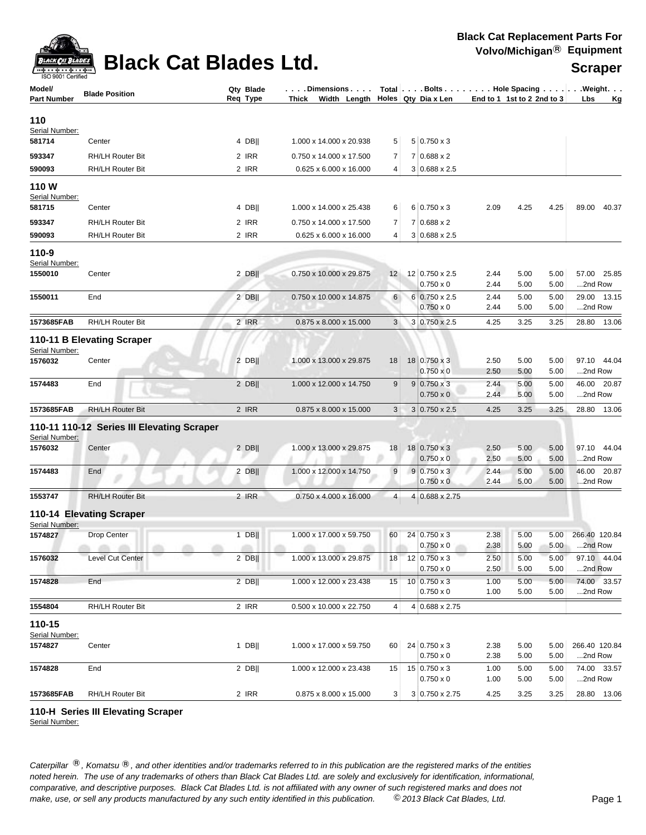

## **Black Cat Blades Ltd. Subdivisions Secraper**

| Model/<br><b>Part Number</b> | <b>Blade Position</b>                      | Qty Blade<br>Req Type | . Dimensions<br>Thick Width Length Holes Qty Dia x Len |                 |                          | End to 1 1st to 2 2nd to 3 |      |      | Total   Bolts   Hole Spacing   Weight.<br>Lbs<br>Кg |
|------------------------------|--------------------------------------------|-----------------------|--------------------------------------------------------|-----------------|--------------------------|----------------------------|------|------|-----------------------------------------------------|
| 110                          |                                            |                       |                                                        |                 |                          |                            |      |      |                                                     |
| Serial Number:<br>581714     | Center                                     | 4 DB                  | 1.000 x 14.000 x 20.938                                |                 | $5 0.750 \times 3$       |                            |      |      |                                                     |
|                              |                                            |                       |                                                        | 5               |                          |                            |      |      |                                                     |
| 593347                       | <b>RH/LH Router Bit</b>                    | 2 IRR                 | 0.750 x 14.000 x 17.500                                | 7               | $7 0.688 \times 2$       |                            |      |      |                                                     |
| 590093                       | <b>RH/LH Router Bit</b>                    | 2 IRR                 | 0.625 x 6.000 x 16.000                                 | 4               | $3 0.688 \times 2.5$     |                            |      |      |                                                     |
| 110W                         |                                            |                       |                                                        |                 |                          |                            |      |      |                                                     |
| Serial Number:<br>581715     | Center                                     | 4 DB                  | 1.000 x 14.000 x 25.438                                | 6               | $6 0.750 \times 3$       | 2.09                       | 4.25 | 4.25 | 89.00 40.37                                         |
| 593347                       | <b>RH/LH Router Bit</b>                    | 2 IRR                 | 0.750 x 14.000 x 17.500                                | $\overline{7}$  | $7 0.688 \times 2$       |                            |      |      |                                                     |
| 590093                       | RH/LH Router Bit                           | 2 IRR                 | 0.625 x 6.000 x 16.000                                 | 4               | $3 0.688 \times 2.5$     |                            |      |      |                                                     |
| 110-9                        |                                            |                       |                                                        |                 |                          |                            |      |      |                                                     |
| Serial Number:               |                                            |                       |                                                        |                 |                          |                            |      |      |                                                     |
| 1550010                      | Center                                     | $2$ DB                | 0.750 x 10.000 x 29.875                                | 12              | 12 0.750 x 2.5           | 2.44                       | 5.00 | 5.00 | 57.00 25.85                                         |
|                              |                                            |                       |                                                        |                 | $0.750 \times 0$         | 2.44                       | 5.00 | 5.00 | 2nd Row                                             |
| 1550011                      | End                                        | $2$ DB                | 0.750 x 10.000 x 14.875                                | 6               | $6 0.750 \times 2.5$     | 2.44                       | 5.00 | 5.00 | 29.00 13.15                                         |
|                              |                                            |                       |                                                        |                 | $0.750 \times 0$         | 2.44                       | 5.00 | 5.00 | 2nd Row                                             |
| 1573685FAB                   | RH/LH Router Bit                           | 2 IRR                 | 0.875 x 8.000 x 15.000                                 | 3 <sup>1</sup>  | 3 0.750 x 2.5            | 4.25                       | 3.25 | 3.25 | 28.80 13.06                                         |
| Serial Number:               | 110-11 B Elevating Scraper                 |                       |                                                        |                 |                          |                            |      |      |                                                     |
| 1576032                      | Center                                     | 2 DB                  | 1.000 x 13.000 x 29.875                                | 18              | 18 0.750 x 3             | 2.50                       | 5.00 | 5.00 | 97.10 44.04                                         |
|                              |                                            |                       |                                                        |                 | $0.750 \times 0$         | 2.50                       | 5.00 | 5.00 | 2nd Row                                             |
| 1574483                      | End                                        | $2$ DB                | 1.000 x 12.000 x 14.750                                | 9               | $9 0.750 \times 3$       | 2.44                       | 5.00 | 5.00 | 46.00 20.87                                         |
|                              |                                            |                       |                                                        |                 | $0.750 \times 0$         | 2.44                       | 5.00 | 5.00 | 2nd Row                                             |
| 1573685FAB                   | <b>RH/LH Router Bit</b>                    | 2 IRR                 | 0.875 x 8.000 x 15.000                                 | 3               | $3 0.750 \times 2.5$     | 4.25                       | 3.25 | 3.25 | 28.80 13.06                                         |
|                              | 110-11 110-12 Series III Elevating Scraper |                       |                                                        |                 |                          |                            |      |      |                                                     |
| Serial Number:<br>1576032    | Center                                     | $2$ DB                | 1.000 x 13.000 x 29.875                                | 18              | 18 0.750 x 3             | 2.50                       | 5.00 | 5.00 | 97.10 44.04                                         |
|                              |                                            |                       |                                                        |                 | $0.750 \times 0$         | 2.50                       | 5.00 | 5.00 | 2nd Row                                             |
| 1574483                      | End                                        | 2 DB                  | 1.000 x 12.000 x 14.750                                | 9               | $9 0.750 \times 3$       | 2.44                       | 5.00 | 5.00 | 46.00 20.87                                         |
|                              |                                            |                       |                                                        |                 | $0.750 \times 0$         | 2.44                       | 5.00 | 5.00 | 2nd Row                                             |
| 1553747                      | <b>RH/LH Router Bit</b>                    | 2 IRR                 | 0.750 x 4.000 x 16.000                                 | 4               | 4 0.688 x 2.75           |                            |      |      |                                                     |
|                              | 110-14 Elevating Scraper                   |                       |                                                        |                 |                          |                            |      |      |                                                     |
| Serial Number:<br>1574827    | Drop Center                                | $1$ DB                | 1.000 x 17.000 x 59.750                                | 60              | 24 0.750 x 3             | 2.38                       | 5.00 | 5.00 | 266.40 120.84                                       |
|                              | a a a<br>m<br>m                            | m<br>m                | m<br>÷                                                 |                 | $0.750 \times 0$         | 2.38                       | 5.00 | 5.00 | 2nd Row                                             |
| 1576032                      | Level Cut Center                           | $2$ DB                | 1.000 x 13.000 x 29.875                                | 18 <sup>1</sup> | $12 \mid 0.750 \times 3$ | 2.50                       | 5.00 | 5.00 | 97.10 44.04                                         |
|                              |                                            |                       |                                                        |                 | $0.750 \times 0$         | 2.50                       | 5.00 | 5.00 | 2nd Row                                             |
| 1574828                      | End                                        | $2$ DB                | 1.000 x 12.000 x 23.438                                | 15              | $10 0.750 \times 3$      | 1.00                       | 5.00 | 5.00 | 74.00 33.57                                         |
|                              |                                            |                       |                                                        |                 | $0.750 \times 0$         | 1.00                       | 5.00 | 5.00 | 2nd Row                                             |
| 1554804                      | RH/LH Router Bit                           | 2 IRR                 | 0.500 x 10.000 x 22.750                                | 4               | 4 0.688 x 2.75           |                            |      |      |                                                     |
| 110-15                       |                                            |                       |                                                        |                 |                          |                            |      |      |                                                     |
| Serial Number:<br>1574827    | Center                                     | $1$ DB                | 1.000 x 17.000 x 59.750                                | 60              | 24 0.750 x 3             | 2.38                       | 5.00 | 5.00 | 266.40 120.84                                       |
|                              |                                            |                       |                                                        |                 | $0.750 \times 0$         | 2.38                       | 5.00 | 5.00 | 2nd Row                                             |
| 1574828                      | End                                        | $2$ DB                | 1.000 x 12.000 x 23.438                                | 15              | 15 0.750 x 3             | 1.00                       | 5.00 | 5.00 | 74.00 33.57                                         |
|                              |                                            |                       |                                                        |                 | $0.750 \times 0$         | 1.00                       | 5.00 | 5.00 | 2nd Row                                             |
| 1573685FAB                   | <b>RH/LH Router Bit</b>                    | 2 IRR                 | 0.875 x 8.000 x 15.000                                 | 3 <sup>1</sup>  | 3 0.750 x 2.75           | 4.25                       | 3.25 | 3.25 | 28.80 13.06                                         |

**110-H Series III Elevating Scraper**

Serial Number: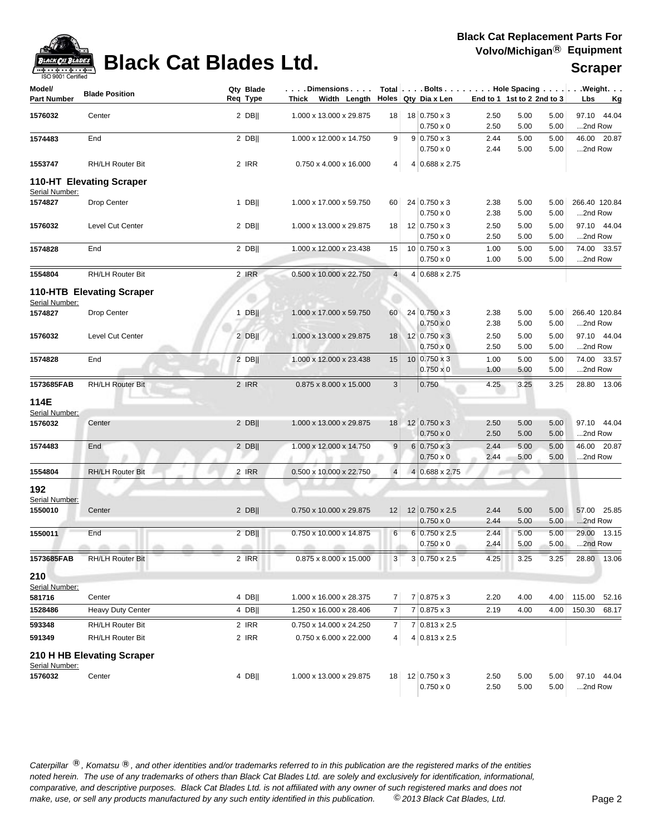

# **Black Cat Blades Ltd. Substitution Black Cat Blades Ltd. Scraper**

| Model/<br><b>Part Number</b> | <b>Blade Position</b>                   |        | Qty Blade<br>Req Type | $\ldots$ . Dimensions $\ldots$ .<br>Thick Width Length |                | Holes Qty Dia x Len                      |              | End to 1 1st to 2 2nd to 3 |              | $Total   \ldots$ Bolts $\ldots   \ldots$ . Hole Spacing $\ldots   \ldots$ . Weight. $\ldots$<br>Lbs<br><u>Kg</u> |
|------------------------------|-----------------------------------------|--------|-----------------------|--------------------------------------------------------|----------------|------------------------------------------|--------------|----------------------------|--------------|------------------------------------------------------------------------------------------------------------------|
| 1576032                      | Center                                  |        | $2$ DB                | 1.000 x 13.000 x 29.875                                | 18             | 18 0.750 x 3<br>$0.750 \times 0$         | 2.50<br>2.50 | 5.00<br>5.00               | 5.00<br>5.00 | 97.10 44.04<br>2nd Row                                                                                           |
| 1574483                      | End                                     |        | $2$ DB                | 1.000 x 12.000 x 14.750                                | 9              | $9 0.750 \times 3$<br>$0.750 \times 0$   | 2.44<br>2.44 | 5.00<br>5.00               | 5.00<br>5.00 | 46.00 20.87<br>2nd Row                                                                                           |
| 1553747                      | RH/LH Router Bit                        |        | 2 IRR                 | 0.750 x 4.000 x 16.000                                 | 4              | 4 0.688 x 2.75                           |              |                            |              |                                                                                                                  |
| Serial Number:               | 110-HT Elevating Scraper                |        |                       |                                                        |                |                                          |              |                            |              |                                                                                                                  |
| 1574827                      | Drop Center                             |        | $1$ DB                | 1.000 x 17.000 x 59.750                                | 60             | 24 0.750 x 3<br>$0.750 \times 0$         | 2.38<br>2.38 | 5.00<br>5.00               | 5.00<br>5.00 | 266.40 120.84<br>2nd Row                                                                                         |
| 1576032                      | Level Cut Center                        |        | $2$ DB                | 1.000 x 13.000 x 29.875                                | 18             | 12 0.750 x 3<br>$0.750 \times 0$         | 2.50<br>2.50 | 5.00<br>5.00               | 5.00<br>5.00 | 97.10 44.04<br>2nd Row                                                                                           |
| 1574828                      | End                                     |        | $2$ DB                | 1.000 x 12.000 x 23.438                                | 15             | $10 0.750 \times 3$<br>$0.750 \times 0$  | 1.00<br>1.00 | 5.00<br>5.00               | 5.00<br>5.00 | 74.00 33.57<br>2nd Row                                                                                           |
| 1554804                      | RH/LH Router Bit                        |        | 2 IRR                 | 0.500 x 10.000 x 22.750                                | $\overline{4}$ | 4 0.688 x 2.75                           |              |                            |              |                                                                                                                  |
| Serial Number:               | <b>110-HTB Elevating Scraper</b>        |        |                       |                                                        |                |                                          |              |                            |              |                                                                                                                  |
| 1574827                      | Drop Center                             |        | $1$ DB                | 1.000 x 17.000 x 59.750                                | 60             | 24 0.750 x 3<br>$0.750 \times 0$         | 2.38<br>2.38 | 5.00<br>5.00               | 5.00<br>5.00 | 266.40 120.84<br>2nd Row                                                                                         |
| 1576032                      | Level Cut Center                        |        | $2$ DB                | 1.000 x 13.000 x 29.875                                | 18             | 12   0.750 x 3<br>$0.750 \times 0$       | 2.50<br>2.50 | 5.00<br>5.00               | 5.00<br>5.00 | 97.10 44.04<br>2nd Row                                                                                           |
| 1574828                      | End                                     |        | $2$ DB                | 1.000 x 12.000 x 23.438                                | 15             | $10 0.750 \times 3$<br>$0.750 \times 0$  | 1.00<br>1.00 | 5.00<br>5.00               | 5.00<br>5.00 | 74.00 33.57<br>2nd Row                                                                                           |
| 1573685FAB                   | <b>RH/LH Router Bit</b>                 |        | 2 IRR                 | 0.875 x 8.000 x 15.000                                 | 3 <sup>1</sup> | 0.750                                    | 4.25         | 3.25                       | 3.25         | 28.80 13.06                                                                                                      |
| 114E<br>Serial Number:       |                                         |        |                       |                                                        |                |                                          |              |                            |              |                                                                                                                  |
| 1576032                      | Center                                  |        | $2$ DB                | 1.000 x 13.000 x 29.875                                | 18             | 12 0.750 x 3<br>$0.750 \times 0$         | 2.50<br>2.50 | 5.00<br>5.00               | 5.00<br>5.00 | 97.10 44.04<br>2nd Row                                                                                           |
| 1574483                      | End                                     |        | $2$ DB                | 1.000 x 12.000 x 14.750                                | 9              | $6 0.750 \times 3$<br>$0.750 \times 0$   | 2.44<br>2.44 | 5.00<br>5.00               | 5.00<br>5.00 | 46.00 20.87<br>2nd Row                                                                                           |
| 1554804                      | <b>RH/LH Router Bit</b>                 |        | 2 IRR                 | 0.500 x 10.000 x 22.750                                | $\overline{4}$ | $4 0.688 \times 2.75$                    |              |                            |              |                                                                                                                  |
| 192<br>Serial Number:        |                                         |        |                       |                                                        |                |                                          |              |                            |              |                                                                                                                  |
| 1550010                      | Center                                  |        | $2$ DB                | 0.750 x 10.000 x 29.875                                | 12             | 12 0.750 x 2.5<br>$0.750 \times 0$       | 2.44<br>2.44 | 5.00<br>5.00               | 5.00<br>5.00 | 57.00 25.85<br>2nd Row                                                                                           |
| 1550011                      | End<br>$\alpha$ $\alpha$<br>$\sim$<br>m | m<br>m | $2$ DB  <br>all in    | 0.750 x 10.000 x 14.875<br>m<br>allow.                 | 6              | $6 0.750 \times 2.5$<br>$0.750 \times 0$ | 2.44<br>2.44 | 5.00<br>5.00               | 5.00<br>5.00 | 29.00 13.15<br>2nd Row                                                                                           |
| 1573685FAB                   | <b>RH/LH Router Bit</b>                 |        | 2 IRR                 | 0.875 x 8.000 x 15.000                                 | 3              | $3 0.750 \times 2.5$                     | 4.25         | 3.25                       | 3.25         | 28.80<br>13.06                                                                                                   |
| 210<br>Serial Number:        |                                         |        |                       |                                                        |                |                                          |              |                            |              |                                                                                                                  |
| 581716                       | Center                                  |        | 4 DB                  | 1.000 x 16.000 x 28.375                                | $\overline{7}$ | $7 0.875 \times 3$                       | 2.20         | 4.00                       | 4.00         | 115.00<br>52.16                                                                                                  |
| 1528486                      | <b>Heavy Duty Center</b>                |        | 4 DB                  | 1.250 x 16.000 x 28.406                                | $\overline{7}$ | $7 0.875 \times 3$                       | 2.19         | 4.00                       | 4.00         | 150.30<br>68.17                                                                                                  |
| 593348                       | RH/LH Router Bit                        |        | 2 IRR                 | 0.750 x 14.000 x 24.250                                | $\overline{7}$ | 7 0.813 x 2.5                            |              |                            |              |                                                                                                                  |
| 591349                       | RH/LH Router Bit                        |        | 2 IRR                 | 0.750 x 6.000 x 22.000                                 | 4              | $4 0.813 \times 2.5$                     |              |                            |              |                                                                                                                  |
| Serial Number:               | 210 H HB Elevating Scraper              |        |                       |                                                        |                |                                          |              |                            |              |                                                                                                                  |
| 1576032                      | Center                                  |        | $4$ DB                | 1.000 x 13.000 x 29.875                                | 18             | 12   0.750 x 3<br>$0.750 \times 0$       | 2.50<br>2.50 | 5.00<br>5.00               | 5.00<br>5.00 | 97.10 44.04<br>2nd Row                                                                                           |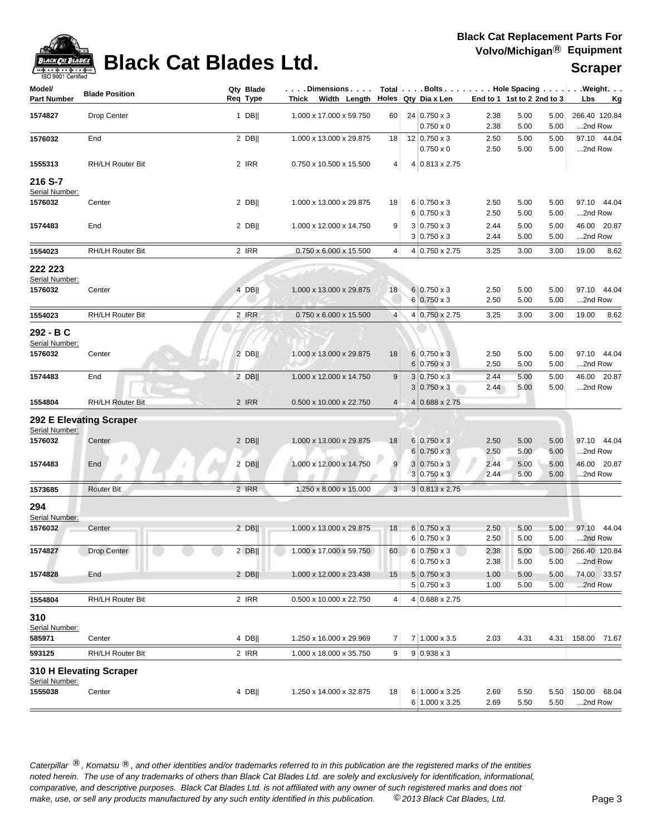

# **Black Cat Blades Ltd. Substitution Black Cat Blades Ltd. Scraper**

| Model/<br>Part Number       | <b>Blade Position</b>   | Qty Blade<br>Req Type | . Dimensions<br>Thick Width Length |                 | Holes Qty Dia x Len                |              | End to 1 1st to 2 2nd to 3 |              | Total Bolts Hole Spacing Weight.<br>Lbs<br><u>Kg</u> |
|-----------------------------|-------------------------|-----------------------|------------------------------------|-----------------|------------------------------------|--------------|----------------------------|--------------|------------------------------------------------------|
|                             |                         |                       |                                    |                 |                                    |              |                            |              |                                                      |
| 1574827                     | Drop Center             | 1 DB                  | 1.000 x 17.000 x 59.750            | 60              | 24 0.750 x 3                       | 2.38         | 5.00                       | 5.00         | 266.40 120.84                                        |
|                             |                         |                       |                                    |                 | $0.750 \times 0$                   | 2.38         | 5.00                       | 5.00         | 2nd Row                                              |
| 1576032                     | End                     | $2$ DB                | 1.000 x 13.000 x 29.875            | 18              | 12   0.750 x 3<br>$0.750 \times 0$ | 2.50<br>2.50 | 5.00<br>5.00               | 5.00<br>5.00 | 97.10 44.04<br>2nd Row                               |
| 1555313                     | RH/LH Router Bit        | 2 IRR                 | 0.750 x 10.500 x 15.500            | 4 <sup>1</sup>  | 4 0.813 x 2.75                     |              |                            |              |                                                      |
|                             |                         |                       |                                    |                 |                                    |              |                            |              |                                                      |
| 216 S-7                     |                         |                       |                                    |                 |                                    |              |                            |              |                                                      |
| Serial Number:<br>1576032   | Center                  | $2$ DB                | 1.000 x 13.000 x 29.875            | 18              | $6 0.750 \times 3$                 | 2.50         | 5.00                       | 5.00         | 97.10 44.04                                          |
|                             |                         |                       |                                    |                 | $6 0.750 \times 3$                 | 2.50         | 5.00                       | 5.00         | 2nd Row                                              |
| 1574483                     | End                     | $2$ DB                | 1.000 x 12.000 x 14.750            | 9 <sup>1</sup>  | $3 0.750 \times 3$                 | 2.44         | 5.00                       | 5.00         | 46.00 20.87                                          |
|                             |                         |                       |                                    |                 | $3 0.750 \times 3$                 | 2.44         | 5.00                       | 5.00         | 2nd Row                                              |
| 1554023                     | RH/LH Router Bit        | 2 IRR                 | 0.750 x 6.000 x 15.500             | $\vert 4 \vert$ | 4 0.750 x 2.75                     | 3.25         | 3.00                       | 3.00         | 19.00<br>8.62                                        |
|                             |                         |                       |                                    |                 |                                    |              |                            |              |                                                      |
| 222 223<br>Serial Number:   |                         |                       |                                    |                 |                                    |              |                            |              |                                                      |
| 1576032                     | Center                  | 4 DB                  | 1.000 x 13.000 x 29.875            | 18              | $6 0.750 \times 3$                 | 2.50         | 5.00                       | 5.00         | 97.10 44.04                                          |
|                             |                         |                       |                                    |                 | $6 0.750 \times 3$                 | 2.50         | 5.00                       | 5.00         | 2nd Row                                              |
| 1554023                     | RH/LH Router Bit        | 2 IRR                 | 0.750 x 6.000 x 15.500             | $\overline{4}$  | 4 0.750 x 2.75                     | 3.25         | 3.00                       | 3.00         | 19.00<br>8.62                                        |
|                             |                         |                       |                                    |                 |                                    |              |                            |              |                                                      |
| 292 - B C<br>Serial Number: |                         |                       |                                    |                 |                                    |              |                            |              |                                                      |
| 1576032                     | Center                  | $2$ DB                | 1.000 x 13.000 x 29.875            | 18              | $6 0.750 \times 3$                 | 2.50         | 5.00                       | 5.00         | 97.10 44.04                                          |
|                             |                         |                       |                                    |                 | $6 0.750 \times 3$                 | 2.50         | 5.00                       | 5.00         | 2nd Row                                              |
| 1574483                     | End                     | $2$ DB                | 1.000 x 12.000 x 14.750            | 9               | $3 0.750 \times 3$                 | 2.44         | 5.00                       | 5.00         | 46.00 20.87                                          |
|                             |                         |                       |                                    |                 | $3 0.750 \times 3$                 | 2.44         | 5.00                       | 5.00         | 2nd Row                                              |
| 1554804                     | <b>RH/LH Router Bit</b> | 2 IRR                 | 0.500 x 10.000 x 22.750            | 4 <sup>1</sup>  | 4 0.688 x 2.75                     |              |                            |              |                                                      |
|                             | 292 E Elevating Scraper |                       |                                    |                 |                                    |              |                            |              |                                                      |
| Serial Number:              |                         |                       |                                    |                 |                                    |              |                            |              |                                                      |
| 1576032                     | Center                  | $2$ DB                | 1.000 x 13.000 x 29.875            | 18              | $6 0.750 \times 3$                 | 2.50         | 5.00                       | 5.00         | 97.10 44.04                                          |
|                             |                         |                       |                                    |                 | $6 0.750 \times 3$                 | 2.50         | 5.00                       | 5.00         | 2nd Row                                              |
| 1574483                     | End                     | $2$ DB                | 1.000 x 12.000 x 14.750            | 9               | $3 0.750 \times 3$                 | 2.44         | 5.00                       | 5.00         | 46.00 20.87                                          |
|                             |                         |                       |                                    |                 | $3 0.750 \times 3$                 | 2.44         | 5.00                       | 5.00         | 2nd Row                                              |
| 1573685                     | <b>Router Bit</b>       | 2 IRR                 | 1.250 x 8.000 x 15.000             | 3 <sup>1</sup>  | $3 0.813 \times 2.75$              |              |                            |              |                                                      |
| 294                         |                         |                       |                                    |                 |                                    |              |                            |              |                                                      |
| Serial Number:              |                         |                       |                                    |                 |                                    |              |                            |              |                                                      |
| 1576032                     | Center                  | $2$ DB                | 1.000 x 13.000 x 29.875            | 18              | $6 0.750 \times 3$                 | 2.50         | 5.00                       | 5.00         | 97.10 44.04                                          |
|                             |                         |                       |                                    |                 | $6 0.750 \times 3$                 | 2.50         | 5.00                       | 5.00         | 2nd Row                                              |
| 1574827                     | Drop Center             | $2$ DB                | 1.000 x 17.000 x 59.750            | 60              | $6 0.750 \times 3$                 | 2.38         | 5.00                       | 5.00         | 266.40 120.84                                        |
|                             |                         |                       |                                    |                 | $6 0.750 \times 3$                 | 2.38         | 5.00                       | 5.00         | 2nd Row                                              |
| 1574828                     | End                     | $2$ DB                | 1.000 x 12.000 x 23.438            | 15              | $5 0.750 \times 3$                 | 1.00         | 5.00                       | 5.00         | 74.00 33.57                                          |
|                             |                         |                       |                                    |                 | $5 0.750 \times 3$                 | 1.00         | 5.00                       | 5.00         | 2nd Row                                              |
| 1554804                     | RH/LH Router Bit        | 2 IRR                 | 0.500 x 10.000 x 22.750            | 4               | 4 0.688 x 2.75                     |              |                            |              |                                                      |
| 310                         |                         |                       |                                    |                 |                                    |              |                            |              |                                                      |
| Serial Number:              |                         |                       |                                    |                 |                                    |              |                            |              |                                                      |
| 585971                      | Center                  | $4$ DB                | 1.250 x 16.000 x 29.969            | 7               | 7 1.000 x 3.5                      | 2.03         | 4.31                       | 4.31         | 158.00 71.67                                         |
| 593125                      | RH/LH Router Bit        | 2 IRR                 | 1.000 x 18.000 x 35.750            | 9 <sup>°</sup>  | $9 0.938 \times 3$                 |              |                            |              |                                                      |
|                             | 310 H Elevating Scraper |                       |                                    |                 |                                    |              |                            |              |                                                      |
| Serial Number:              |                         |                       |                                    |                 |                                    |              |                            |              |                                                      |
| 1555038                     | Center                  | $4$ DB                | 1.250 x 14.000 x 32.875            | 18              | 6 1.000 x 3.25                     | 2.69         | 5.50                       | 5.50         | 150.00 68.04                                         |
|                             |                         |                       |                                    |                 | 6 1.000 x 3.25                     | 2.69         | 5.50                       | 5.50         | 2nd Row                                              |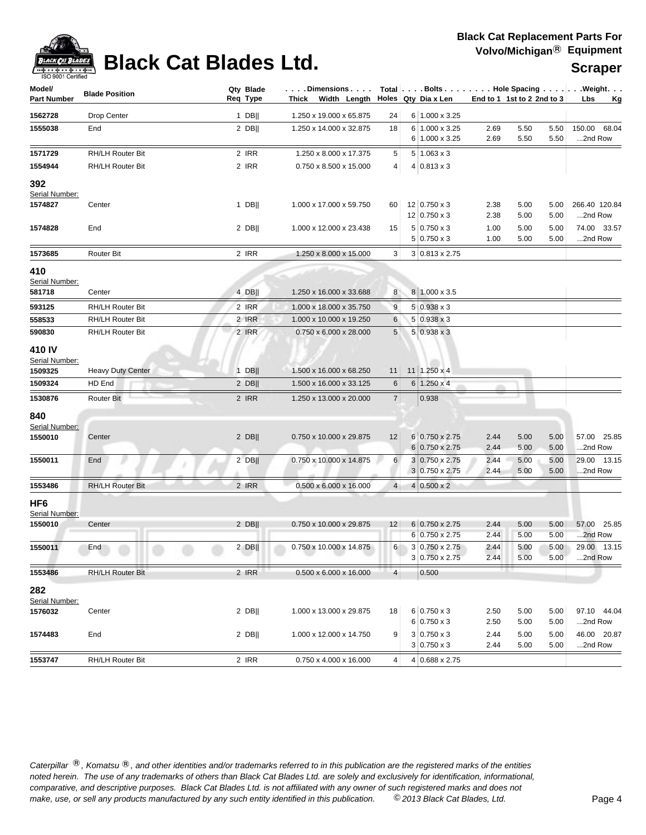

# **Black Cat Blades Ltd. Substitution Black Cat Blades Ltd. Scraper**

| Model/                   | <b>Blade Position</b>    | Qty Blade | Dimensions   Total   Bolts    Hole Spacing     Weight |                |                       |                            |      |      |                  |
|--------------------------|--------------------------|-----------|-------------------------------------------------------|----------------|-----------------------|----------------------------|------|------|------------------|
| Part Number              |                          | Req Type  | Thick Width Length $\vert$ Holes Qty Dia x Len        |                |                       | End to 1 1st to 2 2nd to 3 |      |      | Lbs<br><u>Kg</u> |
| 1562728                  | Drop Center              | 1 DB $  $ | 1.250 x 19.000 x 65.875                               | 24             | 6 1.000 x 3.25        |                            |      |      |                  |
| 1555038                  | End                      | $2$ DB    | 1.250 x 14.000 x 32.875                               | 18             | 6 1.000 x 3.25        | 2.69                       | 5.50 | 5.50 | 150.00 68.04     |
|                          |                          |           |                                                       |                | 6 1.000 x 3.25        | 2.69                       | 5.50 | 5.50 | 2nd Row          |
| 1571729                  | RH/LH Router Bit         | 2 IRR     | 1.250 x 8.000 x 17.375                                | 5              | $5 1.063 \times 3$    |                            |      |      |                  |
| 1554944                  | RH/LH Router Bit         | 2 IRR     | 0.750 x 8.500 x 15.000                                | 4              | $4 0.813 \times 3$    |                            |      |      |                  |
| 392                      |                          |           |                                                       |                |                       |                            |      |      |                  |
| Serial Number:           |                          |           |                                                       |                |                       |                            |      |      |                  |
| 1574827                  | Center                   | $1$ DB    | 1.000 x 17.000 x 59.750                               | 60             | 12   0.750 x 3        | 2.38                       | 5.00 | 5.00 | 266.40 120.84    |
|                          |                          |           |                                                       |                | 12   0.750 x 3        | 2.38                       | 5.00 | 5.00 | 2nd Row          |
| 1574828                  | End                      | $2$ DB    | 1.000 x 12.000 x 23.438                               | 15             | $5 \, 0.750 \times 3$ | 1.00                       | 5.00 | 5.00 | 74.00 33.57      |
|                          |                          |           |                                                       |                | $5 0.750 \times 3$    | 1.00                       | 5.00 | 5.00 | 2nd Row          |
| 1573685                  | Router Bit               | 2 IRR     | 1.250 x 8.000 x 15.000                                | 3              | 3 0.813 x 2.75        |                            |      |      |                  |
| 410                      |                          |           |                                                       |                |                       |                            |      |      |                  |
| Serial Number:           |                          |           |                                                       |                |                       |                            |      |      |                  |
| 581718                   | Center                   | 4 DB      | 1.250 x 16.000 x 33.688                               | 8              | 8 1.000 x 3.5         |                            |      |      |                  |
| 593125                   | <b>RH/LH Router Bit</b>  | 2 IRR     | 1.000 x 18.000 x 35.750                               | 9              | $5 0.938 \times 3$    |                            |      |      |                  |
| 558533                   | RH/LH Router Bit         | 2 IRR     | 1.000 x 10.000 x 19.250                               | 6              | $5 0.938 \times 3$    |                            |      |      |                  |
| 590830                   | RH/LH Router Bit         | 2 IRR     | $0.750 \times 6.000 \times 28.000$                    | 5              | $5 0.938 \times 3$    |                            |      |      |                  |
| 410 IV<br>Serial Number: |                          |           |                                                       |                |                       |                            |      |      |                  |
| 1509325                  | <b>Heavy Duty Center</b> | $1$ DB    | 1.500 x 16.000 x 68.250                               | 11             | $11$   1.250 x 4      |                            |      |      |                  |
| 1509324                  | HD End                   | $2$ DB    | 1.500 x 16.000 x 33.125                               | 6              | $6 1.250 \times 4$    |                            |      |      |                  |
| 1530876                  | Router Bit               | 2 IRR     | 1.250 x 13.000 x 20.000                               | $\overline{7}$ | 0.938                 |                            |      |      |                  |
|                          |                          |           |                                                       |                |                       |                            |      |      |                  |
| 840<br>Serial Number:    |                          |           |                                                       |                |                       |                            |      |      |                  |
| 1550010                  | Center                   | $2$ DB    | 0.750 x 10.000 x 29.875                               | 12             | 6 0.750 x 2.75        | 2.44                       | 5.00 | 5.00 | 57.00 25.85      |
|                          |                          |           |                                                       |                | $6 0.750 \times 2.75$ | 2.44                       | 5.00 | 5.00 | 2nd Row          |
| 1550011                  | End                      | $2$ DB    | 0.750 x 10.000 x 14.875                               | 6              | $3 0.750 \times 2.75$ | 2.44                       | 5.00 | 5.00 | 29.00 13.15      |
|                          |                          |           |                                                       |                | $3 0.750 \times 2.75$ | 2.44                       | 5.00 | 5.00 | 2nd Row          |
| 1553486                  | <b>RH/LH Router Bit</b>  | 2 IRR     | $0.500 \times 6.000 \times 16.000$                    | 4 <sup>1</sup> | $4 0.500 \times 2$    |                            |      |      |                  |
| HF6                      |                          |           |                                                       |                |                       |                            |      |      |                  |
| Serial Number:           |                          |           |                                                       |                |                       |                            |      |      |                  |
| 1550010                  | Center                   | $2$ DB    | 0.750 x 10.000 x 29.875                               | 12             | 6 0.750 x 2.75        | 2.44                       | 5.00 | 5.00 | 57.00 25.85      |
|                          |                          |           |                                                       |                | 6 0.750 x 2.75        | 2.44                       | 5.00 | 5.00 | 2nd Row          |
| 1550011                  | End                      | 2 DB      | 0.750 x 10.000 x 14.875                               | 6              | 3 0.750 x 2.75        | 2.44                       | 5.00 | 5.00 | 29.00 13.15      |
|                          |                          |           |                                                       |                | 3 0.750 x 2.75        | 2.44                       | 5.00 | 5.00 | 2nd Row          |
| 1553486                  | <b>RH/LH Router Bit</b>  | 2 IRR     | $0.500 \times 6.000 \times 16.000$                    | $\overline{4}$ | 0.500                 |                            |      |      |                  |
| 282<br>Serial Number:    |                          |           |                                                       |                |                       |                            |      |      |                  |
| 1576032                  | Center                   | $2$ DB    | 1.000 x 13.000 x 29.875                               | 18             | $6 0.750 \times 3$    | 2.50                       | 5.00 | 5.00 | 97.10 44.04      |
|                          |                          |           |                                                       |                | $6 0.750 \times 3$    | 2.50                       | 5.00 | 5.00 | 2nd Row          |
| 1574483                  | End                      | $2$ DB    | 1.000 x 12.000 x 14.750                               | 9              | $3 0.750 \times 3$    | 2.44                       | 5.00 | 5.00 | 46.00 20.87      |
|                          |                          |           |                                                       |                | $3 0.750 \times 3$    | 2.44                       | 5.00 | 5.00 | 2nd Row          |
| 1553747                  | RH/LH Router Bit         | 2 IRR     | $0.750 \times 4.000 \times 16.000$                    | 4              | 4 0.688 x 2.75        |                            |      |      |                  |